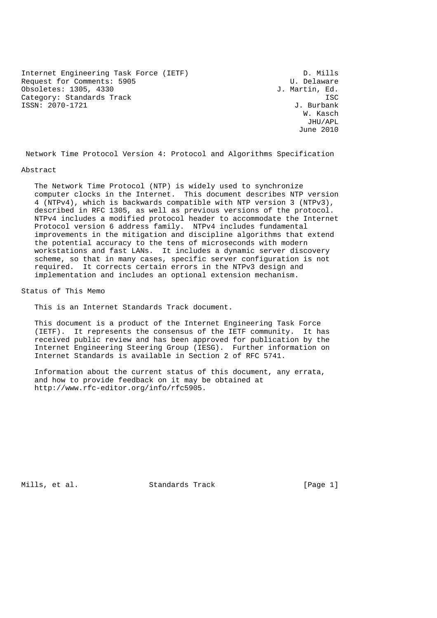Internet Engineering Task Force (IETF) D. Mills<br>Request for Comments: 5905 D. Delaware Request for Comments: 5905 U. Delaware<br>
Obsoletes: 1305, 4330 U. Delaware Obsoletes: 1305, 4330 Category: Standards Track ISC<br>
ISC ISSN: 2070-1721 J. Burbank ISSN: 2070-1721

w. Kasch and the contract of the contract of the contract of the contract of the contract of the contract of the contract of the contract of the contract of the contract of the contract of the contract of the contract of t JHU/APL June 2010

Network Time Protocol Version 4: Protocol and Algorithms Specification

#### Abstract

 The Network Time Protocol (NTP) is widely used to synchronize computer clocks in the Internet. This document describes NTP version 4 (NTPv4), which is backwards compatible with NTP version 3 (NTPv3), described in RFC 1305, as well as previous versions of the protocol. NTPv4 includes a modified protocol header to accommodate the Internet Protocol version 6 address family. NTPv4 includes fundamental improvements in the mitigation and discipline algorithms that extend the potential accuracy to the tens of microseconds with modern workstations and fast LANs. It includes a dynamic server discovery scheme, so that in many cases, specific server configuration is not required. It corrects certain errors in the NTPv3 design and implementation and includes an optional extension mechanism.

Status of This Memo

This is an Internet Standards Track document.

 This document is a product of the Internet Engineering Task Force (IETF). It represents the consensus of the IETF community. It has received public review and has been approved for publication by the Internet Engineering Steering Group (IESG). Further information on Internet Standards is available in Section 2 of RFC 5741.

 Information about the current status of this document, any errata, and how to provide feedback on it may be obtained at http://www.rfc-editor.org/info/rfc5905.

Mills, et al. Standards Track [Page 1]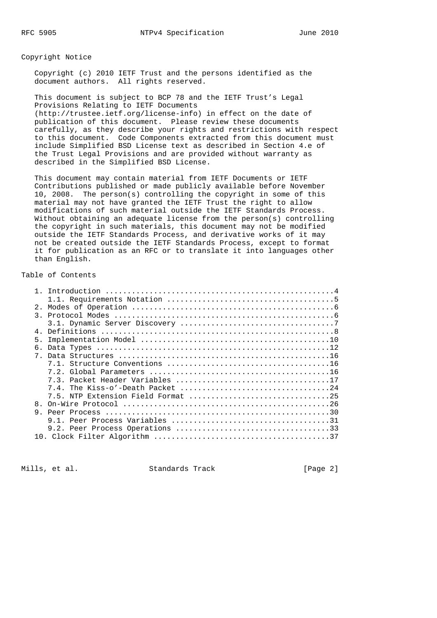Copyright Notice

 Copyright (c) 2010 IETF Trust and the persons identified as the document authors. All rights reserved.

 This document is subject to BCP 78 and the IETF Trust's Legal Provisions Relating to IETF Documents (http://trustee.ietf.org/license-info) in effect on the date of publication of this document. Please review these documents carefully, as they describe your rights and restrictions with respect to this document. Code Components extracted from this document must include Simplified BSD License text as described in Section 4.e of the Trust Legal Provisions and are provided without warranty as described in the Simplified BSD License.

 This document may contain material from IETF Documents or IETF Contributions published or made publicly available before November 10, 2008. The person(s) controlling the copyright in some of this material may not have granted the IETF Trust the right to allow modifications of such material outside the IETF Standards Process. Without obtaining an adequate license from the person(s) controlling the copyright in such materials, this document may not be modified outside the IETF Standards Process, and derivative works of it may not be created outside the IETF Standards Process, except to format it for publication as an RFC or to translate it into languages other than English.

# Table of Contents

| 2.1            |                                    |
|----------------|------------------------------------|
|                |                                    |
|                |                                    |
| 4 <sub>1</sub> |                                    |
| 5 <sub>1</sub> |                                    |
| б.             |                                    |
|                |                                    |
|                |                                    |
|                |                                    |
|                |                                    |
|                |                                    |
|                | 7.5. NTP Extension Field Format 25 |
| 8 <sub>1</sub> |                                    |
|                |                                    |
|                |                                    |
|                |                                    |
|                |                                    |
|                |                                    |

Mills, et al. Standards Track [Page 2]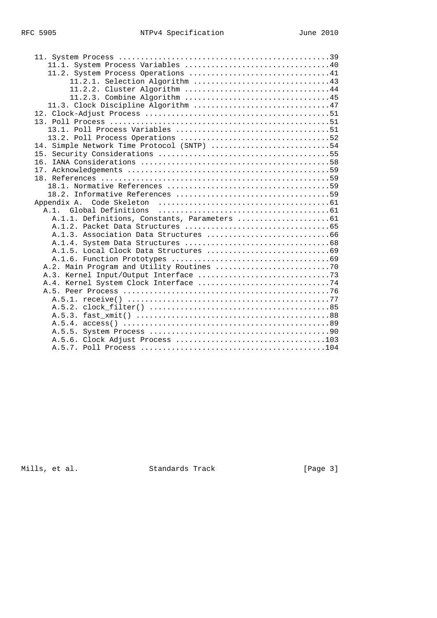| 11.2.2. Cluster Algorithm 44<br>14. Simple Network Time Protocol (SNTP) 54 |
|----------------------------------------------------------------------------|

Mills, et al. Standards Track (Page 3)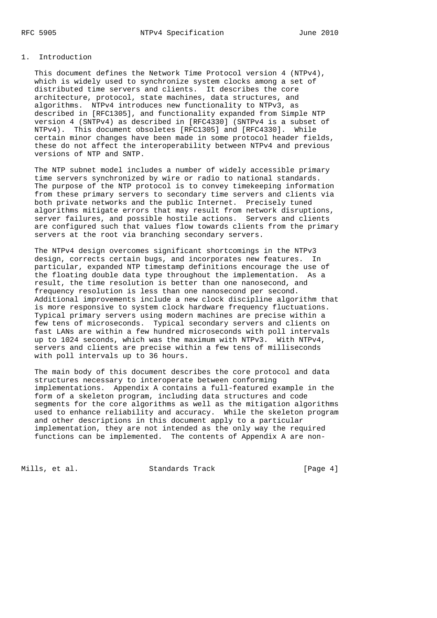#### 1. Introduction

 This document defines the Network Time Protocol version 4 (NTPv4), which is widely used to synchronize system clocks among a set of distributed time servers and clients. It describes the core architecture, protocol, state machines, data structures, and algorithms. NTPv4 introduces new functionality to NTPv3, as described in [RFC1305], and functionality expanded from Simple NTP version 4 (SNTPv4) as described in [RFC4330] (SNTPv4 is a subset of NTPv4). This document obsoletes [RFC1305] and [RFC4330]. While certain minor changes have been made in some protocol header fields, these do not affect the interoperability between NTPv4 and previous versions of NTP and SNTP.

 The NTP subnet model includes a number of widely accessible primary time servers synchronized by wire or radio to national standards. The purpose of the NTP protocol is to convey timekeeping information from these primary servers to secondary time servers and clients via both private networks and the public Internet. Precisely tuned algorithms mitigate errors that may result from network disruptions, server failures, and possible hostile actions. Servers and clients are configured such that values flow towards clients from the primary servers at the root via branching secondary servers.

 The NTPv4 design overcomes significant shortcomings in the NTPv3 design, corrects certain bugs, and incorporates new features. In particular, expanded NTP timestamp definitions encourage the use of the floating double data type throughout the implementation. As a result, the time resolution is better than one nanosecond, and frequency resolution is less than one nanosecond per second. Additional improvements include a new clock discipline algorithm that is more responsive to system clock hardware frequency fluctuations. Typical primary servers using modern machines are precise within a few tens of microseconds. Typical secondary servers and clients on fast LANs are within a few hundred microseconds with poll intervals up to 1024 seconds, which was the maximum with NTPv3. With NTPv4, servers and clients are precise within a few tens of milliseconds with poll intervals up to 36 hours.

 The main body of this document describes the core protocol and data structures necessary to interoperate between conforming implementations. Appendix A contains a full-featured example in the form of a skeleton program, including data structures and code segments for the core algorithms as well as the mitigation algorithms used to enhance reliability and accuracy. While the skeleton program and other descriptions in this document apply to a particular implementation, they are not intended as the only way the required functions can be implemented. The contents of Appendix A are non-

Mills, et al. Standards Track [Page 4]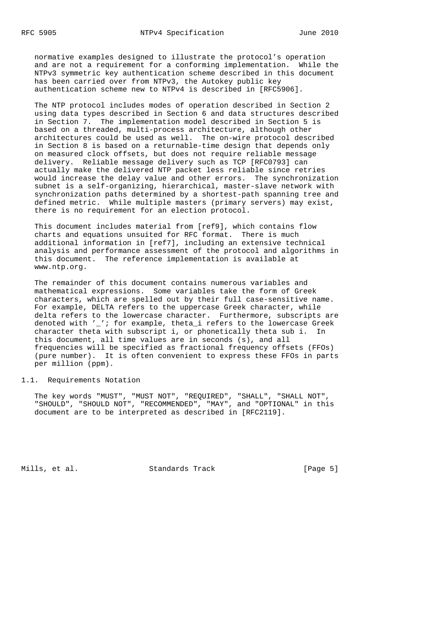normative examples designed to illustrate the protocol's operation and are not a requirement for a conforming implementation. While the NTPv3 symmetric key authentication scheme described in this document has been carried over from NTPv3, the Autokey public key authentication scheme new to NTPv4 is described in [RFC5906].

 The NTP protocol includes modes of operation described in Section 2 using data types described in Section 6 and data structures described in Section 7. The implementation model described in Section 5 is based on a threaded, multi-process architecture, although other architectures could be used as well. The on-wire protocol described in Section 8 is based on a returnable-time design that depends only on measured clock offsets, but does not require reliable message delivery. Reliable message delivery such as TCP [RFC0793] can actually make the delivered NTP packet less reliable since retries would increase the delay value and other errors. The synchronization subnet is a self-organizing, hierarchical, master-slave network with synchronization paths determined by a shortest-path spanning tree and defined metric. While multiple masters (primary servers) may exist, there is no requirement for an election protocol.

 This document includes material from [ref9], which contains flow charts and equations unsuited for RFC format. There is much additional information in [ref7], including an extensive technical analysis and performance assessment of the protocol and algorithms in this document. The reference implementation is available at www.ntp.org.

 The remainder of this document contains numerous variables and mathematical expressions. Some variables take the form of Greek characters, which are spelled out by their full case-sensitive name. For example, DELTA refers to the uppercase Greek character, while delta refers to the lowercase character. Furthermore, subscripts are denoted with '\_'; for example, theta\_i refers to the lowercase Greek character theta with subscript i, or phonetically theta sub i. In this document, all time values are in seconds (s), and all frequencies will be specified as fractional frequency offsets (FFOs) (pure number). It is often convenient to express these FFOs in parts per million (ppm).

#### 1.1. Requirements Notation

 The key words "MUST", "MUST NOT", "REQUIRED", "SHALL", "SHALL NOT", "SHOULD", "SHOULD NOT", "RECOMMENDED", "MAY", and "OPTIONAL" in this document are to be interpreted as described in [RFC2119].

Mills, et al. Standards Track [Page 5]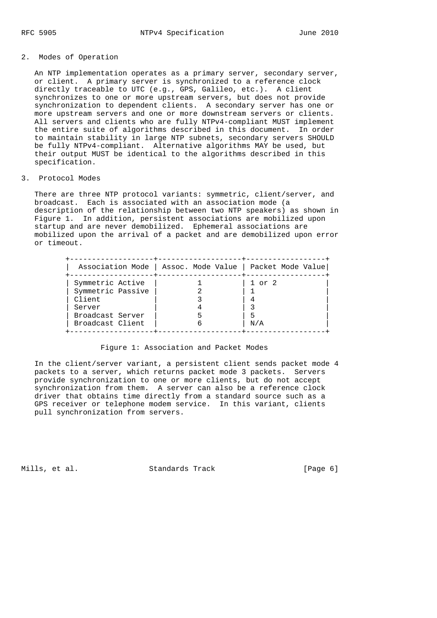## 2. Modes of Operation

 An NTP implementation operates as a primary server, secondary server, or client. A primary server is synchronized to a reference clock directly traceable to UTC (e.g., GPS, Galileo, etc.). A client synchronizes to one or more upstream servers, but does not provide synchronization to dependent clients. A secondary server has one or more upstream servers and one or more downstream servers or clients. All servers and clients who are fully NTPv4-compliant MUST implement the entire suite of algorithms described in this document. In order to maintain stability in large NTP subnets, secondary servers SHOULD be fully NTPv4-compliant. Alternative algorithms MAY be used, but their output MUST be identical to the algorithms described in this specification.

## 3. Protocol Modes

There are three NTP protocol variants: symmetric, client/server, and broadcast. Each is associated with an association mode (a description of the relationship between two NTP speakers) as shown in Figure 1. In addition, persistent associations are mobilized upon startup and are never demobilized. Ephemeral associations are mobilized upon the arrival of a packet and are demobilized upon error or timeout.

|                   | Association Mode   Assoc. Mode Value   Packet Mode Value |            |
|-------------------|----------------------------------------------------------|------------|
| Symmetric Active  |                                                          | $1$ or $2$ |
| Symmetric Passive |                                                          |            |
| Client            |                                                          |            |
| Server            |                                                          |            |
| Broadcast Server  |                                                          |            |
| Broadcast Client  |                                                          | N/A        |

#### Figure 1: Association and Packet Modes

 In the client/server variant, a persistent client sends packet mode 4 packets to a server, which returns packet mode 3 packets. Servers provide synchronization to one or more clients, but do not accept synchronization from them. A server can also be a reference clock driver that obtains time directly from a standard source such as a GPS receiver or telephone modem service. In this variant, clients pull synchronization from servers.

Mills, et al. Standards Track [Page 6]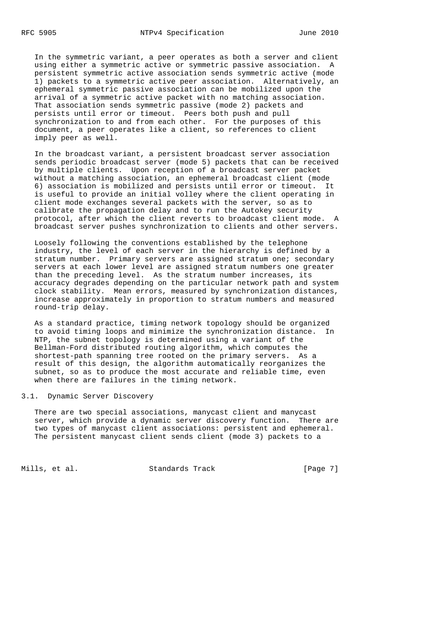In the symmetric variant, a peer operates as both a server and client using either a symmetric active or symmetric passive association. A persistent symmetric active association sends symmetric active (mode 1) packets to a symmetric active peer association. Alternatively, an ephemeral symmetric passive association can be mobilized upon the arrival of a symmetric active packet with no matching association. That association sends symmetric passive (mode 2) packets and persists until error or timeout. Peers both push and pull synchronization to and from each other. For the purposes of this document, a peer operates like a client, so references to client imply peer as well.

 In the broadcast variant, a persistent broadcast server association sends periodic broadcast server (mode 5) packets that can be received by multiple clients. Upon reception of a broadcast server packet without a matching association, an ephemeral broadcast client (mode 6) association is mobilized and persists until error or timeout. It is useful to provide an initial volley where the client operating in client mode exchanges several packets with the server, so as to calibrate the propagation delay and to run the Autokey security protocol, after which the client reverts to broadcast client mode. A broadcast server pushes synchronization to clients and other servers.

 Loosely following the conventions established by the telephone industry, the level of each server in the hierarchy is defined by a stratum number. Primary servers are assigned stratum one; secondary servers at each lower level are assigned stratum numbers one greater than the preceding level. As the stratum number increases, its accuracy degrades depending on the particular network path and system clock stability. Mean errors, measured by synchronization distances, increase approximately in proportion to stratum numbers and measured round-trip delay.

 As a standard practice, timing network topology should be organized to avoid timing loops and minimize the synchronization distance. In NTP, the subnet topology is determined using a variant of the Bellman-Ford distributed routing algorithm, which computes the shortest-path spanning tree rooted on the primary servers. As a result of this design, the algorithm automatically reorganizes the subnet, so as to produce the most accurate and reliable time, even when there are failures in the timing network.

## 3.1. Dynamic Server Discovery

 There are two special associations, manycast client and manycast server, which provide a dynamic server discovery function. There are two types of manycast client associations: persistent and ephemeral. The persistent manycast client sends client (mode 3) packets to a

Mills, et al. Standards Track [Page 7]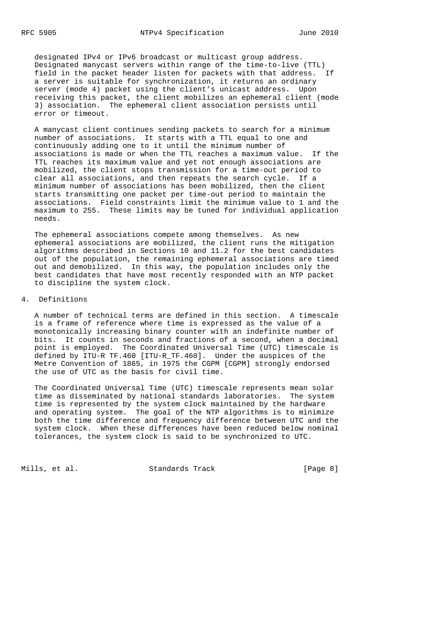designated IPv4 or IPv6 broadcast or multicast group address. Designated manycast servers within range of the time-to-live (TTL) field in the packet header listen for packets with that address. If a server is suitable for synchronization, it returns an ordinary server (mode 4) packet using the client's unicast address. Upon receiving this packet, the client mobilizes an ephemeral client (mode 3) association. The ephemeral client association persists until error or timeout.

 A manycast client continues sending packets to search for a minimum number of associations. It starts with a TTL equal to one and continuously adding one to it until the minimum number of associations is made or when the TTL reaches a maximum value. If the TTL reaches its maximum value and yet not enough associations are mobilized, the client stops transmission for a time-out period to clear all associations, and then repeats the search cycle. If a minimum number of associations has been mobilized, then the client starts transmitting one packet per time-out period to maintain the associations. Field constraints limit the minimum value to 1 and the maximum to 255. These limits may be tuned for individual application needs.

 The ephemeral associations compete among themselves. As new ephemeral associations are mobilized, the client runs the mitigation algorithms described in Sections 10 and 11.2 for the best candidates out of the population, the remaining ephemeral associations are timed out and demobilized. In this way, the population includes only the best candidates that have most recently responded with an NTP packet to discipline the system clock.

## 4. Definitions

 A number of technical terms are defined in this section. A timescale is a frame of reference where time is expressed as the value of a monotonically increasing binary counter with an indefinite number of bits. It counts in seconds and fractions of a second, when a decimal point is employed. The Coordinated Universal Time (UTC) timescale is defined by ITU-R TF.460 [ITU-R\_TF.460]. Under the auspices of the Metre Convention of 1865, in 1975 the CGPM [CGPM] strongly endorsed the use of UTC as the basis for civil time.

 The Coordinated Universal Time (UTC) timescale represents mean solar time as disseminated by national standards laboratories. The system time is represented by the system clock maintained by the hardware and operating system. The goal of the NTP algorithms is to minimize both the time difference and frequency difference between UTC and the system clock. When these differences have been reduced below nominal tolerances, the system clock is said to be synchronized to UTC.

Mills, et al. Standards Track [Page 8]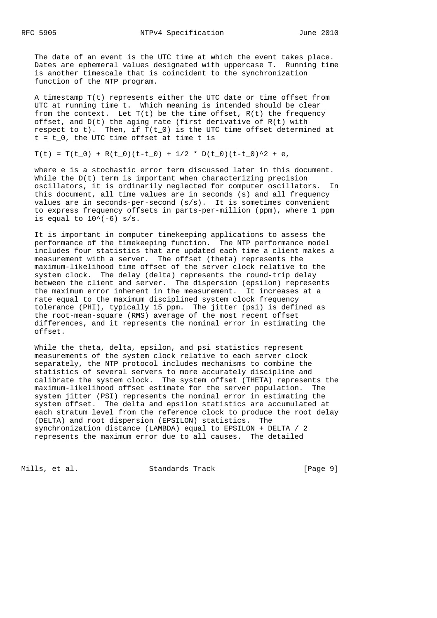The date of an event is the UTC time at which the event takes place. Dates are ephemeral values designated with uppercase T. Running time is another timescale that is coincident to the synchronization function of the NTP program.

 A timestamp T(t) represents either the UTC date or time offset from UTC at running time t. Which meaning is intended should be clear from the context. Let  $T(t)$  be the time offset,  $R(t)$  the frequency offset, and  $D(t)$  the aging rate (first derivative of  $R(t)$  with respect to t). Then, if  $T(t_0)$  is the UTC time offset determined at  $t = t_0$ , the UTC time offset at time t is

## $T(t) = T(t_0) + R(t_0)(t-t_0) + 1/2 * D(t_0)(t-t_0)^2 + e,$

 where e is a stochastic error term discussed later in this document. While the  $D(t)$  term is important when characterizing precision oscillators, it is ordinarily neglected for computer oscillators. In this document, all time values are in seconds (s) and all frequency values are in seconds-per-second (s/s). It is sometimes convenient to express frequency offsets in parts-per-million (ppm), where 1 ppm is equal to  $10^{\circ}(-6)$  s/s.

 It is important in computer timekeeping applications to assess the performance of the timekeeping function. The NTP performance model includes four statistics that are updated each time a client makes a measurement with a server. The offset (theta) represents the maximum-likelihood time offset of the server clock relative to the system clock. The delay (delta) represents the round-trip delay between the client and server. The dispersion (epsilon) represents the maximum error inherent in the measurement. It increases at a rate equal to the maximum disciplined system clock frequency tolerance (PHI), typically 15 ppm. The jitter (psi) is defined as the root-mean-square (RMS) average of the most recent offset differences, and it represents the nominal error in estimating the offset.

 While the theta, delta, epsilon, and psi statistics represent measurements of the system clock relative to each server clock separately, the NTP protocol includes mechanisms to combine the statistics of several servers to more accurately discipline and calibrate the system clock. The system offset (THETA) represents the maximum-likelihood offset estimate for the server population. The system jitter (PSI) represents the nominal error in estimating the system offset. The delta and epsilon statistics are accumulated at each stratum level from the reference clock to produce the root delay (DELTA) and root dispersion (EPSILON) statistics. The synchronization distance (LAMBDA) equal to EPSILON + DELTA / 2 represents the maximum error due to all causes. The detailed

Mills, et al. Standards Track [Page 9]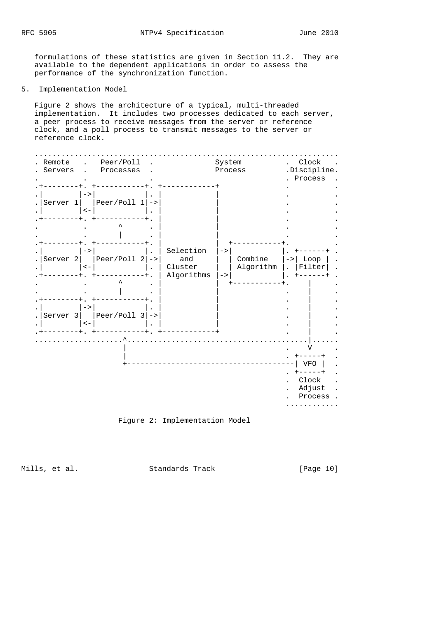formulations of these statistics are given in Section 11.2. They are available to the dependent applications in order to assess the performance of the synchronization function.

5. Implementation Model

 Figure 2 shows the architecture of a typical, multi-threaded implementation. It includes two processes dedicated to each server, a peer process to receive messages from the server or reference clock, and a poll process to transmit messages to the server or reference clock.

| Remote<br>Servers   |                            | Peer/Poll<br>Processes |                                           | System<br>Process |                      | $\ddot{\phantom{0}}$<br>.Discipline. | Clock<br>Process                          |
|---------------------|----------------------------|------------------------|-------------------------------------------|-------------------|----------------------|--------------------------------------|-------------------------------------------|
| Server 1            | $\rightarrow$<br>$\lt$ –   | Peer/Poll $1$ ->       |                                           |                   |                      |                                      |                                           |
|                     |                            |                        |                                           |                   |                      |                                      |                                           |
| Server <sub>2</sub> | $\rightarrow$<br>$\lt$ $-$ | $peer/Pol1 2$ ->       | Selection<br>and<br>Cluster<br>Algorithms | $->$<br>$->$      | Combine<br>Algorithm | $\rightarrow$                        | Loop<br>Filter                            |
|                     |                            |                        |                                           |                   |                      |                                      |                                           |
| Server 3            | $\rightarrow$<br>$\lt$ $-$ | Peer/Poll $3$ ->       |                                           |                   |                      |                                      |                                           |
|                     |                            |                        |                                           |                   |                      |                                      | ٦Z                                        |
|                     |                            |                        |                                           |                   |                      |                                      | <b>VFO</b><br>Clock<br>Adjust<br>Process. |



Mills, et al. Standards Track [Page 10]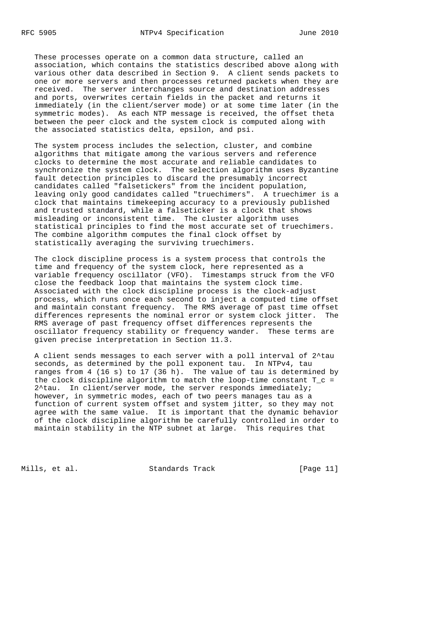These processes operate on a common data structure, called an association, which contains the statistics described above along with various other data described in Section 9. A client sends packets to one or more servers and then processes returned packets when they are received. The server interchanges source and destination addresses and ports, overwrites certain fields in the packet and returns it immediately (in the client/server mode) or at some time later (in the symmetric modes). As each NTP message is received, the offset theta between the peer clock and the system clock is computed along with the associated statistics delta, epsilon, and psi.

 The system process includes the selection, cluster, and combine algorithms that mitigate among the various servers and reference clocks to determine the most accurate and reliable candidates to synchronize the system clock. The selection algorithm uses Byzantine fault detection principles to discard the presumably incorrect candidates called "falsetickers" from the incident population, leaving only good candidates called "truechimers". A truechimer is a clock that maintains timekeeping accuracy to a previously published and trusted standard, while a falseticker is a clock that shows misleading or inconsistent time. The cluster algorithm uses statistical principles to find the most accurate set of truechimers. The combine algorithm computes the final clock offset by statistically averaging the surviving truechimers.

 The clock discipline process is a system process that controls the time and frequency of the system clock, here represented as a variable frequency oscillator (VFO). Timestamps struck from the VFO close the feedback loop that maintains the system clock time. Associated with the clock discipline process is the clock-adjust process, which runs once each second to inject a computed time offset and maintain constant frequency. The RMS average of past time offset differences represents the nominal error or system clock jitter. The RMS average of past frequency offset differences represents the oscillator frequency stability or frequency wander. These terms are given precise interpretation in Section 11.3.

 A client sends messages to each server with a poll interval of 2^tau seconds, as determined by the poll exponent tau. In NTPv4, tau ranges from 4 (16 s) to 17 (36 h). The value of tau is determined by the clock discipline algorithm to match the loop-time constant  $T_c =$ 2^tau. In client/server mode, the server responds immediately; however, in symmetric modes, each of two peers manages tau as a function of current system offset and system jitter, so they may not agree with the same value. It is important that the dynamic behavior of the clock discipline algorithm be carefully controlled in order to maintain stability in the NTP subnet at large. This requires that

Mills, et al. Standards Track [Page 11]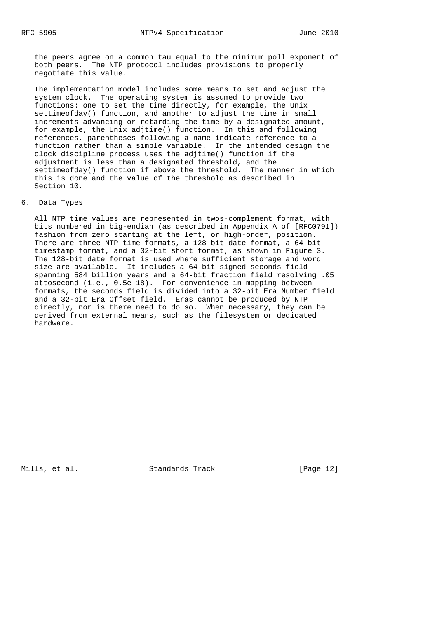the peers agree on a common tau equal to the minimum poll exponent of both peers. The NTP protocol includes provisions to properly negotiate this value.

 The implementation model includes some means to set and adjust the system clock. The operating system is assumed to provide two functions: one to set the time directly, for example, the Unix settimeofday() function, and another to adjust the time in small increments advancing or retarding the time by a designated amount, for example, the Unix adjtime() function. In this and following references, parentheses following a name indicate reference to a function rather than a simple variable. In the intended design the clock discipline process uses the adjtime() function if the adjustment is less than a designated threshold, and the settimeofday() function if above the threshold. The manner in which this is done and the value of the threshold as described in Section 10.

#### 6. Data Types

 All NTP time values are represented in twos-complement format, with bits numbered in big-endian (as described in Appendix A of [RFC0791]) fashion from zero starting at the left, or high-order, position. There are three NTP time formats, a 128-bit date format, a 64-bit timestamp format, and a 32-bit short format, as shown in Figure 3. The 128-bit date format is used where sufficient storage and word size are available. It includes a 64-bit signed seconds field spanning 584 billion years and a 64-bit fraction field resolving .05 attosecond (i.e., 0.5e-18). For convenience in mapping between formats, the seconds field is divided into a 32-bit Era Number field and a 32-bit Era Offset field. Eras cannot be produced by NTP directly, nor is there need to do so. When necessary, they can be derived from external means, such as the filesystem or dedicated hardware.

Mills, et al. Standards Track [Page 12]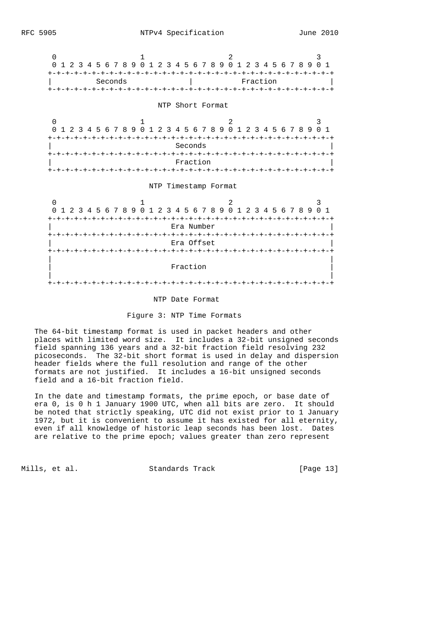



#### NTP Date Format

Figure 3: NTP Time Formats

 The 64-bit timestamp format is used in packet headers and other places with limited word size. It includes a 32-bit unsigned seconds field spanning 136 years and a 32-bit fraction field resolving 232 picoseconds. The 32-bit short format is used in delay and dispersion header fields where the full resolution and range of the other formats are not justified. It includes a 16-bit unsigned seconds field and a 16-bit fraction field.

 In the date and timestamp formats, the prime epoch, or base date of era 0, is 0 h 1 January 1900 UTC, when all bits are zero. It should be noted that strictly speaking, UTC did not exist prior to 1 January 1972, but it is convenient to assume it has existed for all eternity, even if all knowledge of historic leap seconds has been lost. Dates are relative to the prime epoch; values greater than zero represent

Mills, et al. Standards Track [Page 13]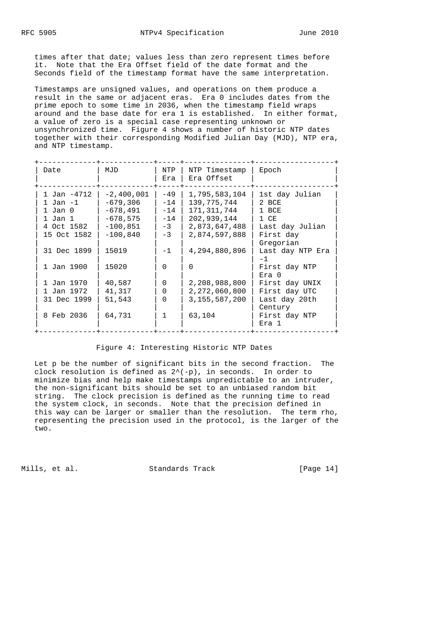times after that date; values less than zero represent times before it. Note that the Era Offset field of the date format and the Seconds field of the timestamp format have the same interpretation.

 Timestamps are unsigned values, and operations on them produce a result in the same or adjacent eras. Era 0 includes dates from the prime epoch to some time in 2036, when the timestamp field wraps around and the base date for era 1 is established. In either format, a value of zero is a special case representing unknown or unsynchronized time. Figure 4 shows a number of historic NTP dates together with their corresponding Modified Julian Day (MJD), NTP era, and NTP timestamp.

| Date        | MJD          | NTP<br>Era | NTP Timestamp<br>Era Offset | Epoch            |
|-------------|--------------|------------|-----------------------------|------------------|
| 1 Jan -4712 | $-2,400,001$ | $-49$      | 1,795,583,104               | 1st day Julian   |
| 1 Jan -1    | -679,306     | $-14$      | 139,775,744                 | 2 BCE            |
| $1$ Jan $0$ | $-678.491$   | $-14$      | 171,311,744                 | 1 BCE            |
| 1 Jan 1     | $-678,575$   | $-14$      | 202,939,144                 | 1 CE             |
| 4 Oct 1582  | $-100,851$   | $-3$       | 2,873,647,488               | Last day Julian  |
| 15 Oct 1582 | $-100,840$   | $-3$       | 2,874,597,888               | First day        |
|             |              |            |                             | Gregorian        |
| 31 Dec 1899 | 15019        | $-1$       | 4,294,880,896               | Last day NTP Era |
|             |              |            |                             | $-1$             |
| 1 Jan 1900  | 15020        | $\Omega$   | $\Omega$                    | First day NTP    |
|             |              |            |                             | $Era$ 0          |
| 1 Jan 1970  | 40,587       | $\Omega$   | 2,208,988,800               | First day UNIX   |
| 1 Jan 1972  | 41,317       | $\Omega$   | 2,272,060,800               | First day UTC    |
| 31 Dec 1999 | 51,543       | $\Omega$   | 3, 155, 587, 200            | Last day 20th    |
|             |              |            |                             | Century          |
| 8 Feb 2036  | 64,731       | 1          | 63,104                      | First day NTP    |
|             |              |            |                             | Era 1            |

#### Figure 4: Interesting Historic NTP Dates

 Let p be the number of significant bits in the second fraction. The clock resolution is defined as  $2^{\wedge}(-p)$ , in seconds. In order to minimize bias and help make timestamps unpredictable to an intruder, the non-significant bits should be set to an unbiased random bit string. The clock precision is defined as the running time to read the system clock, in seconds. Note that the precision defined in this way can be larger or smaller than the resolution. The term rho, representing the precision used in the protocol, is the larger of the two.

Mills, et al. Standards Track [Page 14]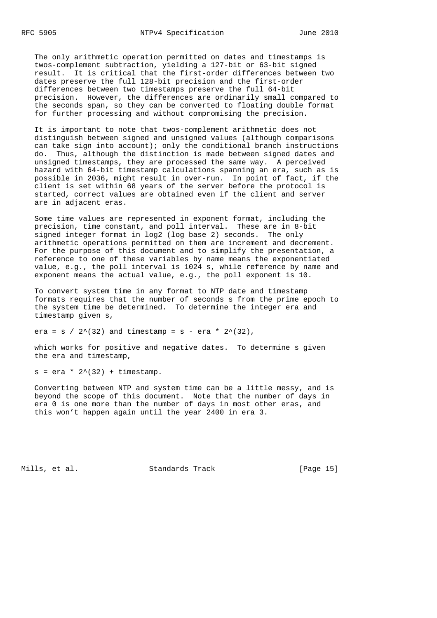The only arithmetic operation permitted on dates and timestamps is twos-complement subtraction, yielding a 127-bit or 63-bit signed result. It is critical that the first-order differences between two dates preserve the full 128-bit precision and the first-order differences between two timestamps preserve the full 64-bit precision. However, the differences are ordinarily small compared to the seconds span, so they can be converted to floating double format for further processing and without compromising the precision.

 It is important to note that twos-complement arithmetic does not distinguish between signed and unsigned values (although comparisons can take sign into account); only the conditional branch instructions do. Thus, although the distinction is made between signed dates and unsigned timestamps, they are processed the same way. A perceived hazard with 64-bit timestamp calculations spanning an era, such as is possible in 2036, might result in over-run. In point of fact, if the client is set within 68 years of the server before the protocol is started, correct values are obtained even if the client and server are in adjacent eras.

 Some time values are represented in exponent format, including the precision, time constant, and poll interval. These are in 8-bit signed integer format in log2 (log base 2) seconds. The only arithmetic operations permitted on them are increment and decrement. For the purpose of this document and to simplify the presentation, a reference to one of these variables by name means the exponentiated value, e.g., the poll interval is 1024 s, while reference by name and exponent means the actual value, e.g., the poll exponent is 10.

 To convert system time in any format to NTP date and timestamp formats requires that the number of seconds s from the prime epoch to the system time be determined. To determine the integer era and timestamp given s,

era = s / 2^(32) and timestamp = s - era \* 2^(32),

 which works for positive and negative dates. To determine s given the era and timestamp,

 $s = era * 2^(32) + timestamp.$ 

 Converting between NTP and system time can be a little messy, and is beyond the scope of this document. Note that the number of days in era 0 is one more than the number of days in most other eras, and this won't happen again until the year 2400 in era 3.

Mills, et al. Standards Track [Page 15]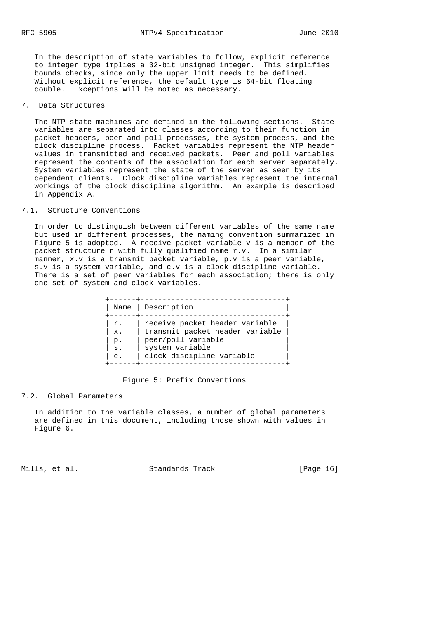In the description of state variables to follow, explicit reference to integer type implies a 32-bit unsigned integer. This simplifies bounds checks, since only the upper limit needs to be defined. Without explicit reference, the default type is 64-bit floating double. Exceptions will be noted as necessary.

## 7. Data Structures

 The NTP state machines are defined in the following sections. State variables are separated into classes according to their function in packet headers, peer and poll processes, the system process, and the clock discipline process. Packet variables represent the NTP header values in transmitted and received packets. Peer and poll variables represent the contents of the association for each server separately. System variables represent the state of the server as seen by its dependent clients. Clock discipline variables represent the internal workings of the clock discipline algorithm. An example is described in Appendix A.

## 7.1. Structure Conventions

 In order to distinguish between different variables of the same name but used in different processes, the naming convention summarized in Figure 5 is adopted. A receive packet variable v is a member of the packet structure r with fully qualified name r.v. In a similar manner, x.v is a transmit packet variable, p.v is a peer variable, s.v is a system variable, and c.v is a clock discipline variable. There is a set of peer variables for each association; there is only one set of system and clock variables.

| Name           | Description                     |
|----------------|---------------------------------|
| r.             | receive packet header variable  |
| $X$ .          | transmit packet header variable |
| $p$ .          | peer/poll variable              |
| $S$ .          | system variable                 |
| $\mathsf{C}$ . | clock discipline variable       |

#### Figure 5: Prefix Conventions

#### 7.2. Global Parameters

 In addition to the variable classes, a number of global parameters are defined in this document, including those shown with values in Figure 6.

Mills, et al. Standards Track [Page 16]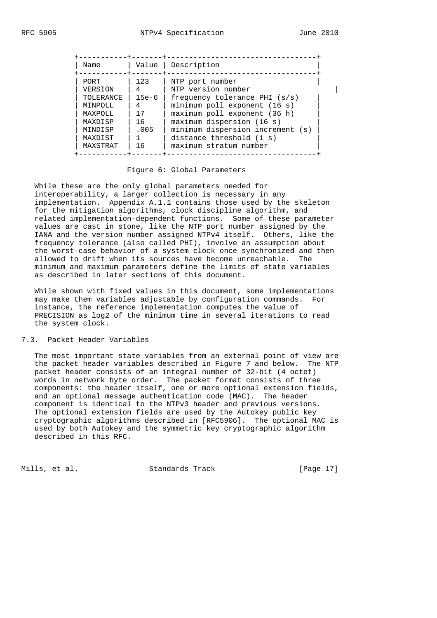| Name                                                                                             |
|--------------------------------------------------------------------------------------------------|
| PORT.<br>VERSION<br>TOLERANCE<br>MINPOLL<br>MAXPOLL<br>MAXDISP<br>MINDISP<br>MAXDIST<br>MAXSTRAT |

#### Figure 6: Global Parameters

 While these are the only global parameters needed for interoperability, a larger collection is necessary in any implementation. Appendix A.1.1 contains those used by the skeleton for the mitigation algorithms, clock discipline algorithm, and related implementation-dependent functions. Some of these parameter values are cast in stone, like the NTP port number assigned by the IANA and the version number assigned NTPv4 itself. Others, like the frequency tolerance (also called PHI), involve an assumption about the worst-case behavior of a system clock once synchronized and then allowed to drift when its sources have become unreachable. The minimum and maximum parameters define the limits of state variables as described in later sections of this document.

 While shown with fixed values in this document, some implementations may make them variables adjustable by configuration commands. For instance, the reference implementation computes the value of PRECISION as log2 of the minimum time in several iterations to read the system clock.

## 7.3. Packet Header Variables

 The most important state variables from an external point of view are the packet header variables described in Figure 7 and below. The NTP packet header consists of an integral number of 32-bit (4 octet) words in network byte order. The packet format consists of three components: the header itself, one or more optional extension fields, and an optional message authentication code (MAC). The header component is identical to the NTPv3 header and previous versions. The optional extension fields are used by the Autokey public key cryptographic algorithms described in [RFC5906]. The optional MAC is used by both Autokey and the symmetric key cryptographic algorithm described in this RFC.

Mills, et al. Standards Track [Page 17]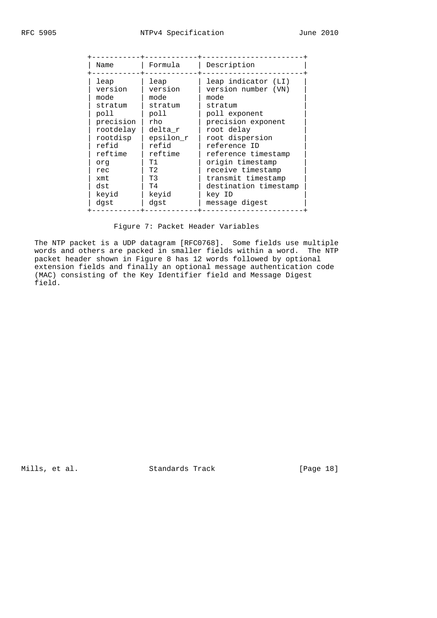| Name                                                                                                                                              | Formula                                                                                                                                | Description                                                                                                                                                                                                                                                                                      |
|---------------------------------------------------------------------------------------------------------------------------------------------------|----------------------------------------------------------------------------------------------------------------------------------------|--------------------------------------------------------------------------------------------------------------------------------------------------------------------------------------------------------------------------------------------------------------------------------------------------|
| leap<br>version<br>mode<br>stratum<br>poll<br>precision<br>rootdelay<br>rootdisp<br>refid<br>reftime<br>orq<br>rec<br>xmt<br>dst<br>keyid<br>dast | leap<br>version<br>mode<br>stratum<br>poll<br>rho<br>delta r<br>epsilon r<br>refid<br>reftime<br>T1<br>T2<br>T3<br>T4<br>keyid<br>dgst | leap indicator (LI)<br>version number (VN)<br>mode<br>stratum<br>poll exponent<br>precision exponent<br>root delay<br>root dispersion<br>reference ID<br>reference timestamp<br>origin timestamp<br>receive timestamp<br>transmit timestamp<br>destination timestamp<br>key ID<br>message digest |

Figure 7: Packet Header Variables

 The NTP packet is a UDP datagram [RFC0768]. Some fields use multiple words and others are packed in smaller fields within a word. The NTP packet header shown in Figure 8 has 12 words followed by optional extension fields and finally an optional message authentication code (MAC) consisting of the Key Identifier field and Message Digest field.

Mills, et al. Standards Track [Page 18]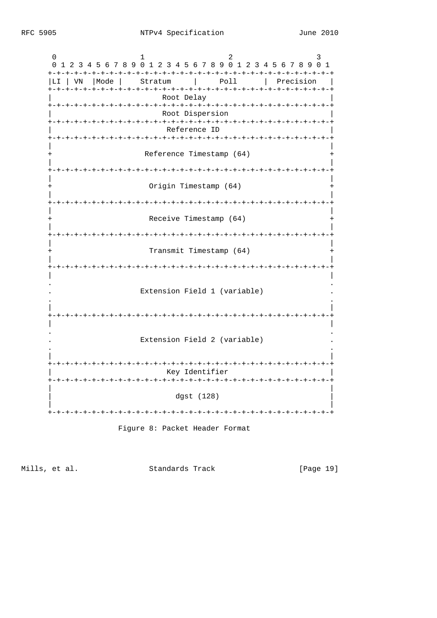| 0<br>ı<br>2345678901234567890<br>2345678901<br>1<br>0<br>1 |
|------------------------------------------------------------|
| Poll<br> Mode  <br>I LI.<br>VN<br>Stratum<br>Precision     |
| Root Delay<br>-+-+-+-+-+-+-+-+-+-+-+-+-+-+-+-+-+-          |
| Root Dispersion<br>-+-+-+-+-+-+-+-+-+-+-+-+-+-+-+-+-       |
| Reference ID<br>-+-+-+-+-+-+-+-+-+-+-+-+-+-+-+-            |
| Reference Timestamp (64)                                   |
|                                                            |
| Origin Timestamp (64)                                      |
| -+-+-+-+-+-+-+                                             |
| Receive Timestamp (64)                                     |
| ーナーナーナーナ<br>Transmit Timestamp (64)                        |
| -+-+-+-+-+-+-+-+-+-+-+-+-+-+-+-                            |
| Extension Field 1 (variable)                               |
|                                                            |
| Extension Field 2 (variable)                               |
| Key Identifier<br>-+-+-+-+-+-+-+-+-+-+-+-+-+-+-+-          |
| dgst (128)                                                 |
|                                                            |
| Figure 8: Packet Header Format                             |

Mills, et al. Standards Track

[Page 19]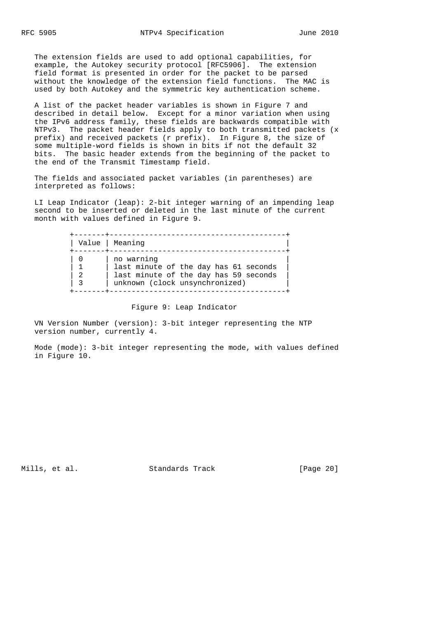The extension fields are used to add optional capabilities, for example, the Autokey security protocol [RFC5906]. The extension field format is presented in order for the packet to be parsed without the knowledge of the extension field functions. The MAC is used by both Autokey and the symmetric key authentication scheme.

 A list of the packet header variables is shown in Figure 7 and described in detail below. Except for a minor variation when using the IPv6 address family, these fields are backwards compatible with NTPv3. The packet header fields apply to both transmitted packets (x prefix) and received packets (r prefix). In Figure 8, the size of some multiple-word fields is shown in bits if not the default 32 bits. The basic header extends from the beginning of the packet to the end of the Transmit Timestamp field.

 The fields and associated packet variables (in parentheses) are interpreted as follows:

 LI Leap Indicator (leap): 2-bit integer warning of an impending leap second to be inserted or deleted in the last minute of the current month with values defined in Figure 9.

|   | Value   Meaning                                                                                                                |
|---|--------------------------------------------------------------------------------------------------------------------------------|
| 2 | no warning<br>last minute of the day has 61 seconds<br>last minute of the day has 59 seconds<br>unknown (clock unsynchronized) |

## Figure 9: Leap Indicator

 VN Version Number (version): 3-bit integer representing the NTP version number, currently 4.

 Mode (mode): 3-bit integer representing the mode, with values defined in Figure 10.

Mills, et al. Standards Track [Page 20]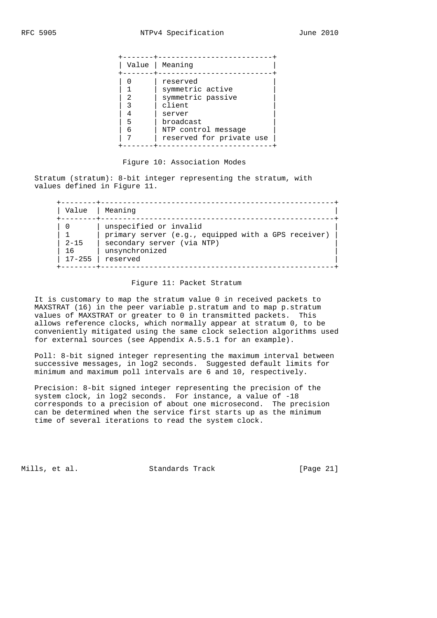| Value       | Meaning                                                                                                                               |
|-------------|---------------------------------------------------------------------------------------------------------------------------------------|
| ≘<br>5<br>6 | reserved<br>symmetric active<br>symmetric passive<br>client<br>server<br>broadcast<br>NTP control message<br>reserved for private use |

#### Figure 10: Association Modes

 Stratum (stratum): 8-bit integer representing the stratum, with values defined in Figure 11.

| Value                              |
|------------------------------------|
| -0<br>$2 - 15$<br>16<br>$17 - 255$ |

## Figure 11: Packet Stratum

 It is customary to map the stratum value 0 in received packets to MAXSTRAT (16) in the peer variable p.stratum and to map p.stratum values of MAXSTRAT or greater to 0 in transmitted packets. This allows reference clocks, which normally appear at stratum 0, to be conveniently mitigated using the same clock selection algorithms used for external sources (see Appendix A.5.5.1 for an example).

 Poll: 8-bit signed integer representing the maximum interval between successive messages, in log2 seconds. Suggested default limits for minimum and maximum poll intervals are 6 and 10, respectively.

 Precision: 8-bit signed integer representing the precision of the system clock, in log2 seconds. For instance, a value of -18 corresponds to a precision of about one microsecond. The precision can be determined when the service first starts up as the minimum time of several iterations to read the system clock.

Mills, et al. Standards Track [Page 21]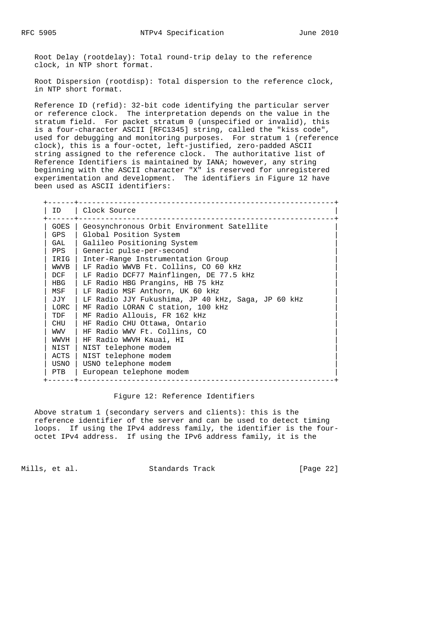Root Delay (rootdelay): Total round-trip delay to the reference clock, in NTP short format.

 Root Dispersion (rootdisp): Total dispersion to the reference clock, in NTP short format.

 Reference ID (refid): 32-bit code identifying the particular server or reference clock. The interpretation depends on the value in the stratum field. For packet stratum 0 (unspecified or invalid), this is a four-character ASCII [RFC1345] string, called the "kiss code", used for debugging and monitoring purposes. For stratum 1 (reference clock), this is a four-octet, left-justified, zero-padded ASCII string assigned to the reference clock. The authoritative list of Reference Identifiers is maintained by IANA; however, any string beginning with the ASCII character "X" is reserved for unregistered experimentation and development. The identifiers in Figure 12 have been used as ASCII identifiers:

| ID.  | Clock Source                                       |
|------|----------------------------------------------------|
| GOES | Geosynchronous Orbit Environment Satellite         |
| GPS  | Global Position System                             |
| GAL  | Galileo Positioning System                         |
| PPS  | Generic pulse-per-second                           |
| IRIG | Inter-Range Instrumentation Group                  |
| WWVB | LF Radio WWVB Ft. Collins, CO 60 kHz               |
| DCF  | LF Radio DCF77 Mainflingen, DE 77.5 kHz            |
| HBG  | LF Radio HBG Prangins, HB 75 kHz                   |
| MSF  | LF Radio MSF Anthorn, UK 60 kHz                    |
| JJY  | LF Radio JJY Fukushima, JP 40 kHz, Saga, JP 60 kHz |
| LORC | MF Radio LORAN C station, 100 kHz                  |
| TDF  | MF Radio Allouis, FR 162 kHz                       |
| CHU  | HF Radio CHU Ottawa, Ontario                       |
| WWV  | HF Radio WWV Ft. Collins, CO                       |
| WWVH | HF Radio WWVH Kauai, HI                            |
| NIST | NIST telephone modem                               |
| ACTS | NIST telephone modem                               |
| USNO | USNO telephone modem                               |
| PTB  | European telephone modem                           |

## Figure 12: Reference Identifiers

 Above stratum 1 (secondary servers and clients): this is the reference identifier of the server and can be used to detect timing loops. If using the IPv4 address family, the identifier is the four octet IPv4 address. If using the IPv6 address family, it is the

Mills, et al. Standards Track [Page 22]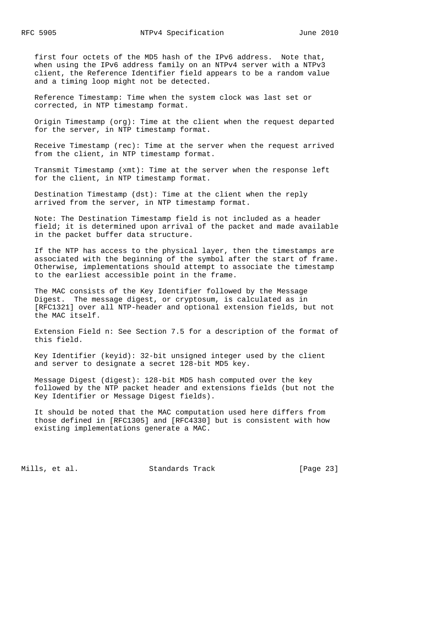first four octets of the MD5 hash of the IPv6 address. Note that, when using the IPv6 address family on an NTPv4 server with a NTPv3 client, the Reference Identifier field appears to be a random value and a timing loop might not be detected.

 Reference Timestamp: Time when the system clock was last set or corrected, in NTP timestamp format.

 Origin Timestamp (org): Time at the client when the request departed for the server, in NTP timestamp format.

 Receive Timestamp (rec): Time at the server when the request arrived from the client, in NTP timestamp format.

 Transmit Timestamp (xmt): Time at the server when the response left for the client, in NTP timestamp format.

 Destination Timestamp (dst): Time at the client when the reply arrived from the server, in NTP timestamp format.

 Note: The Destination Timestamp field is not included as a header field; it is determined upon arrival of the packet and made available in the packet buffer data structure.

 If the NTP has access to the physical layer, then the timestamps are associated with the beginning of the symbol after the start of frame. Otherwise, implementations should attempt to associate the timestamp to the earliest accessible point in the frame.

 The MAC consists of the Key Identifier followed by the Message Digest. The message digest, or cryptosum, is calculated as in [RFC1321] over all NTP-header and optional extension fields, but not the MAC itself.

 Extension Field n: See Section 7.5 for a description of the format of this field.

 Key Identifier (keyid): 32-bit unsigned integer used by the client and server to designate a secret 128-bit MD5 key.

 Message Digest (digest): 128-bit MD5 hash computed over the key followed by the NTP packet header and extensions fields (but not the Key Identifier or Message Digest fields).

 It should be noted that the MAC computation used here differs from those defined in [RFC1305] and [RFC4330] but is consistent with how existing implementations generate a MAC.

Mills, et al. Standards Track [Page 23]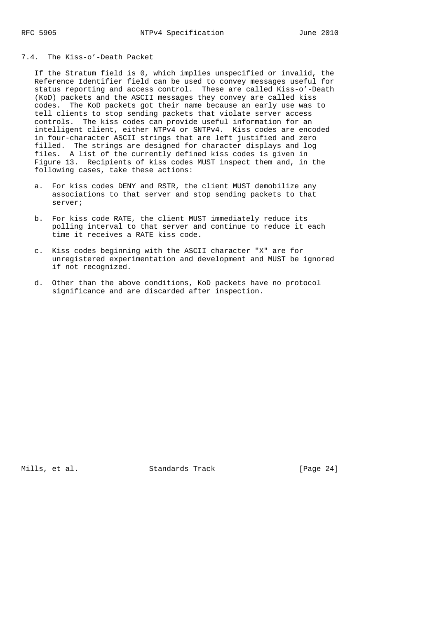# 7.4. The Kiss-o'-Death Packet

 If the Stratum field is 0, which implies unspecified or invalid, the Reference Identifier field can be used to convey messages useful for status reporting and access control. These are called Kiss-o'-Death (KoD) packets and the ASCII messages they convey are called kiss codes. The KoD packets got their name because an early use was to tell clients to stop sending packets that violate server access controls. The kiss codes can provide useful information for an intelligent client, either NTPv4 or SNTPv4. Kiss codes are encoded in four-character ASCII strings that are left justified and zero filled. The strings are designed for character displays and log files. A list of the currently defined kiss codes is given in Figure 13. Recipients of kiss codes MUST inspect them and, in the following cases, take these actions:

- a. For kiss codes DENY and RSTR, the client MUST demobilize any associations to that server and stop sending packets to that server;
- b. For kiss code RATE, the client MUST immediately reduce its polling interval to that server and continue to reduce it each time it receives a RATE kiss code.
- c. Kiss codes beginning with the ASCII character "X" are for unregistered experimentation and development and MUST be ignored if not recognized.
- d. Other than the above conditions, KoD packets have no protocol significance and are discarded after inspection.

Mills, et al. Standards Track [Page 24]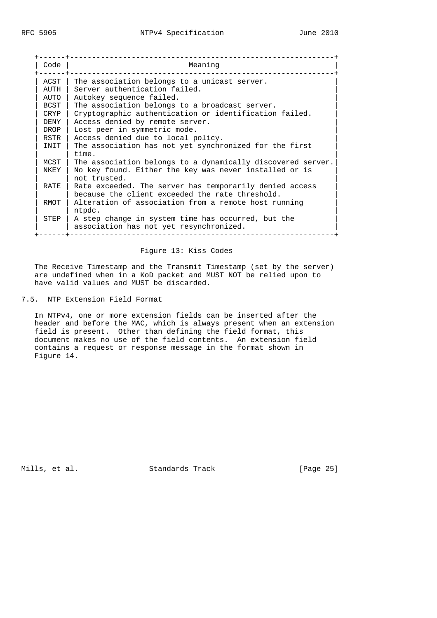| Code  | Meaning                                                                                                    |
|-------|------------------------------------------------------------------------------------------------------------|
| ACST  | The association belongs to a unicast server.                                                               |
| AUTH  | Server authentication failed.                                                                              |
| AUTO  | Autokey sequence failed.                                                                                   |
| BCST  | The association belongs to a broadcast server.                                                             |
| CRYP  | Cryptographic authentication or identification failed.                                                     |
| DENY. | Access denied by remote server.                                                                            |
| DROP  | Lost peer in symmetric mode.                                                                               |
| RSTR  | Access denied due to local policy.                                                                         |
| INIT  | The association has not yet synchronized for the first<br>time.                                            |
| MCST  | The association belongs to a dynamically discovered server.                                                |
| NKEY  | No key found. Either the key was never installed or is<br>not trusted.                                     |
| RATE. | Rate exceeded. The server has temporarily denied access<br>because the client exceeded the rate threshold. |
| RMOT  | Alteration of association from a remote host running<br>ntpdc.                                             |
| STEP  | A step change in system time has occurred, but the<br>association has not yet resynchronized.              |

## Figure 13: Kiss Codes

 The Receive Timestamp and the Transmit Timestamp (set by the server) are undefined when in a KoD packet and MUST NOT be relied upon to have valid values and MUST be discarded.

# 7.5. NTP Extension Field Format

 In NTPv4, one or more extension fields can be inserted after the header and before the MAC, which is always present when an extension field is present. Other than defining the field format, this document makes no use of the field contents. An extension field contains a request or response message in the format shown in Figure 14.

Mills, et al. Standards Track [Page 25]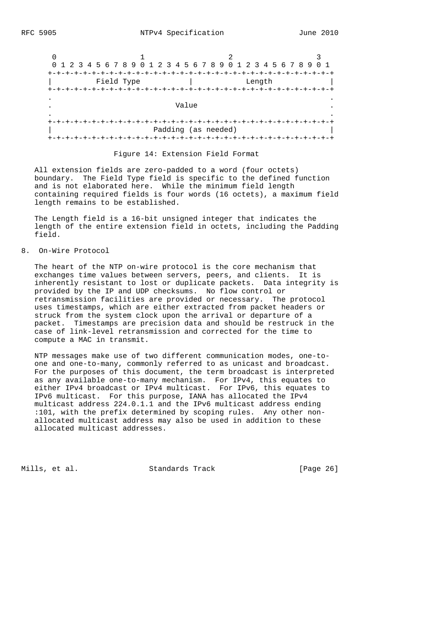

#### Figure 14: Extension Field Format

 All extension fields are zero-padded to a word (four octets) boundary. The Field Type field is specific to the defined function and is not elaborated here. While the minimum field length containing required fields is four words (16 octets), a maximum field length remains to be established.

 The Length field is a 16-bit unsigned integer that indicates the length of the entire extension field in octets, including the Padding field.

8. On-Wire Protocol

 The heart of the NTP on-wire protocol is the core mechanism that exchanges time values between servers, peers, and clients. It is inherently resistant to lost or duplicate packets. Data integrity is provided by the IP and UDP checksums. No flow control or retransmission facilities are provided or necessary. The protocol uses timestamps, which are either extracted from packet headers or struck from the system clock upon the arrival or departure of a packet. Timestamps are precision data and should be restruck in the case of link-level retransmission and corrected for the time to compute a MAC in transmit.

 NTP messages make use of two different communication modes, one-to one and one-to-many, commonly referred to as unicast and broadcast. For the purposes of this document, the term broadcast is interpreted as any available one-to-many mechanism. For IPv4, this equates to either IPv4 broadcast or IPv4 multicast. For IPv6, this equates to IPv6 multicast. For this purpose, IANA has allocated the IPv4 multicast address 224.0.1.1 and the IPv6 multicast address ending :101, with the prefix determined by scoping rules. Any other non allocated multicast address may also be used in addition to these allocated multicast addresses.

Mills, et al. Standards Track [Page 26]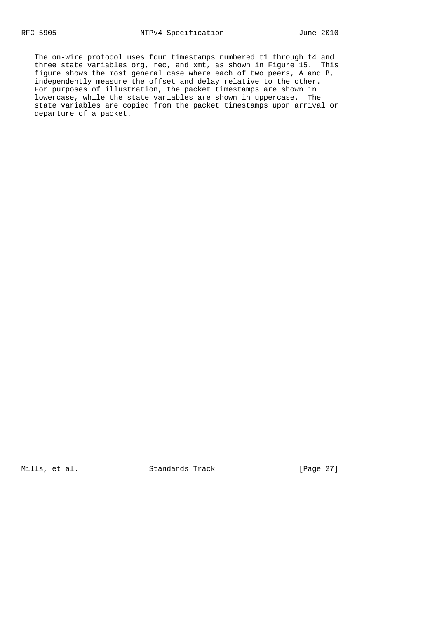The on-wire protocol uses four timestamps numbered t1 through t4 and three state variables org, rec, and xmt, as shown in Figure 15. This figure shows the most general case where each of two peers, A and B, independently measure the offset and delay relative to the other. For purposes of illustration, the packet timestamps are shown in lowercase, while the state variables are shown in uppercase. The state variables are copied from the packet timestamps upon arrival or departure of a packet.

Mills, et al. Standards Track [Page 27]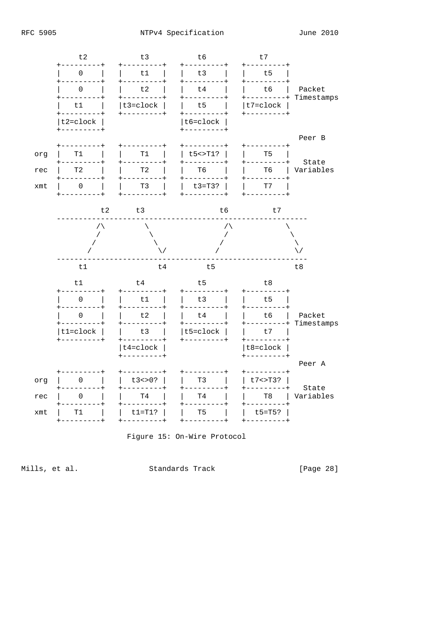



Mills, et al.

Standards Track

[Page 28]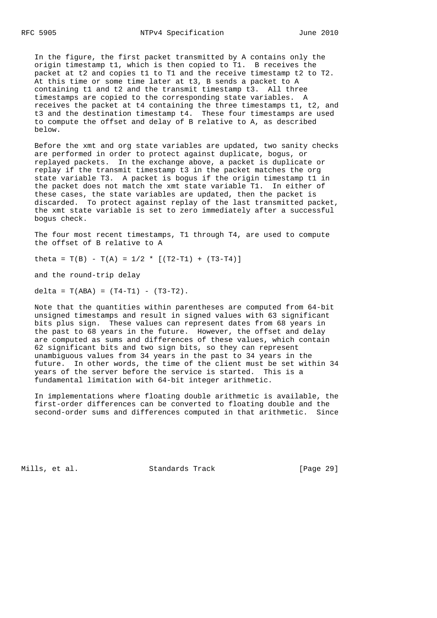In the figure, the first packet transmitted by A contains only the origin timestamp t1, which is then copied to T1. B receives the packet at t2 and copies t1 to T1 and the receive timestamp t2 to T2. At this time or some time later at t3, B sends a packet to A containing t1 and t2 and the transmit timestamp t3. All three timestamps are copied to the corresponding state variables. A receives the packet at t4 containing the three timestamps t1, t2, and t3 and the destination timestamp t4. These four timestamps are used to compute the offset and delay of B relative to A, as described below.

 Before the xmt and org state variables are updated, two sanity checks are performed in order to protect against duplicate, bogus, or replayed packets. In the exchange above, a packet is duplicate or replay if the transmit timestamp t3 in the packet matches the org state variable T3. A packet is bogus if the origin timestamp t1 in the packet does not match the xmt state variable T1. In either of these cases, the state variables are updated, then the packet is discarded. To protect against replay of the last transmitted packet, the xmt state variable is set to zero immediately after a successful bogus check.

 The four most recent timestamps, T1 through T4, are used to compute the offset of B relative to A

theta =  $T(B) - T(A) = 1/2$  \*  $[(T2-T1) + (T3-T4)]$ 

and the round-trip delay

delta =  $T(ABA)$  =  $(T4-T1)$  -  $(T3-T2)$ .

 Note that the quantities within parentheses are computed from 64-bit unsigned timestamps and result in signed values with 63 significant bits plus sign. These values can represent dates from 68 years in the past to 68 years in the future. However, the offset and delay are computed as sums and differences of these values, which contain 62 significant bits and two sign bits, so they can represent unambiguous values from 34 years in the past to 34 years in the future. In other words, the time of the client must be set within 34 years of the server before the service is started. This is a fundamental limitation with 64-bit integer arithmetic.

 In implementations where floating double arithmetic is available, the first-order differences can be converted to floating double and the second-order sums and differences computed in that arithmetic. Since

Mills, et al. Standards Track [Page 29]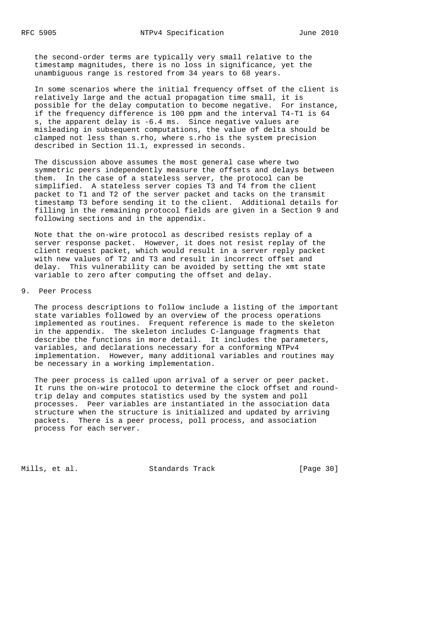the second-order terms are typically very small relative to the timestamp magnitudes, there is no loss in significance, yet the unambiguous range is restored from 34 years to 68 years.

 In some scenarios where the initial frequency offset of the client is relatively large and the actual propagation time small, it is possible for the delay computation to become negative. For instance, if the frequency difference is 100 ppm and the interval T4-T1 is 64 s, the apparent delay is -6.4 ms. Since negative values are misleading in subsequent computations, the value of delta should be clamped not less than s.rho, where s.rho is the system precision described in Section 11.1, expressed in seconds.

 The discussion above assumes the most general case where two symmetric peers independently measure the offsets and delays between them. In the case of a stateless server, the protocol can be simplified. A stateless server copies T3 and T4 from the client packet to T1 and T2 of the server packet and tacks on the transmit timestamp T3 before sending it to the client. Additional details for filling in the remaining protocol fields are given in a Section 9 and following sections and in the appendix.

 Note that the on-wire protocol as described resists replay of a server response packet. However, it does not resist replay of the client request packet, which would result in a server reply packet with new values of T2 and T3 and result in incorrect offset and delay. This vulnerability can be avoided by setting the xmt state variable to zero after computing the offset and delay.

9. Peer Process

 The process descriptions to follow include a listing of the important state variables followed by an overview of the process operations implemented as routines. Frequent reference is made to the skeleton in the appendix. The skeleton includes C-language fragments that describe the functions in more detail. It includes the parameters, variables, and declarations necessary for a conforming NTPv4 implementation. However, many additional variables and routines may be necessary in a working implementation.

 The peer process is called upon arrival of a server or peer packet. It runs the on-wire protocol to determine the clock offset and round trip delay and computes statistics used by the system and poll processes. Peer variables are instantiated in the association data structure when the structure is initialized and updated by arriving packets. There is a peer process, poll process, and association process for each server.

Mills, et al. Standards Track [Page 30]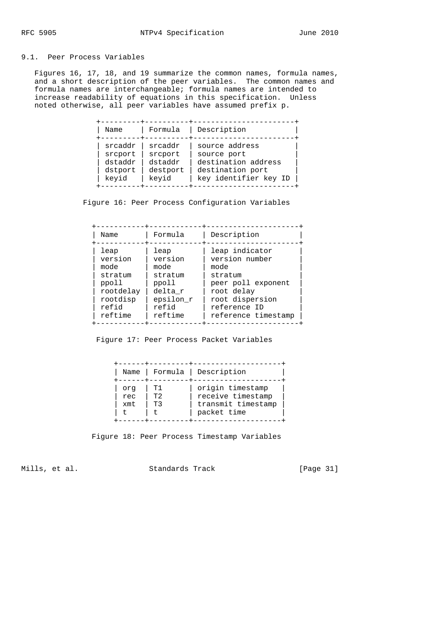# 9.1. Peer Process Variables

 Figures 16, 17, 18, and 19 summarize the common names, formula names, and a short description of the peer variables. The common names and formula names are interchangeable; formula names are intended to increase readability of equations in this specification. Unless noted otherwise, all peer variables have assumed prefix p.

| Name                                              |
|---------------------------------------------------|
| srcaddr<br>srcport<br>dstaddr<br>dstport<br>keyid |

Figure 16: Peer Process Configuration Variables

| Name      | Formula   | Description         |
|-----------|-----------|---------------------|
| leap      | leap      | leap indicator      |
| version   | version   | version number      |
| mode      | mode      | mode                |
| stratum   | stratum   | stratum             |
| ppoll     | ppoll     | peer poll exponent  |
| rootdelay | delta r   | root delay          |
| rootdisp  | epsilon r | root dispersion     |
| refid     | refid     | reference ID        |
| reftime   | reftime   | reference timestamp |

Figure 17: Peer Process Packet Variables

| Name                    |
|-------------------------|
| org<br>rec<br>xmt<br>t. |

Figure 18: Peer Process Timestamp Variables

Mills, et al. Standards Track [Page 31]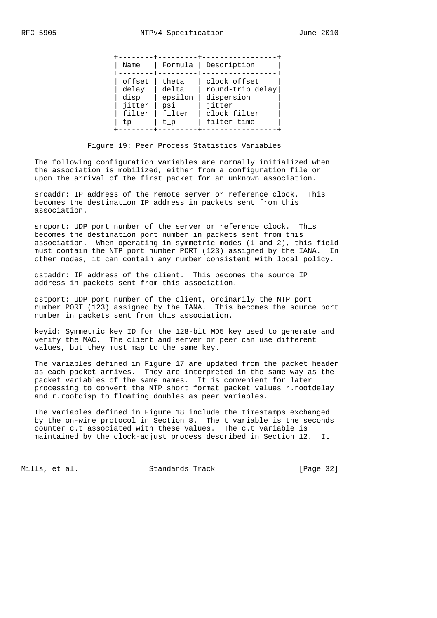| Name                                              | Formula                                           | Description                                                                             |  |
|---------------------------------------------------|---------------------------------------------------|-----------------------------------------------------------------------------------------|--|
| offset<br>delay<br>disp<br>jitter<br>filter<br>tp | theta<br>delta<br>epsilon<br>psi<br>filter<br>t p | clock offset<br>round-trip delay<br>dispersion<br>jitter<br>clock filter<br>filter time |  |

Figure 19: Peer Process Statistics Variables

 The following configuration variables are normally initialized when the association is mobilized, either from a configuration file or upon the arrival of the first packet for an unknown association.

 srcaddr: IP address of the remote server or reference clock. This becomes the destination IP address in packets sent from this association.

 srcport: UDP port number of the server or reference clock. This becomes the destination port number in packets sent from this association. When operating in symmetric modes (1 and 2), this field must contain the NTP port number PORT (123) assigned by the IANA. In other modes, it can contain any number consistent with local policy.

 dstaddr: IP address of the client. This becomes the source IP address in packets sent from this association.

 dstport: UDP port number of the client, ordinarily the NTP port number PORT (123) assigned by the IANA. This becomes the source port number in packets sent from this association.

 keyid: Symmetric key ID for the 128-bit MD5 key used to generate and verify the MAC. The client and server or peer can use different values, but they must map to the same key.

 The variables defined in Figure 17 are updated from the packet header as each packet arrives. They are interpreted in the same way as the packet variables of the same names. It is convenient for later processing to convert the NTP short format packet values r.rootdelay and r.rootdisp to floating doubles as peer variables.

 The variables defined in Figure 18 include the timestamps exchanged by the on-wire protocol in Section 8. The t variable is the seconds counter c.t associated with these values. The c.t variable is maintained by the clock-adjust process described in Section 12. It

Mills, et al. Standards Track [Page 32]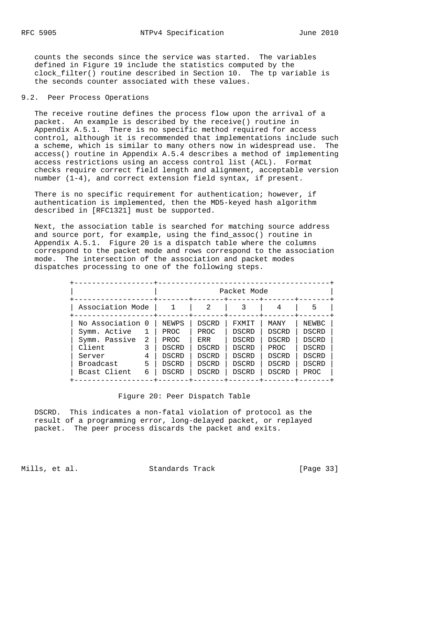counts the seconds since the service was started. The variables defined in Figure 19 include the statistics computed by the clock\_filter() routine described in Section 10. The tp variable is the seconds counter associated with these values.

## 9.2. Peer Process Operations

 The receive routine defines the process flow upon the arrival of a packet. An example is described by the receive() routine in Appendix A.5.1. There is no specific method required for access control, although it is recommended that implementations include such a scheme, which is similar to many others now in widespread use. The access() routine in Appendix A.5.4 describes a method of implementing access restrictions using an access control list (ACL). Format checks require correct field length and alignment, acceptable version number (1-4), and correct extension field syntax, if present.

There is no specific requirement for authentication; however, if authentication is implemented, then the MD5-keyed hash algorithm described in [RFC1321] must be supported.

 Next, the association table is searched for matching source address and source port, for example, using the find\_assoc() routine in Appendix A.5.1. Figure 20 is a dispatch table where the columns correspond to the packet mode and rows correspond to the association mode. The intersection of the association and packet modes dispatches processing to one of the following steps.

|                  |   |              |              | Packet Mode  |              |              |
|------------------|---|--------------|--------------|--------------|--------------|--------------|
| Association Mode |   |              | 2            |              | 4            | 5            |
| No Association 0 |   | NEWPS        | <b>DSCRD</b> | FXMIT        | MANY         | NEWBC        |
| Symm. Active     |   | PROC         | PROC         | DSCRD        | <b>DSCRD</b> | DSCRD        |
| Symm. Passive    | 2 | PROC         | ERR          | DSCRD        | DSCRD        | DSCRD        |
| Client           |   | DSCRD        | DSCRD        | DSCRD        | PROC         | DSCRD        |
| Server           | 4 | <b>DSCRD</b> | <b>DSCRD</b> | <b>DSCRD</b> | <b>DSCRD</b> | <b>DSCRD</b> |
| Broadcast        | 5 | <b>DSCRD</b> | DSCRD        | DSCRD        | DSCRD        | DSCRD        |
| Bcast Client     | 6 | <b>DSCRD</b> | <b>DSCRD</b> | DSCRD        | DSCRD        | PROC         |

## Figure 20: Peer Dispatch Table

 DSCRD. This indicates a non-fatal violation of protocol as the result of a programming error, long-delayed packet, or replayed packet. The peer process discards the packet and exits.

Mills, et al. Standards Track [Page 33]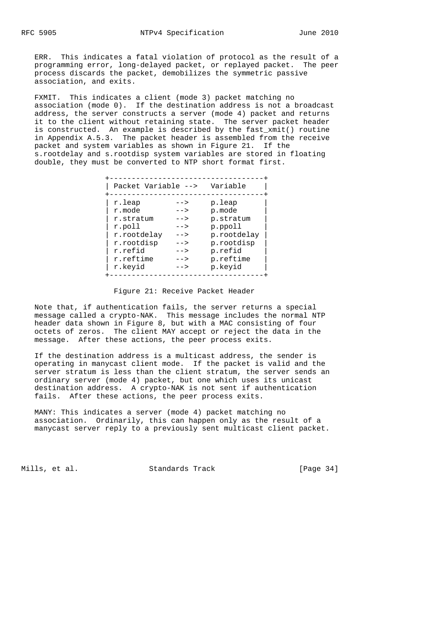ERR. This indicates a fatal violation of protocol as the result of a programming error, long-delayed packet, or replayed packet. The peer process discards the packet, demobilizes the symmetric passive association, and exits.

 FXMIT. This indicates a client (mode 3) packet matching no association (mode 0). If the destination address is not a broadcast address, the server constructs a server (mode 4) packet and returns it to the client without retaining state. The server packet header is constructed. An example is described by the fast xmit() routine in Appendix A.5.3. The packet header is assembled from the receive packet and system variables as shown in Figure 21. If the s.rootdelay and s.rootdisp system variables are stored in floating double, they must be converted to NTP short format first.

| Packet Variable --> Variable |        |             |
|------------------------------|--------|-------------|
| r.leap                       | -->    | p.leap      |
| r.mode                       | $--$   | p.mode      |
| r.stratum                    | $--$   | p.stratum   |
| r.poll                       | $--&>$ | p.ppoll     |
| r.rootdelay                  | $--&>$ | p.rootdelay |
| r.rootdisp                   | $--&>$ | p.rootdisp  |
| r.refid                      | $--$   | p.refid     |
| r.reftime                    | $--$   | p.reftime   |
| r.keyid                      | -->    | p.keyid     |

## Figure 21: Receive Packet Header

 Note that, if authentication fails, the server returns a special message called a crypto-NAK. This message includes the normal NTP header data shown in Figure 8, but with a MAC consisting of four octets of zeros. The client MAY accept or reject the data in the message. After these actions, the peer process exits.

 If the destination address is a multicast address, the sender is operating in manycast client mode. If the packet is valid and the server stratum is less than the client stratum, the server sends an ordinary server (mode 4) packet, but one which uses its unicast destination address. A crypto-NAK is not sent if authentication fails. After these actions, the peer process exits.

 MANY: This indicates a server (mode 4) packet matching no association. Ordinarily, this can happen only as the result of a manycast server reply to a previously sent multicast client packet.

Mills, et al. Standards Track [Page 34]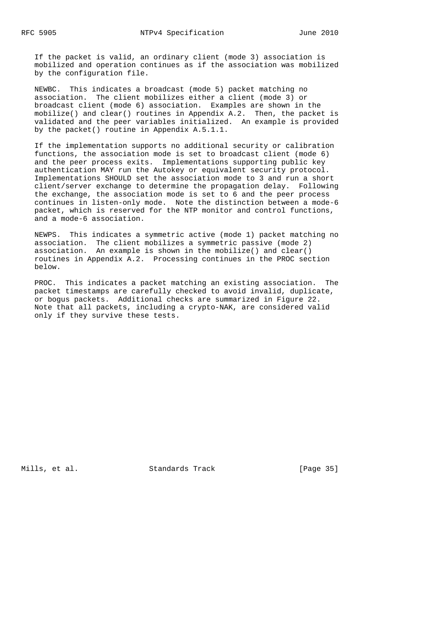If the packet is valid, an ordinary client (mode 3) association is mobilized and operation continues as if the association was mobilized by the configuration file.

 NEWBC. This indicates a broadcast (mode 5) packet matching no association. The client mobilizes either a client (mode 3) or broadcast client (mode 6) association. Examples are shown in the mobilize() and clear() routines in Appendix A.2. Then, the packet is validated and the peer variables initialized. An example is provided by the packet() routine in Appendix A.5.1.1.

 If the implementation supports no additional security or calibration functions, the association mode is set to broadcast client (mode 6) and the peer process exits. Implementations supporting public key authentication MAY run the Autokey or equivalent security protocol. Implementations SHOULD set the association mode to 3 and run a short client/server exchange to determine the propagation delay. Following the exchange, the association mode is set to 6 and the peer process continues in listen-only mode. Note the distinction between a mode-6 packet, which is reserved for the NTP monitor and control functions, and a mode-6 association.

 NEWPS. This indicates a symmetric active (mode 1) packet matching no association. The client mobilizes a symmetric passive (mode 2) association. An example is shown in the mobilize() and clear() routines in Appendix A.2. Processing continues in the PROC section below.

 PROC. This indicates a packet matching an existing association. The packet timestamps are carefully checked to avoid invalid, duplicate, or bogus packets. Additional checks are summarized in Figure 22. Note that all packets, including a crypto-NAK, are considered valid only if they survive these tests.

Mills, et al. Standards Track [Page 35]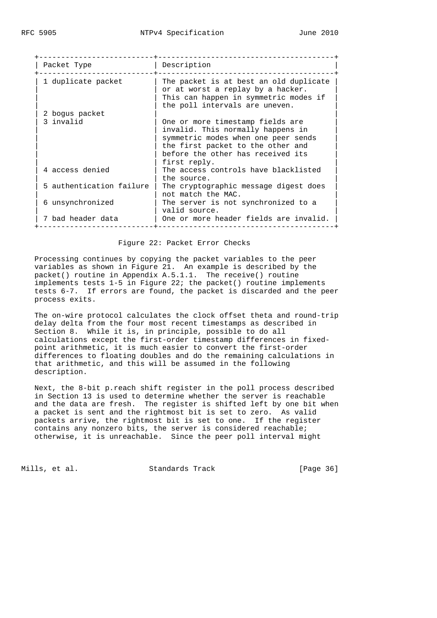| Packet Type              | Description                                                                                                                                                                                            |  |  |
|--------------------------|--------------------------------------------------------------------------------------------------------------------------------------------------------------------------------------------------------|--|--|
| 1 duplicate packet       | The packet is at best an old duplicate<br>or at worst a replay by a hacker.<br>This can happen in symmetric modes if<br>the poll intervals are uneven.                                                 |  |  |
| 2 bogus packet           |                                                                                                                                                                                                        |  |  |
| 3 invalid                | One or more timestamp fields are<br>invalid. This normally happens in<br>symmetric modes when one peer sends<br>the first packet to the other and<br>before the other has received its<br>first reply. |  |  |
| 4 access denied          | The access controls have blacklisted<br>the source.                                                                                                                                                    |  |  |
| 5 authentication failure | The cryptographic message digest does<br>not match the MAC.                                                                                                                                            |  |  |
| 6 unsynchronized         | The server is not synchronized to a<br>valid source.                                                                                                                                                   |  |  |
| 7 bad header data        | One or more header fields are invalid.                                                                                                                                                                 |  |  |

## Figure 22: Packet Error Checks

 Processing continues by copying the packet variables to the peer variables as shown in Figure 21. An example is described by the packet() routine in Appendix A.5.1.1. The receive() routine implements tests 1-5 in Figure 22; the packet() routine implements tests 6-7. If errors are found, the packet is discarded and the peer process exits.

 The on-wire protocol calculates the clock offset theta and round-trip delay delta from the four most recent timestamps as described in Section 8. While it is, in principle, possible to do all calculations except the first-order timestamp differences in fixed point arithmetic, it is much easier to convert the first-order differences to floating doubles and do the remaining calculations in that arithmetic, and this will be assumed in the following description.

 Next, the 8-bit p.reach shift register in the poll process described in Section 13 is used to determine whether the server is reachable and the data are fresh. The register is shifted left by one bit when a packet is sent and the rightmost bit is set to zero. As valid packets arrive, the rightmost bit is set to one. If the register contains any nonzero bits, the server is considered reachable; otherwise, it is unreachable. Since the peer poll interval might

Mills, et al. Standards Track [Page 36]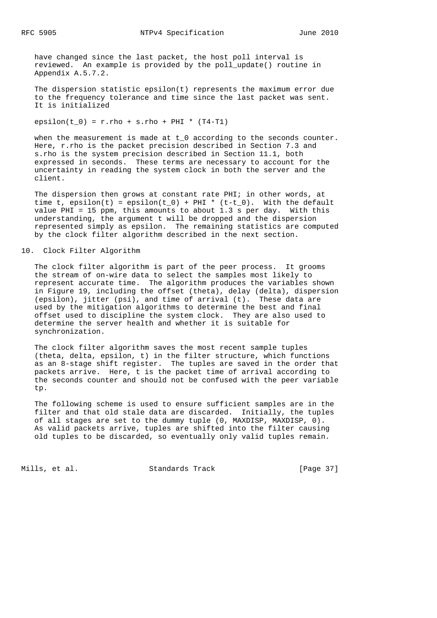have changed since the last packet, the host poll interval is reviewed. An example is provided by the poll\_update() routine in Appendix A.5.7.2.

 The dispersion statistic epsilon(t) represents the maximum error due to the frequency tolerance and time since the last packet was sent. It is initialized

epsilon(t  $0$ ) = r.rho + s.rho + PHI \* (T4-T1)

when the measurement is made at  $t \theta$  according to the seconds counter. Here, r.rho is the packet precision described in Section 7.3 and s.rho is the system precision described in Section 11.1, both expressed in seconds. These terms are necessary to account for the uncertainty in reading the system clock in both the server and the client.

 The dispersion then grows at constant rate PHI; in other words, at time t, epsilon(t) = epsilon(t\_0) + PHI \* (t-t\_0). With the default value PHI = 15 ppm, this amounts to about 1.3 s per day. With this understanding, the argument t will be dropped and the dispersion represented simply as epsilon. The remaining statistics are computed by the clock filter algorithm described in the next section.

#### 10. Clock Filter Algorithm

 The clock filter algorithm is part of the peer process. It grooms the stream of on-wire data to select the samples most likely to represent accurate time. The algorithm produces the variables shown in Figure 19, including the offset (theta), delay (delta), dispersion (epsilon), jitter (psi), and time of arrival (t). These data are used by the mitigation algorithms to determine the best and final offset used to discipline the system clock. They are also used to determine the server health and whether it is suitable for synchronization.

 The clock filter algorithm saves the most recent sample tuples (theta, delta, epsilon, t) in the filter structure, which functions as an 8-stage shift register. The tuples are saved in the order that packets arrive. Here, t is the packet time of arrival according to the seconds counter and should not be confused with the peer variable tp.

 The following scheme is used to ensure sufficient samples are in the filter and that old stale data are discarded. Initially, the tuples of all stages are set to the dummy tuple (0, MAXDISP, MAXDISP, 0). As valid packets arrive, tuples are shifted into the filter causing old tuples to be discarded, so eventually only valid tuples remain.

Mills, et al. Standards Track [Page 37]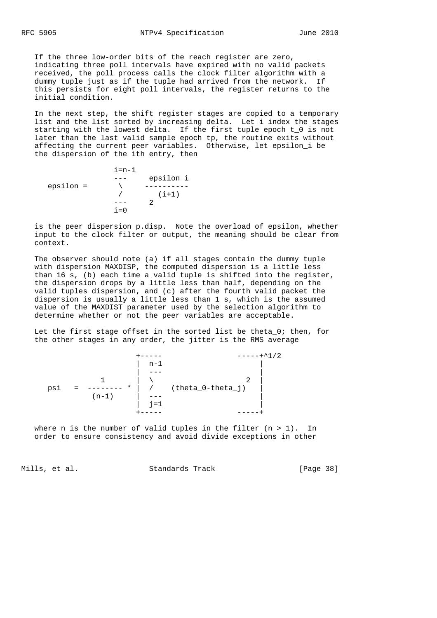If the three low-order bits of the reach register are zero, indicating three poll intervals have expired with no valid packets received, the poll process calls the clock filter algorithm with a dummy tuple just as if the tuple had arrived from the network. If this persists for eight poll intervals, the register returns to the initial condition.

 In the next step, the shift register stages are copied to a temporary list and the list sorted by increasing delta. Let i index the stages starting with the lowest delta. If the first tuple epoch t\_0 is not later than the last valid sample epoch tp, the routine exits without affecting the current peer variables. Otherwise, let epsilon\_i be the dispersion of the ith entry, then

 $i=n-1$ epsilon =  $\qquad \qquad \overline{\qquad}$  --- epsilon\_i epsilon =  $\qquad \qquad \backslash$  ---------- $/$  (i+1)  $--- 2$  $i=0$ 

 is the peer dispersion p.disp. Note the overload of epsilon, whether input to the clock filter or output, the meaning should be clear from context.

 The observer should note (a) if all stages contain the dummy tuple with dispersion MAXDISP, the computed dispersion is a little less than 16 s, (b) each time a valid tuple is shifted into the register, the dispersion drops by a little less than half, depending on the valid tuples dispersion, and (c) after the fourth valid packet the dispersion is usually a little less than 1 s, which is the assumed value of the MAXDIST parameter used by the selection algorithm to determine whether or not the peer variables are acceptable.

Let the first stage offset in the sorted list be theta 0; then, for the other stages in any order, the jitter is the RMS average



where n is the number of valid tuples in the filter  $(n > 1)$ . In order to ensure consistency and avoid divide exceptions in other

Mills, et al. Standards Track [Page 38]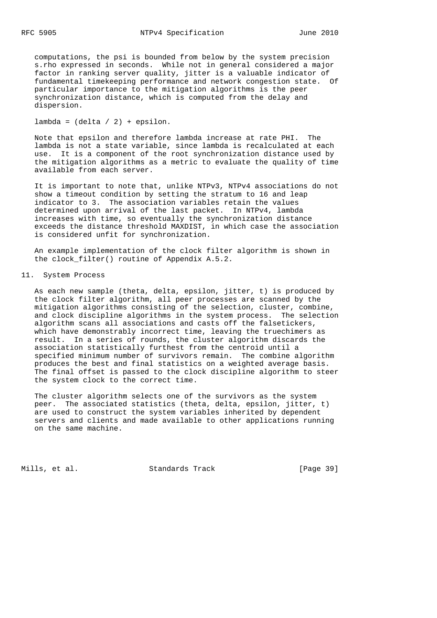computations, the psi is bounded from below by the system precision s.rho expressed in seconds. While not in general considered a major factor in ranking server quality, jitter is a valuable indicator of fundamental timekeeping performance and network congestion state. Of particular importance to the mitigation algorithms is the peer synchronization distance, which is computed from the delay and dispersion.

 $lambda = (delta / 2) + epsilon.$ 

 Note that epsilon and therefore lambda increase at rate PHI. The lambda is not a state variable, since lambda is recalculated at each use. It is a component of the root synchronization distance used by the mitigation algorithms as a metric to evaluate the quality of time available from each server.

 It is important to note that, unlike NTPv3, NTPv4 associations do not show a timeout condition by setting the stratum to 16 and leap indicator to 3. The association variables retain the values determined upon arrival of the last packet. In NTPv4, lambda increases with time, so eventually the synchronization distance exceeds the distance threshold MAXDIST, in which case the association is considered unfit for synchronization.

 An example implementation of the clock filter algorithm is shown in the clock\_filter() routine of Appendix A.5.2.

### 11. System Process

 As each new sample (theta, delta, epsilon, jitter, t) is produced by the clock filter algorithm, all peer processes are scanned by the mitigation algorithms consisting of the selection, cluster, combine, and clock discipline algorithms in the system process. The selection algorithm scans all associations and casts off the falsetickers, which have demonstrably incorrect time, leaving the truechimers as result. In a series of rounds, the cluster algorithm discards the association statistically furthest from the centroid until a specified minimum number of survivors remain. The combine algorithm produces the best and final statistics on a weighted average basis. The final offset is passed to the clock discipline algorithm to steer the system clock to the correct time.

 The cluster algorithm selects one of the survivors as the system peer. The associated statistics (theta, delta, epsilon, jitter, t) are used to construct the system variables inherited by dependent servers and clients and made available to other applications running on the same machine.

Mills, et al. Standards Track [Page 39]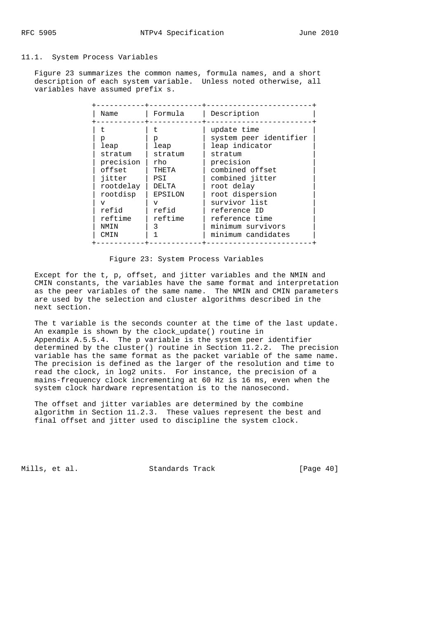## 11.1. System Process Variables

 Figure 23 summarizes the common names, formula names, and a short description of each system variable. Unless noted otherwise, all variables have assumed prefix s.

| Name                                                                                                                                 | Formula                                                                                  | Description                                                                                                                                                                                                                                          |
|--------------------------------------------------------------------------------------------------------------------------------------|------------------------------------------------------------------------------------------|------------------------------------------------------------------------------------------------------------------------------------------------------------------------------------------------------------------------------------------------------|
| p<br>leap<br>stratum<br>precision<br>offset<br>jitter<br>rootdelay<br>rootdisp<br>$\overline{V}$<br>refid<br>reftime<br>NMTN<br>CMIN | p<br>leap<br>stratum<br>rho<br>THETA<br>PSI<br>DELTA<br>EPSILON<br>T<br>refid<br>reftime | update time<br>system peer identifier<br>leap indicator<br>stratum<br>precision<br>combined offset<br>combined jitter<br>root delay<br>root dispersion<br>survivor list<br>reference ID<br>reference time<br>minimum survivors<br>minimum candidates |

# Figure 23: System Process Variables

 Except for the t, p, offset, and jitter variables and the NMIN and CMIN constants, the variables have the same format and interpretation as the peer variables of the same name. The NMIN and CMIN parameters are used by the selection and cluster algorithms described in the next section.

 The t variable is the seconds counter at the time of the last update. An example is shown by the clock\_update() routine in Appendix A.5.5.4. The p variable is the system peer identifier determined by the cluster() routine in Section 11.2.2. The precision variable has the same format as the packet variable of the same name. The precision is defined as the larger of the resolution and time to read the clock, in log2 units. For instance, the precision of a mains-frequency clock incrementing at 60 Hz is 16 ms, even when the system clock hardware representation is to the nanosecond.

 The offset and jitter variables are determined by the combine algorithm in Section 11.2.3. These values represent the best and final offset and jitter used to discipline the system clock.

Mills, et al. Standards Track [Page 40]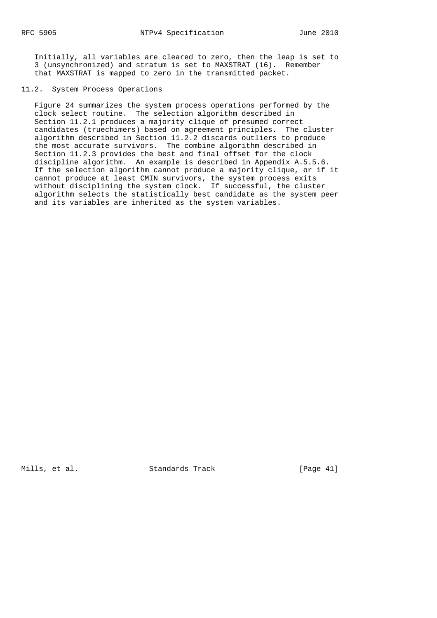Initially, all variables are cleared to zero, then the leap is set to 3 (unsynchronized) and stratum is set to MAXSTRAT (16). Remember that MAXSTRAT is mapped to zero in the transmitted packet.

## 11.2. System Process Operations

 Figure 24 summarizes the system process operations performed by the clock select routine. The selection algorithm described in Section 11.2.1 produces a majority clique of presumed correct candidates (truechimers) based on agreement principles. The cluster algorithm described in Section 11.2.2 discards outliers to produce the most accurate survivors. The combine algorithm described in Section 11.2.3 provides the best and final offset for the clock discipline algorithm. An example is described in Appendix A.5.5.6. If the selection algorithm cannot produce a majority clique, or if it cannot produce at least CMIN survivors, the system process exits without disciplining the system clock. If successful, the cluster algorithm selects the statistically best candidate as the system peer and its variables are inherited as the system variables.

Mills, et al. Standards Track [Page 41]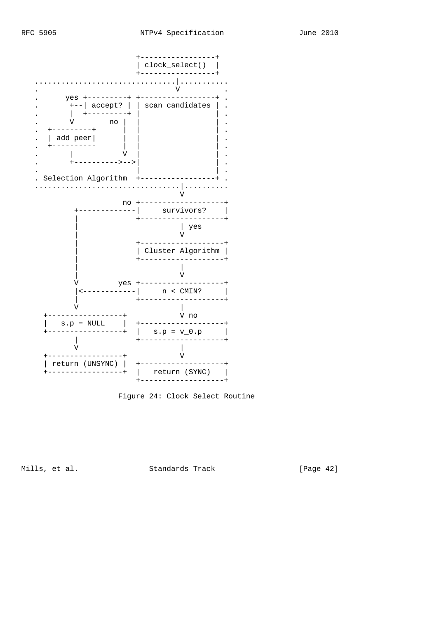



Figure 24: Clock Select Routine

Mills, et al.

Standards Track

[Page 42]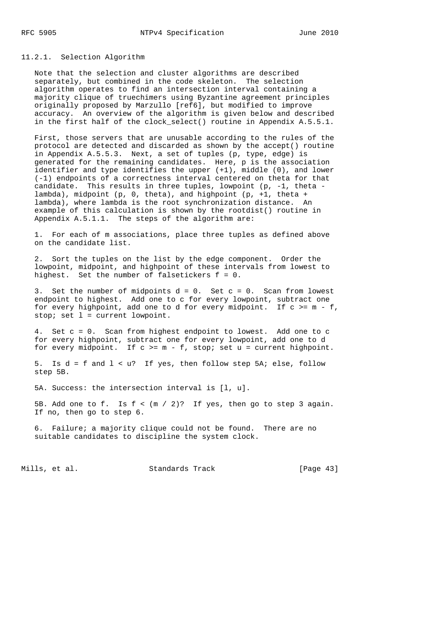# 11.2.1. Selection Algorithm

 Note that the selection and cluster algorithms are described separately, but combined in the code skeleton. The selection algorithm operates to find an intersection interval containing a majority clique of truechimers using Byzantine agreement principles originally proposed by Marzullo [ref6], but modified to improve accuracy. An overview of the algorithm is given below and described in the first half of the clock select() routine in Appendix A.5.5.1.

 First, those servers that are unusable according to the rules of the protocol are detected and discarded as shown by the accept() routine in Appendix A.5.5.3. Next, a set of tuples (p, type, edge) is generated for the remaining candidates. Here, p is the association identifier and type identifies the upper (+1), middle (0), and lower (-1) endpoints of a correctness interval centered on theta for that candidate. This results in three tuples, lowpoint (p, -1, theta lambda), midpoint (p, 0, theta), and highpoint (p, +1, theta + lambda), where lambda is the root synchronization distance. An example of this calculation is shown by the rootdist() routine in Appendix A.5.1.1. The steps of the algorithm are:

 1. For each of m associations, place three tuples as defined above on the candidate list.

 2. Sort the tuples on the list by the edge component. Order the lowpoint, midpoint, and highpoint of these intervals from lowest to highest. Set the number of falsetickers f = 0.

3. Set the number of midpoints  $d = 0$ . Set  $c = 0$ . Scan from lowest endpoint to highest. Add one to c for every lowpoint, subtract one for every highpoint, add one to d for every midpoint. If  $c \ge m - f$ , stop; set l = current lowpoint.

 4. Set c = 0. Scan from highest endpoint to lowest. Add one to c for every highpoint, subtract one for every lowpoint, add one to d for every midpoint. If  $c \ge m - f$ , stop; set  $u =$  current highpoint.

 5. Is d = f and l < u? If yes, then follow step 5A; else, follow step 5B.

5A. Success: the intersection interval is [l, u].

5B. Add one to f. Is  $f < (m / 2)?$  If yes, then go to step 3 again. If no, then go to step 6.

 6. Failure; a majority clique could not be found. There are no suitable candidates to discipline the system clock.

Mills, et al. Standards Track [Page 43]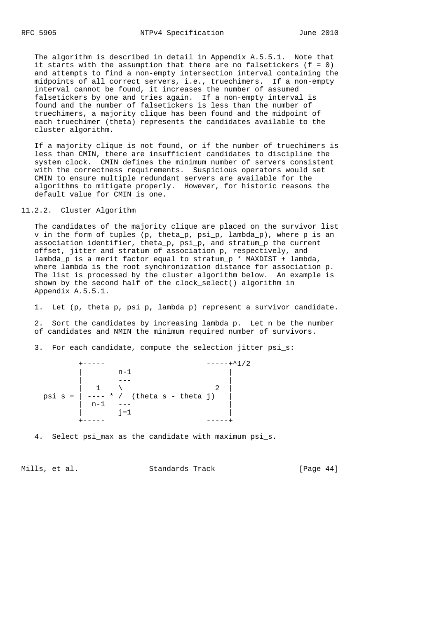The algorithm is described in detail in Appendix A.5.5.1. Note that it starts with the assumption that there are no falsetickers  $(f = 0)$  and attempts to find a non-empty intersection interval containing the midpoints of all correct servers, i.e., truechimers. If a non-empty interval cannot be found, it increases the number of assumed falsetickers by one and tries again. If a non-empty interval is found and the number of falsetickers is less than the number of truechimers, a majority clique has been found and the midpoint of each truechimer (theta) represents the candidates available to the cluster algorithm.

 If a majority clique is not found, or if the number of truechimers is less than CMIN, there are insufficient candidates to discipline the system clock. CMIN defines the minimum number of servers consistent with the correctness requirements. Suspicious operators would set CMIN to ensure multiple redundant servers are available for the algorithms to mitigate properly. However, for historic reasons the default value for CMIN is one.

## 11.2.2. Cluster Algorithm

 The candidates of the majority clique are placed on the survivor list v in the form of tuples (p, theta\_p, psi\_p, lambda\_p), where p is an association identifier, theta\_p, psi\_p, and stratum\_p the current offset, jitter and stratum of association p, respectively, and lambda\_p is a merit factor equal to stratum\_p \* MAXDIST + lambda, where lambda is the root synchronization distance for association p. The list is processed by the cluster algorithm below. An example is shown by the second half of the clock\_select() algorithm in Appendix A.5.5.1.

1. Let (p, theta\_p, psi\_p, lambda\_p) represent a survivor candidate.

 2. Sort the candidates by increasing lambda\_p. Let n be the number of candidates and NMIN the minimum required number of survivors.

3. For each candidate, compute the selection jitter psi\_s:

 +----- -----+^1/2 | n-1 | | --- | | 1 \ 2 | psi\_s = | ---- \* / (theta\_s - theta\_j) | | n-1 --- | | j=1 | +----- -----+

4. Select psi\_max as the candidate with maximum psi\_s.

Mills, et al. Standards Track [Page 44]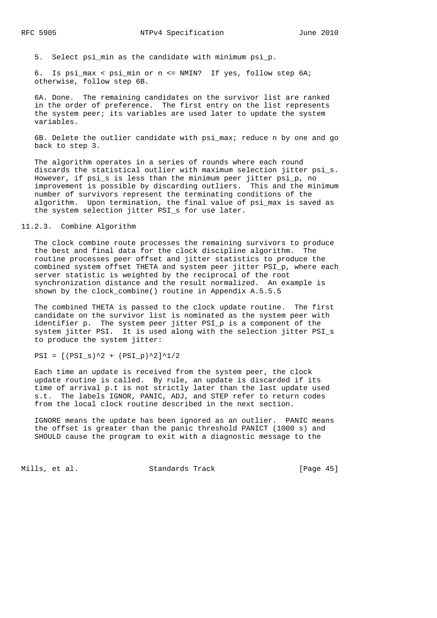5. Select psi\_min as the candidate with minimum psi\_p.

 6. Is psi\_max < psi\_min or n <= NMIN? If yes, follow step 6A; otherwise, follow step 6B.

 6A. Done. The remaining candidates on the survivor list are ranked in the order of preference. The first entry on the list represents the system peer; its variables are used later to update the system variables.

 6B. Delete the outlier candidate with psi\_max; reduce n by one and go back to step 3.

 The algorithm operates in a series of rounds where each round discards the statistical outlier with maximum selection jitter psi\_s. However, if psi\_s is less than the minimum peer jitter psi\_p, no improvement is possible by discarding outliers. This and the minimum number of survivors represent the terminating conditions of the algorithm. Upon termination, the final value of psi\_max is saved as the system selection jitter PSI\_s for use later.

## 11.2.3. Combine Algorithm

 The clock combine route processes the remaining survivors to produce the best and final data for the clock discipline algorithm. The routine processes peer offset and jitter statistics to produce the combined system offset THETA and system peer jitter PSI\_p, where each server statistic is weighted by the reciprocal of the root synchronization distance and the result normalized. An example is shown by the clock\_combine() routine in Appendix A.5.5.5

 The combined THETA is passed to the clock update routine. The first candidate on the survivor list is nominated as the system peer with identifier p. The system peer jitter PSI\_p is a component of the system jitter PSI. It is used along with the selection jitter PSI\_s to produce the system jitter:

 $PSI = [(PSI_s)^2 + (PSI_p)^2]$ <sup>1</sup>/2

 Each time an update is received from the system peer, the clock update routine is called. By rule, an update is discarded if its time of arrival p.t is not strictly later than the last update used s.t. The labels IGNOR, PANIC, ADJ, and STEP refer to return codes from the local clock routine described in the next section.

 IGNORE means the update has been ignored as an outlier. PANIC means the offset is greater than the panic threshold PANICT (1000 s) and SHOULD cause the program to exit with a diagnostic message to the

Mills, et al. Standards Track [Page 45]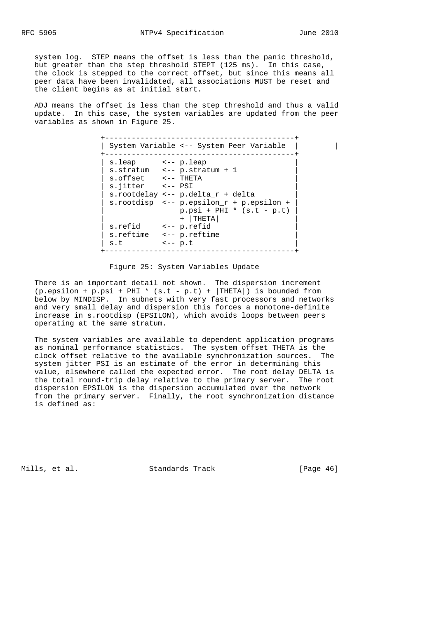system log. STEP means the offset is less than the panic threshold, but greater than the step threshold STEPT (125 ms). In this case, the clock is stepped to the correct offset, but since this means all peer data have been invalidated, all associations MUST be reset and the client begins as at initial start.

 ADJ means the offset is less than the step threshold and thus a valid update. In this case, the system variables are updated from the peer variables as shown in Figure 25.

 +-------------------------------------------+ | System Variable <-- System Peer Variable | | +-------------------------------------------+ | s.leap <-- p.leap |  $|$  s.stratum  $\leftarrow$ - p.stratum + 1  $\vert$  s.offset  $\vert$  -- THETA  $\vert$  $\vert$  s.jitter  $\vert$  -- PSI  $\vert$  $|$  s.rootdelay <-- p.delta\_ $r$  + delta | s.rootdisp <-- p.epsilon\_r + p.epsilon + |  $p.psi + PHI * (s.t - p.t)$  | + |THETA| | | s.refid <-- p.refid | s.reftime <-- p.reftime  $s.t$   $\leftarrow$  p.t +-------------------------------------------+

#### Figure 25: System Variables Update

 There is an important detail not shown. The dispersion increment  $(p.\text{epsilon} + p.\text{psi} + PHI * (s.t - p.t) + |THETA|)$  is bounded from below by MINDISP. In subnets with very fast processors and networks and very small delay and dispersion this forces a monotone-definite increase in s.rootdisp (EPSILON), which avoids loops between peers operating at the same stratum.

 The system variables are available to dependent application programs as nominal performance statistics. The system offset THETA is the clock offset relative to the available synchronization sources. The system jitter PSI is an estimate of the error in determining this value, elsewhere called the expected error. The root delay DELTA is the total round-trip delay relative to the primary server. The root dispersion EPSILON is the dispersion accumulated over the network from the primary server. Finally, the root synchronization distance is defined as:

Mills, et al. Standards Track [Page 46]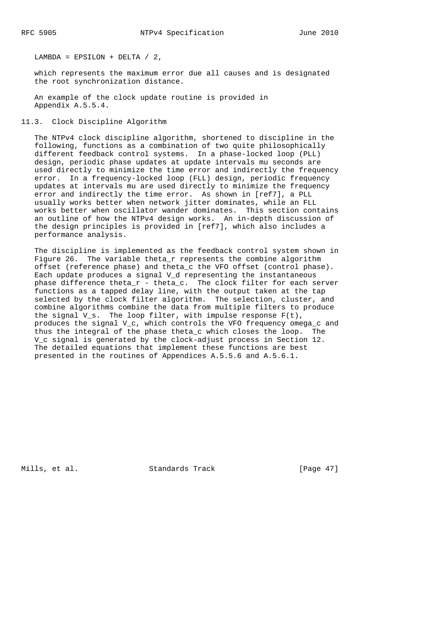LAMBDA =  $EPSILON + DELTA / 2$ ,

 which represents the maximum error due all causes and is designated the root synchronization distance.

 An example of the clock update routine is provided in Appendix A.5.5.4.

11.3. Clock Discipline Algorithm

 The NTPv4 clock discipline algorithm, shortened to discipline in the following, functions as a combination of two quite philosophically different feedback control systems. In a phase-locked loop (PLL) design, periodic phase updates at update intervals mu seconds are used directly to minimize the time error and indirectly the frequency error. In a frequency-locked loop (FLL) design, periodic frequency updates at intervals mu are used directly to minimize the frequency error and indirectly the time error. As shown in [ref7], a PLL usually works better when network jitter dominates, while an FLL works better when oscillator wander dominates. This section contains an outline of how the NTPv4 design works. An in-depth discussion of the design principles is provided in [ref7], which also includes a performance analysis.

 The discipline is implemented as the feedback control system shown in Figure 26. The variable theta\_r represents the combine algorithm offset (reference phase) and theta\_c the VFO offset (control phase). Each update produces a signal V\_d representing the instantaneous phase difference theta $r$  - theta $_c$ . The clock filter for each server functions as a tapped delay line, with the output taken at the tap selected by the clock filter algorithm. The selection, cluster, and combine algorithms combine the data from multiple filters to produce the signal V\_s. The loop filter, with impulse response  $F(t)$ , produces the signal V\_c, which controls the VFO frequency omega\_c and thus the integral of the phase theta\_c which closes the loop. The V\_c signal is generated by the clock-adjust process in Section 12. The detailed equations that implement these functions are best presented in the routines of Appendices A.5.5.6 and A.5.6.1.

Mills, et al. Standards Track [Page 47]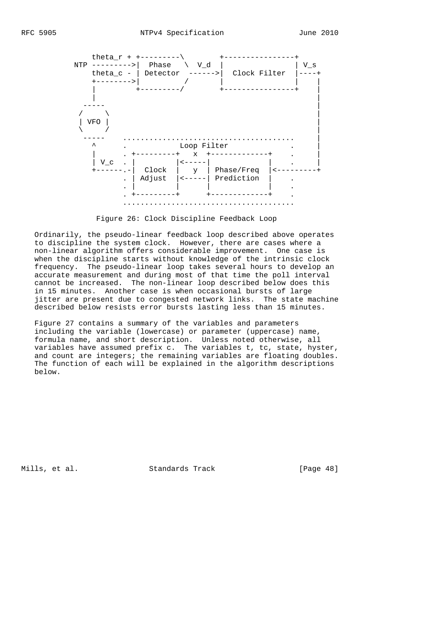

Figure 26: Clock Discipline Feedback Loop

 Ordinarily, the pseudo-linear feedback loop described above operates to discipline the system clock. However, there are cases where a non-linear algorithm offers considerable improvement. One case is when the discipline starts without knowledge of the intrinsic clock frequency. The pseudo-linear loop takes several hours to develop an accurate measurement and during most of that time the poll interval cannot be increased. The non-linear loop described below does this in 15 minutes. Another case is when occasional bursts of large jitter are present due to congested network links. The state machine described below resists error bursts lasting less than 15 minutes.

 Figure 27 contains a summary of the variables and parameters including the variable (lowercase) or parameter (uppercase) name, formula name, and short description. Unless noted otherwise, all variables have assumed prefix c. The variables t, tc, state, hyster, and count are integers; the remaining variables are floating doubles. The function of each will be explained in the algorithm descriptions below.

Mills, et al. Standards Track [Page 48]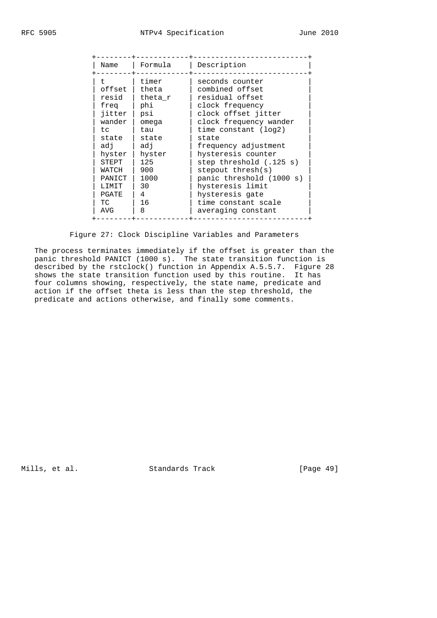| timer<br>seconds counter<br>$^+$<br>offset<br>combined offset<br>theta<br>residual offset<br>resid<br>theta r<br>phi<br>clock frequency<br>freg<br>clock offset jitter<br>iitter<br>psi<br>wander<br>clock frequency wander<br>omega<br>time constant (log2)<br>tau<br>t.c<br>state<br>state<br>state<br>frequency adjustment<br>adi<br>adi<br>hysteresis counter<br>hyster  <br>hyster<br>125<br>step threshold (.125 s)<br>STEPT<br>900<br>$stepout$ thresh( $s$ )<br>WATCH<br>1000<br>panic threshold (1000 s)<br>PANICT<br>hysteresis limit<br>30<br>LIMIT<br>4<br>hysteresis gate<br>PGATE<br>16<br>TC<br>time constant scale<br>8<br>averaging constant<br>AVG | Name | Formula | Description |
|----------------------------------------------------------------------------------------------------------------------------------------------------------------------------------------------------------------------------------------------------------------------------------------------------------------------------------------------------------------------------------------------------------------------------------------------------------------------------------------------------------------------------------------------------------------------------------------------------------------------------------------------------------------------|------|---------|-------------|
|                                                                                                                                                                                                                                                                                                                                                                                                                                                                                                                                                                                                                                                                      |      |         |             |

Figure 27: Clock Discipline Variables and Parameters

 The process terminates immediately if the offset is greater than the panic threshold PANICT (1000 s). The state transition function is described by the rstclock() function in Appendix A.5.5.7. Figure 28 shows the state transition function used by this routine. It has four columns showing, respectively, the state name, predicate and action if the offset theta is less than the step threshold, the predicate and actions otherwise, and finally some comments.

Mills, et al. Standards Track [Page 49]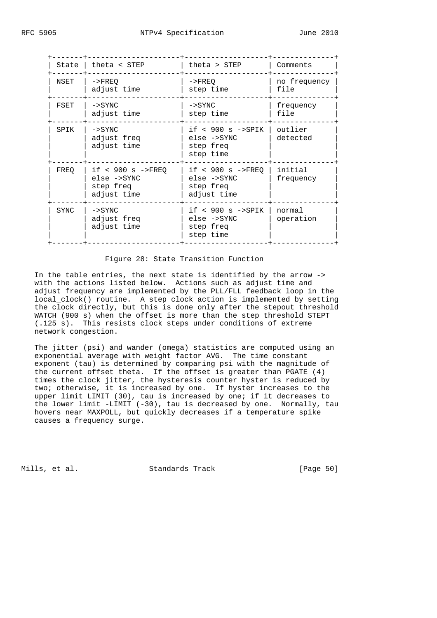| State | theta < STEP                                                   | theta > STEP                                                      | Comments             |
|-------|----------------------------------------------------------------|-------------------------------------------------------------------|----------------------|
| NSET  | $->$ $FREO$<br>adjust time                                     | $->$ $FREO$<br>step time                                          | no frequency<br>file |
| FSET  | $->$ SYNC<br>adjust time                                       | $->$ SYNC<br>step time                                            | frequency<br>file    |
| SPIK  | $->$ SYNC<br>adjust freq<br>adjust time                        | if $< 900$ s $->$ SPIK<br>else ->SYNC<br>step freq<br>step time   | outlier<br>detected  |
| FREO  | if $< 900 s$ ->FREO<br>else ->SYNC<br>step freq<br>adjust time | if $< 900$ s $->$ FREO<br>else ->SYNC<br>step freq<br>adjust time | initial<br>frequency |
| SYNC  | $->$ SYNC<br>adjust freq<br>adjust time                        | if $< 900$ s $->$ SPIK<br>else ->SYNC<br>step freq<br>step time   | normal<br>operation  |

#### Figure 28: State Transition Function

 In the table entries, the next state is identified by the arrow -> with the actions listed below. Actions such as adjust time and adjust frequency are implemented by the PLL/FLL feedback loop in the local\_clock() routine. A step clock action is implemented by setting the clock directly, but this is done only after the stepout threshold WATCH (900 s) when the offset is more than the step threshold STEPT (.125 s). This resists clock steps under conditions of extreme network congestion.

 The jitter (psi) and wander (omega) statistics are computed using an exponential average with weight factor AVG. The time constant exponent (tau) is determined by comparing psi with the magnitude of the current offset theta. If the offset is greater than PGATE (4) times the clock jitter, the hysteresis counter hyster is reduced by two; otherwise, it is increased by one. If hyster increases to the upper limit LIMIT (30), tau is increased by one; if it decreases to the lower limit -LIMIT (-30), tau is decreased by one. Normally, tau hovers near MAXPOLL, but quickly decreases if a temperature spike causes a frequency surge.

Mills, et al. Standards Track [Page 50]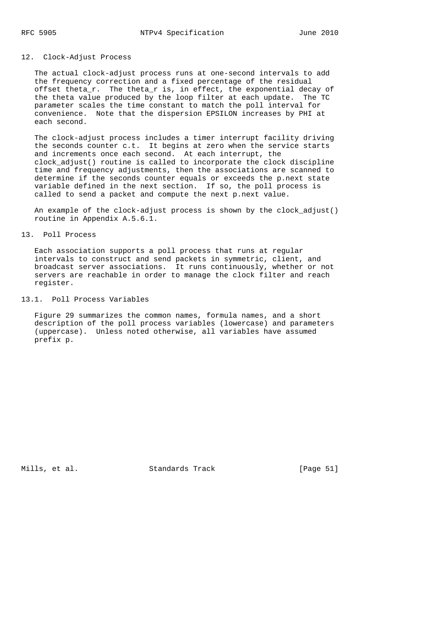## 12. Clock-Adjust Process

 The actual clock-adjust process runs at one-second intervals to add the frequency correction and a fixed percentage of the residual offset theta\_r. The theta\_r is, in effect, the exponential decay of the theta value produced by the loop filter at each update. The TC parameter scales the time constant to match the poll interval for convenience. Note that the dispersion EPSILON increases by PHI at each second.

 The clock-adjust process includes a timer interrupt facility driving the seconds counter c.t. It begins at zero when the service starts and increments once each second. At each interrupt, the clock\_adjust() routine is called to incorporate the clock discipline time and frequency adjustments, then the associations are scanned to determine if the seconds counter equals or exceeds the p.next state variable defined in the next section. If so, the poll process is called to send a packet and compute the next p.next value.

 An example of the clock-adjust process is shown by the clock\_adjust() routine in Appendix A.5.6.1.

### 13. Poll Process

 Each association supports a poll process that runs at regular intervals to construct and send packets in symmetric, client, and broadcast server associations. It runs continuously, whether or not servers are reachable in order to manage the clock filter and reach register.

### 13.1. Poll Process Variables

 Figure 29 summarizes the common names, formula names, and a short description of the poll process variables (lowercase) and parameters (uppercase). Unless noted otherwise, all variables have assumed prefix p.

Mills, et al. Standards Track [Page 51]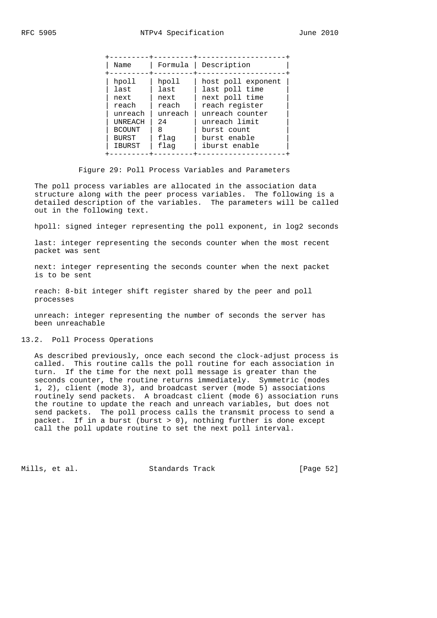| Name          | Formula | Description        |
|---------------|---------|--------------------|
| hpoll         | hpoll   | host poll exponent |
| last          | last    | last poll time     |
| next          | next    | next poll time     |
| reach         | reach   | reach register     |
| unreach       | unreach | unreach counter    |
| UNREACH       | 2.4     | unreach limit      |
| <b>BCOUNT</b> | 8       | burst count        |
| BURST         | flaq    | burst enable       |
| <b>IBURST</b> | flag    | iburst enable      |

#### Figure 29: Poll Process Variables and Parameters

 The poll process variables are allocated in the association data structure along with the peer process variables. The following is a detailed description of the variables. The parameters will be called out in the following text.

hpoll: signed integer representing the poll exponent, in log2 seconds

 last: integer representing the seconds counter when the most recent packet was sent

 next: integer representing the seconds counter when the next packet is to be sent

 reach: 8-bit integer shift register shared by the peer and poll processes

 unreach: integer representing the number of seconds the server has been unreachable

## 13.2. Poll Process Operations

 As described previously, once each second the clock-adjust process is called. This routine calls the poll routine for each association in turn. If the time for the next poll message is greater than the seconds counter, the routine returns immediately. Symmetric (modes 1, 2), client (mode 3), and broadcast server (mode 5) associations routinely send packets. A broadcast client (mode 6) association runs the routine to update the reach and unreach variables, but does not send packets. The poll process calls the transmit process to send a packet. If in a burst (burst > 0), nothing further is done except call the poll update routine to set the next poll interval.

Mills, et al. Standards Track [Page 52]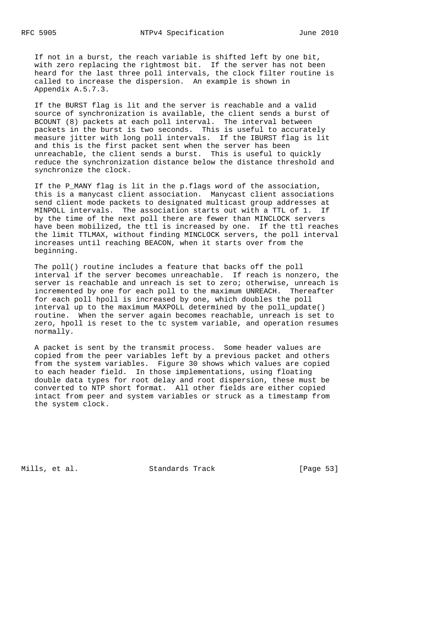If not in a burst, the reach variable is shifted left by one bit, with zero replacing the rightmost bit. If the server has not been heard for the last three poll intervals, the clock filter routine is called to increase the dispersion. An example is shown in Appendix A.5.7.3.

 If the BURST flag is lit and the server is reachable and a valid source of synchronization is available, the client sends a burst of BCOUNT (8) packets at each poll interval. The interval between packets in the burst is two seconds. This is useful to accurately measure jitter with long poll intervals. If the IBURST flag is lit and this is the first packet sent when the server has been unreachable, the client sends a burst. This is useful to quickly reduce the synchronization distance below the distance threshold and synchronize the clock.

 If the P\_MANY flag is lit in the p.flags word of the association, this is a manycast client association. Manycast client associations send client mode packets to designated multicast group addresses at MINPOLL intervals. The association starts out with a TTL of 1. If by the time of the next poll there are fewer than MINCLOCK servers have been mobilized, the ttl is increased by one. If the ttl reaches the limit TTLMAX, without finding MINCLOCK servers, the poll interval increases until reaching BEACON, when it starts over from the beginning.

 The poll() routine includes a feature that backs off the poll interval if the server becomes unreachable. If reach is nonzero, the server is reachable and unreach is set to zero; otherwise, unreach is incremented by one for each poll to the maximum UNREACH. Thereafter for each poll hpoll is increased by one, which doubles the poll interval up to the maximum MAXPOLL determined by the poll\_update() routine. When the server again becomes reachable, unreach is set to zero, hpoll is reset to the tc system variable, and operation resumes normally.

 A packet is sent by the transmit process. Some header values are copied from the peer variables left by a previous packet and others from the system variables. Figure 30 shows which values are copied to each header field. In those implementations, using floating double data types for root delay and root dispersion, these must be converted to NTP short format. All other fields are either copied intact from peer and system variables or struck as a timestamp from the system clock.

Mills, et al. Standards Track [Page 53]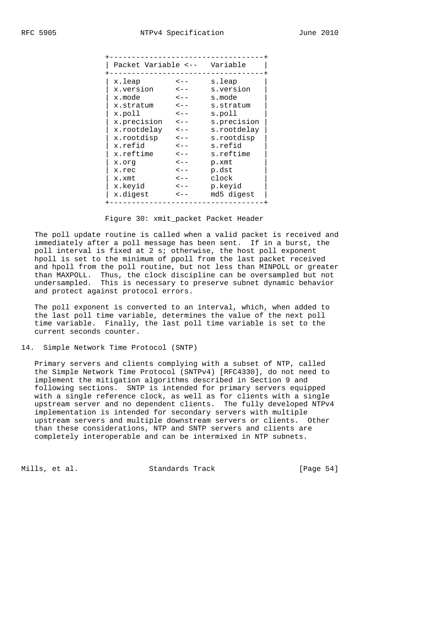Figure 30: xmit packet Packet Header

 The poll update routine is called when a valid packet is received and immediately after a poll message has been sent. If in a burst, the poll interval is fixed at 2 s; otherwise, the host poll exponent hpoll is set to the minimum of ppoll from the last packet received and hpoll from the poll routine, but not less than MINPOLL or greater than MAXPOLL. Thus, the clock discipline can be oversampled but not undersampled. This is necessary to preserve subnet dynamic behavior and protect against protocol errors.

 The poll exponent is converted to an interval, which, when added to the last poll time variable, determines the value of the next poll time variable. Finally, the last poll time variable is set to the current seconds counter.

#### 14. Simple Network Time Protocol (SNTP)

 Primary servers and clients complying with a subset of NTP, called the Simple Network Time Protocol (SNTPv4) [RFC4330], do not need to implement the mitigation algorithms described in Section 9 and following sections. SNTP is intended for primary servers equipped with a single reference clock, as well as for clients with a single upstream server and no dependent clients. The fully developed NTPv4 implementation is intended for secondary servers with multiple upstream servers and multiple downstream servers or clients. Other than these considerations, NTP and SNTP servers and clients are completely interoperable and can be intermixed in NTP subnets.

Mills, et al. Standards Track [Page 54]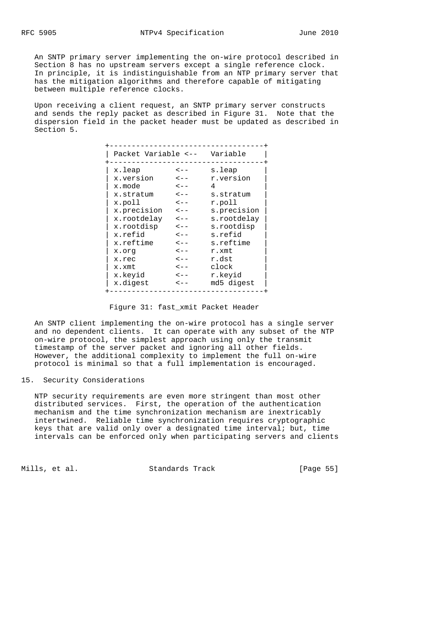An SNTP primary server implementing the on-wire protocol described in Section 8 has no upstream servers except a single reference clock. In principle, it is indistinguishable from an NTP primary server that has the mitigation algorithms and therefore capable of mitigating between multiple reference clocks.

 Upon receiving a client request, an SNTP primary server constructs and sends the reply packet as described in Figure 31. Note that the dispersion field in the packet header must be updated as described in Section 5.

| Packet Variable <-- |           | Variable    |  |
|---------------------|-----------|-------------|--|
| x.leap              | $\lt$ $-$ | s.leap      |  |
| x.version           | $\lt$ $-$ | r.version   |  |
| x.mode              | $\lt$ $-$ | 4           |  |
| x.stratum           | $\lt$ $-$ | s.stratum   |  |
| x.poll              | $\lt$ $-$ | r.poll      |  |
| x.precision         | $\lt$ - - | s.precision |  |
| x.rootdelay         | $\lt$ - - | s.rootdelay |  |
| x.rootdisp          | $\lt$ $-$ | s.rootdisp  |  |
| x.refid             | $\lt$ - - | s.refid     |  |
| x.reftime           | $\lt$ $-$ | s.reftime   |  |
| pro.x               | $\lt$ $-$ | r.xmt       |  |
| x.rec               | $\lt$ $-$ | r.dst       |  |
| x.xmt               | $\lt$ $-$ | clock       |  |
| x.keyid             | $\lt$ $-$ | r.keyid     |  |
| x.digest            | $\lt$ $-$ | md5 digest  |  |

## Figure 31: fast\_xmit Packet Header

 An SNTP client implementing the on-wire protocol has a single server and no dependent clients. It can operate with any subset of the NTP on-wire protocol, the simplest approach using only the transmit timestamp of the server packet and ignoring all other fields. However, the additional complexity to implement the full on-wire protocol is minimal so that a full implementation is encouraged.

### 15. Security Considerations

 NTP security requirements are even more stringent than most other distributed services. First, the operation of the authentication mechanism and the time synchronization mechanism are inextricably intertwined. Reliable time synchronization requires cryptographic keys that are valid only over a designated time interval; but, time intervals can be enforced only when participating servers and clients

Mills, et al. Standards Track [Page 55]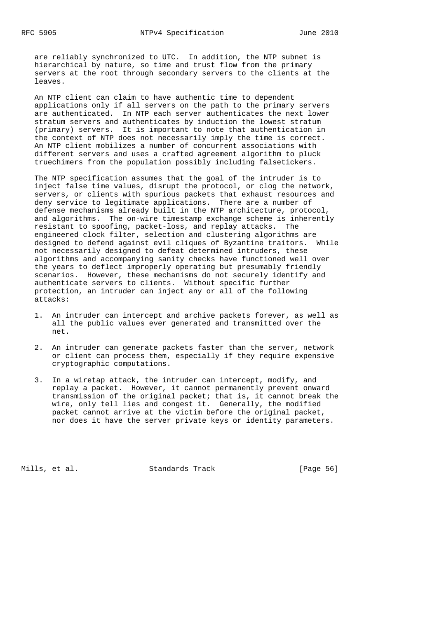are reliably synchronized to UTC. In addition, the NTP subnet is hierarchical by nature, so time and trust flow from the primary servers at the root through secondary servers to the clients at the leaves.

 An NTP client can claim to have authentic time to dependent applications only if all servers on the path to the primary servers are authenticated. In NTP each server authenticates the next lower stratum servers and authenticates by induction the lowest stratum (primary) servers. It is important to note that authentication in the context of NTP does not necessarily imply the time is correct. An NTP client mobilizes a number of concurrent associations with different servers and uses a crafted agreement algorithm to pluck truechimers from the population possibly including falsetickers.

 The NTP specification assumes that the goal of the intruder is to inject false time values, disrupt the protocol, or clog the network, servers, or clients with spurious packets that exhaust resources and deny service to legitimate applications. There are a number of defense mechanisms already built in the NTP architecture, protocol, and algorithms. The on-wire timestamp exchange scheme is inherently resistant to spoofing, packet-loss, and replay attacks. The engineered clock filter, selection and clustering algorithms are designed to defend against evil cliques of Byzantine traitors. While not necessarily designed to defeat determined intruders, these algorithms and accompanying sanity checks have functioned well over the years to deflect improperly operating but presumably friendly scenarios. However, these mechanisms do not securely identify and authenticate servers to clients. Without specific further protection, an intruder can inject any or all of the following attacks:

- 1. An intruder can intercept and archive packets forever, as well as all the public values ever generated and transmitted over the net.
- 2. An intruder can generate packets faster than the server, network or client can process them, especially if they require expensive cryptographic computations.
- 3. In a wiretap attack, the intruder can intercept, modify, and replay a packet. However, it cannot permanently prevent onward transmission of the original packet; that is, it cannot break the wire, only tell lies and congest it. Generally, the modified packet cannot arrive at the victim before the original packet, nor does it have the server private keys or identity parameters.

Mills, et al. Standards Track [Page 56]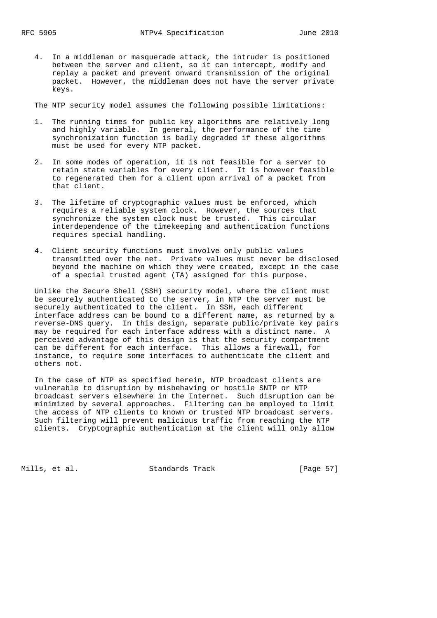4. In a middleman or masquerade attack, the intruder is positioned between the server and client, so it can intercept, modify and replay a packet and prevent onward transmission of the original packet. However, the middleman does not have the server private keys.

The NTP security model assumes the following possible limitations:

- 1. The running times for public key algorithms are relatively long and highly variable. In general, the performance of the time synchronization function is badly degraded if these algorithms must be used for every NTP packet.
- 2. In some modes of operation, it is not feasible for a server to retain state variables for every client. It is however feasible to regenerated them for a client upon arrival of a packet from that client.
- 3. The lifetime of cryptographic values must be enforced, which requires a reliable system clock. However, the sources that synchronize the system clock must be trusted. This circular interdependence of the timekeeping and authentication functions requires special handling.
- 4. Client security functions must involve only public values transmitted over the net. Private values must never be disclosed beyond the machine on which they were created, except in the case of a special trusted agent (TA) assigned for this purpose.

 Unlike the Secure Shell (SSH) security model, where the client must be securely authenticated to the server, in NTP the server must be securely authenticated to the client. In SSH, each different interface address can be bound to a different name, as returned by a reverse-DNS query. In this design, separate public/private key pairs may be required for each interface address with a distinct name. A perceived advantage of this design is that the security compartment can be different for each interface. This allows a firewall, for instance, to require some interfaces to authenticate the client and others not.

 In the case of NTP as specified herein, NTP broadcast clients are vulnerable to disruption by misbehaving or hostile SNTP or NTP broadcast servers elsewhere in the Internet. Such disruption can be minimized by several approaches. Filtering can be employed to limit the access of NTP clients to known or trusted NTP broadcast servers. Such filtering will prevent malicious traffic from reaching the NTP clients. Cryptographic authentication at the client will only allow

Mills, et al. Standards Track [Page 57]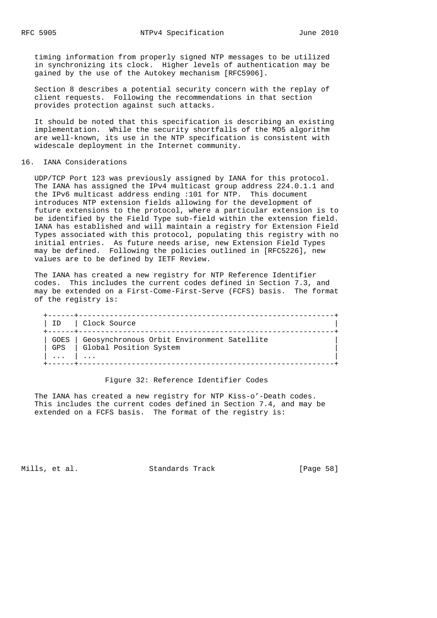timing information from properly signed NTP messages to be utilized in synchronizing its clock. Higher levels of authentication may be gained by the use of the Autokey mechanism [RFC5906].

 Section 8 describes a potential security concern with the replay of client requests. Following the recommendations in that section provides protection against such attacks.

 It should be noted that this specification is describing an existing implementation. While the security shortfalls of the MD5 algorithm are well-known, its use in the NTP specification is consistent with widescale deployment in the Internet community.

#### 16. IANA Considerations

 UDP/TCP Port 123 was previously assigned by IANA for this protocol. The IANA has assigned the IPv4 multicast group address 224.0.1.1 and the IPv6 multicast address ending :101 for NTP. This document introduces NTP extension fields allowing for the development of future extensions to the protocol, where a particular extension is to be identified by the Field Type sub-field within the extension field. IANA has established and will maintain a registry for Extension Field Types associated with this protocol, populating this registry with no initial entries. As future needs arise, new Extension Field Types may be defined. Following the policies outlined in [RFC5226], new values are to be defined by IETF Review.

 The IANA has created a new registry for NTP Reference Identifier codes. This includes the current codes defined in Section 7.3, and may be extended on a First-Come-First-Serve (FCFS) basis. The format of the registry is:

|          | ID   Clock Source                                                                 |  |
|----------|-----------------------------------------------------------------------------------|--|
|          | GOES   Geosynchronous Orbit Environment Satellite<br>GPS   Global Position System |  |
| $\cdots$ | $\cdots$                                                                          |  |

#### Figure 32: Reference Identifier Codes

 The IANA has created a new registry for NTP Kiss-o'-Death codes. This includes the current codes defined in Section 7.4, and may be extended on a FCFS basis. The format of the registry is:

Mills, et al. Standards Track [Page 58]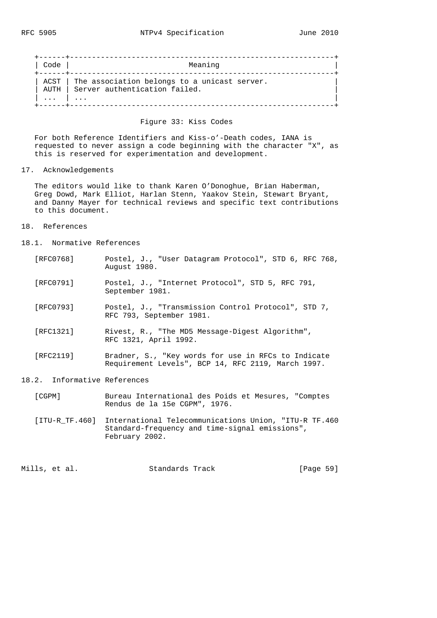| Code | Meaning                                                                            |
|------|------------------------------------------------------------------------------------|
| AUTH | ACST The association belongs to a unicast server.<br>Server authentication failed. |
|      | $\cdots$                                                                           |

## Figure 33: Kiss Codes

 For both Reference Identifiers and Kiss-o'-Death codes, IANA is requested to never assign a code beginning with the character "X", as this is reserved for experimentation and development.

17. Acknowledgements

 The editors would like to thank Karen O'Donoghue, Brian Haberman, Greg Dowd, Mark Elliot, Harlan Stenn, Yaakov Stein, Stewart Bryant, and Danny Mayer for technical reviews and specific text contributions to this document.

- 18. References
- 18.1. Normative References
	- [RFC0768] Postel, J., "User Datagram Protocol", STD 6, RFC 768, August 1980.
	- [RFC0791] Postel, J., "Internet Protocol", STD 5, RFC 791, September 1981.
	- [RFC0793] Postel, J., "Transmission Control Protocol", STD 7, RFC 793, September 1981.
	- [RFC1321] Rivest, R., "The MD5 Message-Digest Algorithm", RFC 1321, April 1992.
	- [RFC2119] Bradner, S., "Key words for use in RFCs to Indicate Requirement Levels", BCP 14, RFC 2119, March 1997.
- 18.2. Informative References
	- [CGPM] Bureau International des Poids et Mesures, "Comptes Rendus de la 15e CGPM", 1976.

 [ITU-R\_TF.460] International Telecommunications Union, "ITU-R TF.460 Standard-frequency and time-signal emissions", February 2002.

Mills, et al. Standards Track [Page 59]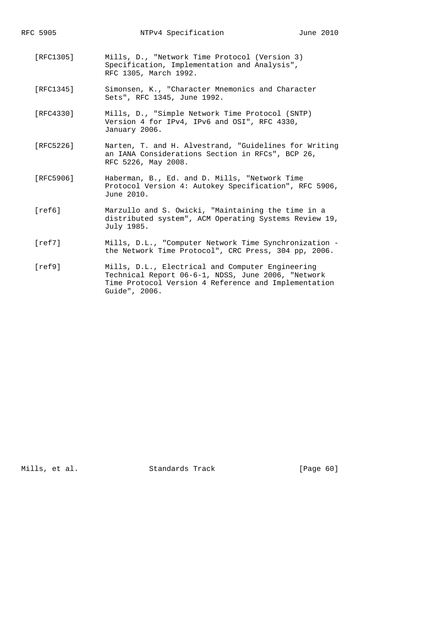| RFC 5905  | NTPv4 Specification                                                                                                              | June 2010 |
|-----------|----------------------------------------------------------------------------------------------------------------------------------|-----------|
| [RTC1305] | Mills, D., "Network Time Protocol (Version 3)<br>Specification, Implementation and Analysis",<br>RFC 1305, March 1992.           |           |
| [RFC1345] | Simonsen, K., "Character Mnemonics and Character<br>Sets", RFC 1345, June 1992.                                                  |           |
| [RFC4330] | Mills, D., "Simple Network Time Protocol (SNTP)<br>Version 4 for IPv4, IPv6 and OSI", RFC 4330,<br>January 2006.                 |           |
| [RFC5226] | Narten, T. and H. Alvestrand, "Guidelines for Writing<br>an IANA Considerations Section in RFCs", BCP 26,<br>RFC 5226, May 2008. |           |
| [RFC5906] | Haberman, B., Ed. and D. Mills, "Network Time<br>Protocol Version 4: Autokey Specification", RFC 5906,<br>June 2010.             |           |
| ref6      | Marzullo and S. Owicki, "Maintaining the time in a<br>distributed system", ACM Operating Systems Review 19,<br>July 1985.        |           |
| ref71     | Mills, D.L., "Computer Network Time Synchronization -<br>the Network Time Protocol", CRC Press, 304 pp, 2006.                    |           |
| $r0$ $f0$ | Mille D.I. Flectrical and Computer Fraineering                                                                                   |           |

 [ref9] Mills, D.L., Electrical and Computer Engineering Technical Report 06-6-1, NDSS, June 2006, "Network Time Protocol Version 4 Reference and Implementation Guide", 2006.

Mills, et al. Standards Track [Page 60]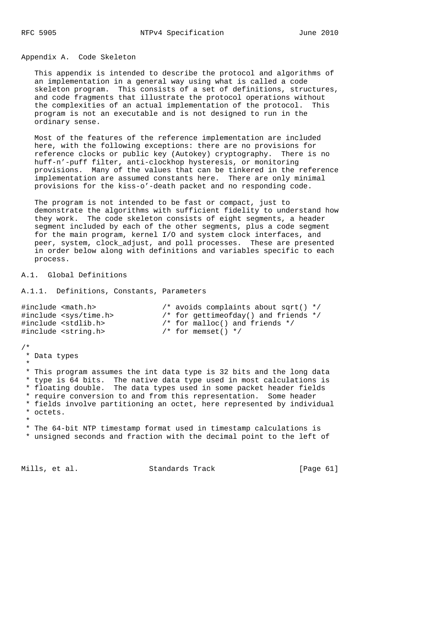## Appendix A. Code Skeleton

 This appendix is intended to describe the protocol and algorithms of an implementation in a general way using what is called a code skeleton program. This consists of a set of definitions, structures, and code fragments that illustrate the protocol operations without the complexities of an actual implementation of the protocol. This program is not an executable and is not designed to run in the ordinary sense.

 Most of the features of the reference implementation are included here, with the following exceptions: there are no provisions for reference clocks or public key (Autokey) cryptography. There is no huff-n'-puff filter, anti-clockhop hysteresis, or monitoring provisions. Many of the values that can be tinkered in the reference implementation are assumed constants here. There are only minimal provisions for the kiss-o'-death packet and no responding code.

 The program is not intended to be fast or compact, just to demonstrate the algorithms with sufficient fidelity to understand how they work. The code skeleton consists of eight segments, a header segment included by each of the other segments, plus a code segment for the main program, kernel I/O and system clock interfaces, and peer, system, clock\_adjust, and poll processes. These are presented in order below along with definitions and variables specific to each process.

A.1. Global Definitions

```
A.1.1. Definitions, Constants, Parameters
```

| #include <math.h></math.h>     | /* avoids complaints about sqrt() $*/$ |
|--------------------------------|----------------------------------------|
| #include <sys time.h=""></sys> | /* for gettimeofday() and friends $*/$ |
| #include <stdlib.h></stdlib.h> | $\prime$ * for malloc() and friends */ |
| #include <string.h></string.h> | $/*$ for memset() */                   |

/\*

\* Data types

 \* \* This program assumes the int data type is 32 bits and the long data \* type is 64 bits. The native data type used in most calculations is \* floating double. The data types used in some packet header fields \* require conversion to and from this representation. Some header \* fields involve partitioning an octet, here represented by individual \* octets. \*

 \* The 64-bit NTP timestamp format used in timestamp calculations is \* unsigned seconds and fraction with the decimal point to the left of

Mills, et al. Standards Track [Page 61]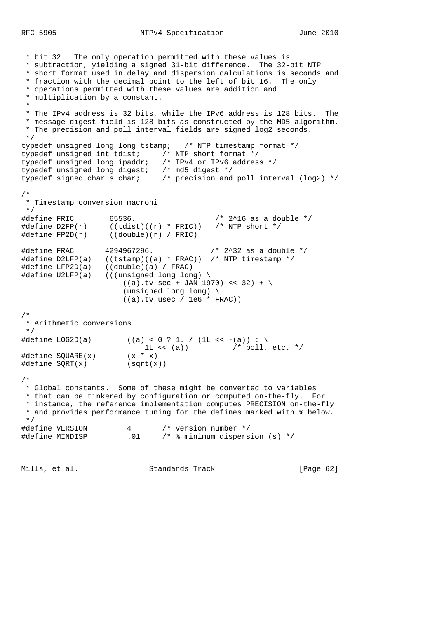\* bit 32. The only operation permitted with these values is \* subtraction, yielding a signed 31-bit difference. The 32-bit NTP \* short format used in delay and dispersion calculations is seconds and \* fraction with the decimal point to the left of bit 16. The only \* operations permitted with these values are addition and \* multiplication by a constant. \* \* The IPv4 address is 32 bits, while the IPv6 address is 128 bits. The \* message digest field is 128 bits as constructed by the MD5 algorithm. \* The precision and poll interval fields are signed log2 seconds. \*/ typedef unsigned long long tstamp; /\* NTP timestamp format \*/ typedef unsigned int tdist;  $\overline{y}$  NTP short format  $\overline{x}$ / typedef unsigned long ipaddr; /\* IPv4 or IPv6 address \*/ typedef unsigned long digest; /\* md5 digest \*/ typedef signed char s\_char; /\* precision and poll interval (log2) \*/ /\* \* Timestamp conversion macroni \*/ #define FRIC 65536. /\* 2^16 as a double \*/ #define D2FP(r) ((tdist)((r) \* FRIC)) /\* NTP short \*/ #define FP2D(r) ((double)(r) / FRIC) #define FRAC 4294967296. /\* 2^32 as a double \*/ #define D2LFP(a) ((tstamp)((a) \* FRAC)) /\* NTP timestamp \*/ #define LFP2D(a) ((double)(a) / FRAC) #define U2LFP(a) (((unsigned long long) \  $((a).tv\_sec + JAN_1970) << 32) + \$  (unsigned long long) \  $((a).tv\_usec / 1e6 * FRAC))$ /\* \* Arithmetic conversions \*/  $\# \text{define } \text{LOG2D(a)}$  ((a) < 0 ? 1. / (1L << -(a)) : \ 1L << (a))  $/$  poll, etc.  $*/$ #define SQUARE(x) (x \* x) #define SQRT(x) (sqrt(x)) /\* \* Global constants. Some of these might be converted to variables \* that can be tinkered by configuration or computed on-the-fly. For \* instance, the reference implementation computes PRECISION on-the-fly \* and provides performance tuning for the defines marked with % below. \*/ #define VERSION 4 /\* version number \*/ #define MINDISP .01 /\* % minimum dispersion (s) \*/

Mills, et al. Standards Track [Page 62]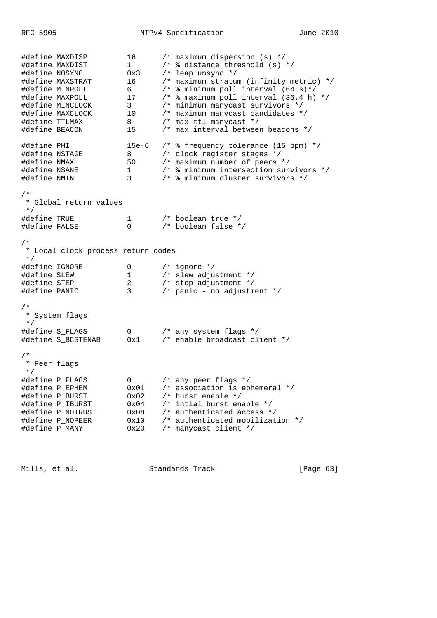RFC 5905 NTPv4 Specification June 2010 #define MAXDISP 16 /\* maximum dispersion (s) \*/ #define MAXDIST 1 /\* % distance threshold (s) \*/ #define NOSYNC 0x3 /\* leap unsync \*/ #define MAXSTRAT 16 /\* maximum stratum (infinity metric) \*/ #define MINPOLL 6 /\* % minimum poll interval (64 s)\*/ #define MAXPOLL 17 /\* % maximum poll interval (36.4 h) \*/ #define MINCLOCK 3 /\* minimum manycast survivors \*/ #define MAXCLOCK 10 /\* maximum manycast candidates \*/ #define TTLMAX 8 /\* max ttl manycast \*/ #define BEACON 15 /\* max interval between beacons \*/ #define PHI 15e-6 /\* % frequency tolerance (15 ppm) \*/ #define NSTAGE 8 /\* clock register stages \*/ #define NMAX 50 /\* maximum number of peers \*/ #define NSANE 1 /\* % minimum intersection survivors \*/ #define NMIN 3 /\* % minimum cluster survivors \*/ /\* \* Global return values \*/ #define TRUE 1 /\* boolean true \*/ #define FALSE 0 /\* boolean false \*/ /\* \* Local clock process return codes \*/ #define IGNORE 0 /\* ignore \*/ #define SLEW 1 /\* slew adjustment \*/ #define STEP 2 /\* step adjustment \*/ #define PANIC 3 /\* panic - no adjustment \*/ /\* \* System flags \*/ #define S\_FLAGS 0 /\* any system flags \*/ #define S\_BCSTENAB 0x1 /\* enable broadcast client \*/ /\* \* Peer flags \*/ #define P\_FLAGS 0 /\* any peer flags \*/ #define P\_EPHEM 0x01 /\* association is ephemeral \*/ #define P\_BURST 0x02 /\* burst enable \*/ #define P\_IBURST 0x04 /\* intial burst enable \*/ #define P\_NOTRUST 0x08 /\* authenticated access \*/ #define P\_NOPEER 0x10 /\* authenticated mobilization \*/ #define P\_MANY 0x20 /\* manycast client \*/

Mills, et al. Standards Track [Page 63]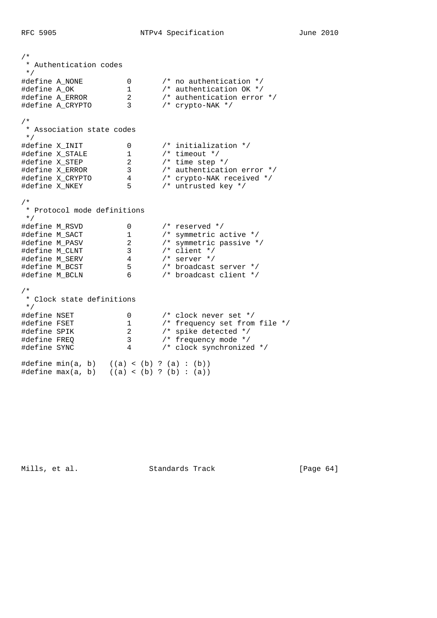/\* \* Authentication codes \*/ #define A\_NONE 0 /\* no authentication \*/ #define A\_OK 1 /\* authentication OK \*/ #define A\_ERROR 2 /\* authentication error \*/ #define A\_CRYPTO 3 /\* crypto-NAK \*/ /\* \* Association state codes \*/ #define X\_INIT 0 /\* initialization \*/ #define X\_STALE 1 /\* timeout \*/ #define X\_STEP 2 /\* time step \*/ #define X\_ERROR 3 /\* authentication error \*/ #define X\_CRYPTO 4 /\* crypto-NAK received \*/ #define X\_NKEY 5 /\* untrusted key \*/ /\* \* Protocol mode definitions \*/ #define M\_RSVD 0 /\* reserved \*/ #define M\_SACT 1 /\* symmetric active \*/ #define M\_PASV 2 /\* symmetric passive \*/ #define M\_CLNT 3 /\* client \*/ #define M\_SERV 4 /\* server \*/ #define M\_BCST 5 /\* broadcast server \*/ #define M\_BCLN 6 /\* broadcast client \*/ /\* \* Clock state definitions \*/ #define NSET 0 /\* clock never set \*/ #define FSET 1 /\* frequency set from file \*/ #define SPIK 2 /\* spike detected \*/ #define FREQ 3 /\* frequency mode \*/ #define SYNC 4 /\* clock synchronized \*/ #define min(a, b) ((a) < (b) ? (a) : (b)) #define max(a, b) ((a) < (b) ? (b) : (a))

Mills, et al. Standards Track [Page 64]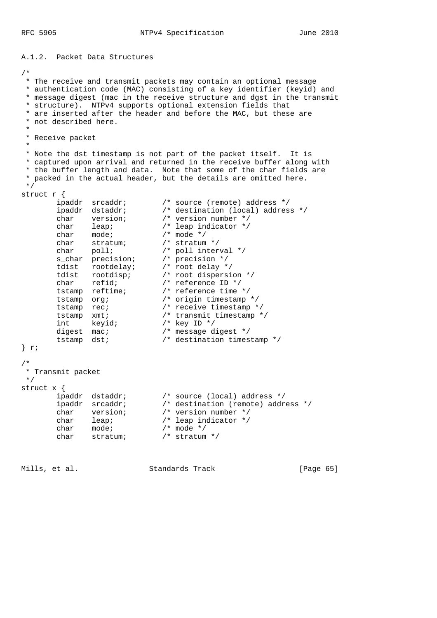RFC 5905 NTPv4 Specification June 2010

A.1.2. Packet Data Structures /\* \* The receive and transmit packets may contain an optional message \* authentication code (MAC) consisting of a key identifier (keyid) and \* message digest (mac in the receive structure and dgst in the transmit \* structure). NTPv4 supports optional extension fields that \* are inserted after the header and before the MAC, but these are \* not described here. \* \* Receive packet \* \* Note the dst timestamp is not part of the packet itself. It is \* captured upon arrival and returned in the receive buffer along with \* the buffer length and data. Note that some of the char fields are \* packed in the actual header, but the details are omitted here. \*/ struct r { ipaddr srcaddr; /\* source (remote) address \*/ ipaddr dstaddr; /\* destination (local) address \*/ char version; /\* version number \*/ char leap; /\* leap indicator \*/ char mode; /\* mode \*/ char stratum; /\* stratum \*/ char poll; /\* poll interval \*/ s\_char precision; /\* precision \*/ tdist rootdelay; /\* root delay \*/ tdist rootdisp; /\* root dispersion \*/ char refid; /\* reference ID \*/ tstamp reftime; /\* reference time \*/ tstamp org; /\* origin timestamp \*/ tstamp rec; /\* receive timestamp \*/ tstamp xmt; /\* transmit timestamp \*/ int keyid; /\* key ID \*/ digest mac;  $\frac{1}{2}$  /\* message digest \*/ tstamp dst; /\* destination timestamp \*/ } r; /\* \* Transmit packet \*/ struct x { ipaddr dstaddr; /\* source (local) address \*/ ipaddr srcaddr; /\* destination (remote) address \*/ char version; /\* version number \*/ char leap; /\* leap indicator \*/ char mode; /\* mode \*/ char stratum; /\* stratum \*/

Mills, et al. Standards Track [Page 65]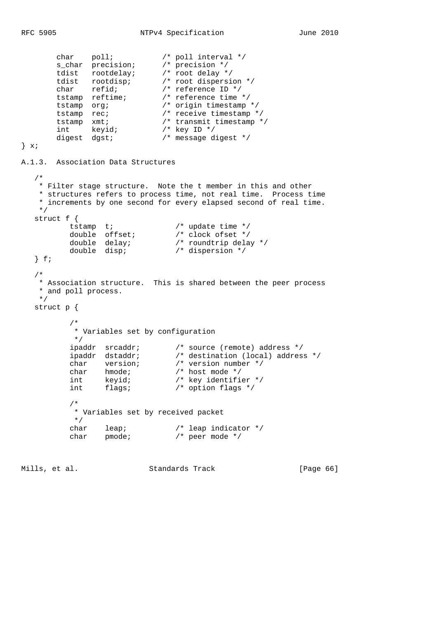```
 char poll; /* poll interval */
 s_char precision; /* precision */
 tdist rootdelay; /* root delay */
 tdist rootdisp; /* root dispersion */
 char refid; /* reference ID */
 tstamp reftime; /* reference time */
 tstamp org; /* origin timestamp */
 tstamp rec; /* receive timestamp */
 tstamp xmt; /* transmit timestamp */
 int keyid; /* key ID */
 digest dgst; /* message digest */
\} x;A.1.3. Association Data Structures
   /*
   * Filter stage structure. Note the t member in this and other
   * structures refers to process time, not real time. Process time
   * increments by one second for every elapsed second of real time.
   */
   struct f {
tstamp t; /* update time */
 double offset; /* clock ofset */
 double delay; /* roundtrip delay */
 double disp; /* dispersion */
   } f;
   /*
   * Association structure. This is shared between the peer process
   * and poll process.
   */
   struct p {
         /*
         * Variables set by configuration
         */
 ipaddr srcaddr; /* source (remote) address */
 ipaddr dstaddr; /* destination (local) address */
 char version; /* version number */
 char hmode; /* host mode */
 int keyid; /* key identifier */
int flags; \frac{1}{2} /* option flags */
         /*
         * Variables set by received packet
         */
 char leap; /* leap indicator */
char pmode; \frac{1}{2} /* peer mode */
```
Mills, et al. Standards Track [Page 66]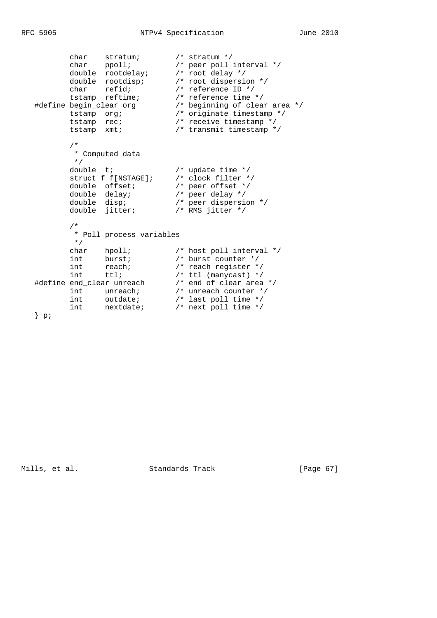```
 char stratum; /* stratum */
 char ppoll; /* peer poll interval */
 double rootdelay; /* root delay */
 double rootdisp; /* root dispersion */
 char refid; /* reference ID */
 tstamp reftime; /* reference time */
 #define begin_clear org /* beginning of clear area */
 tstamp org; /* originate timestamp */
 tstamp rec; /* receive timestamp */
 tstamp xmt; /* transmit timestamp */
        /*
        * Computed data
 */
double t; / /* update time */
 struct f f[NSTAGE]; /* clock filter */
double offset; \overline{\phantom{a}} /* peer offset */
 double delay; /* peer delay */
 double disp; /* peer dispersion */
 double jitter; /* RMS jitter */
        /*
        * Poll process variables
 */
 char hpoll; /* host poll interval */
int burst; /* burst counter */
int reach; \frac{1}{100} /* reach register */
int ttl; \frac{1}{2} /* ttl (manycast) */
 #define end_clear unreach /* end of clear area */
int unreach; \frac{1}{2} /* unreach counter */
 int outdate; /* last poll time */
 int nextdate; /* next poll time */
  } p;
```
Mills, et al. Standards Track [Page 67]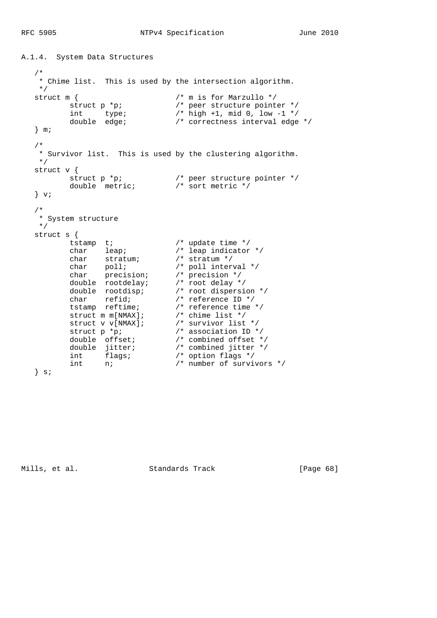```
A.1.4. System Data Structures
   /*
   * Chime list. This is used by the intersection algorithm.
   */
struct m { / / m is for Marzullo */struct p *p; \gamma /* peer structure pointer */
 int type; /* high +1, mid 0, low -1 */
 double edge; /* correctness interval edge */
   } m;
   /*
   * Survivor list. This is used by the clustering algorithm.
   */
   struct v {
struct p *p; \gamma /* peer structure pointer */
 double metric; /* sort metric */
  } v;
 /*
   * System structure
   */
   struct s {
tstamp t; /* update time */
 char leap; /* leap indicator */
 char stratum; /* stratum */
 char poll; /* poll interval */
 char precision; /* precision */
 double rootdelay; /* root delay */
 double rootdisp; /* root dispersion */
 char refid; /* reference ID */
 tstamp reftime; /* reference time */
struct m m[NMAX]; \overline{\hspace{1cm}} /* chime list */
struct v v[NMAX]; \qquad /* survivor list */
struct p *p; \frac{1}{2} /* association ID */
 double offset; /* combined offset */
 double jitter; /* combined jitter */
int flags; \frac{1}{2} /* option flags */
 int n; /* number of survivors */
  \} s;
```
Mills, et al. Standards Track [Page 68]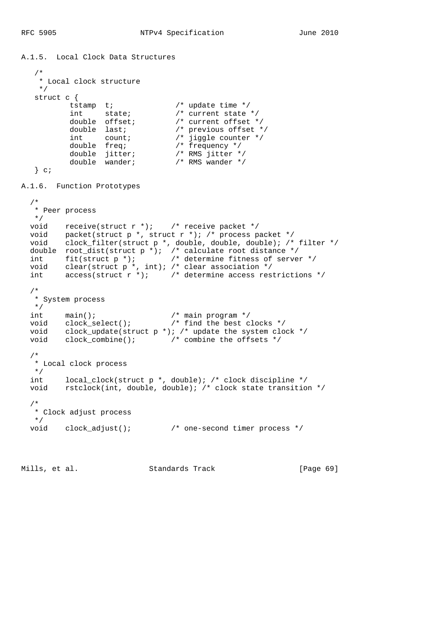```
A.1.5. Local Clock Data Structures
   /*
    * Local clock structure
    */
   struct c {
tstamp t; /* update time */
int state; \frac{1}{x} /* current state */
 double offset; /* current offset */
double last; \sqrt{p} previous offset */
int count; \sqrt{2} jiggle counter \sqrt{2} double freq; /* frequency */
 double jitter; /* RMS jitter */
 double wander; /* RMS wander */
  } c;
A.1.6. Function Prototypes
  /*
   * Peer process
   */
  void receive(struct r *); /* receive packet */
 void packet(struct p *, struct r *); /* process packet */
 void clock_filter(struct p *, double, double, double); /* filter */
 double root_dist(struct p *); /* calculate root distance */
 int fit(struct p *); /* determine fitness of server */
 void clear(struct p *, int); /* clear association */
 int \alpha details that \alpha is the \alpha integral association \alpha int \alpha access (struct \alpha \alpha); \alpha determine access restrictions \alpha/
  /*
   * System process
   */
 int main(); /* main program */
 void clock_select(); /* find the best clocks */
  void clock_update(struct p *); /* update the system clock */
  void clock_combine(); /* combine the offsets */
  /*
   * Local clock process
   */
  int local_clock(struct p *, double); /* clock discipline */
  void rstclock(int, double, double); /* clock state transition */
   /*
   * Clock adjust process
  */
                             /* one-second timer process */
```
Mills, et al. Standards Track [Page 69]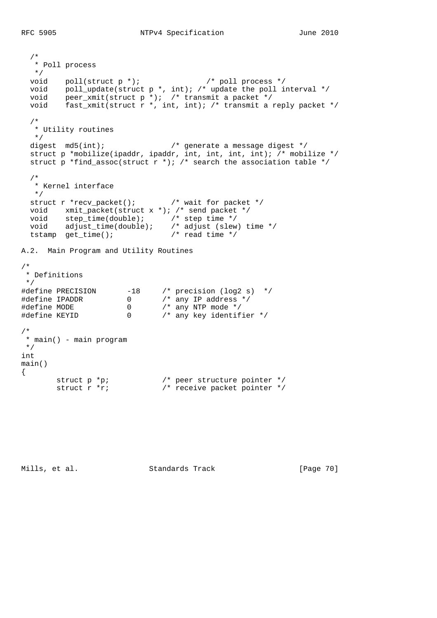```
 /*
   * Poll process
   */
  void poll(struct p *); \frac{1}{2} /* poll process */<br>void poll_update(struct p *, int); /* update the poll interval */
 void poll_update(struct p *, int); /* update the poll interval */
 void peer_xmit(struct p *); /* transmit a packet */
void fast_xmit(struct r *, int, int); /* transmit a reply packet */
   /*
   * Utility routines
   */
  digest md5(int); \frac{1}{2} /* generate a message digest */
  struct p *mobilize(ipaddr, ipaddr, int, int, int, int); /* mobilize */
  struct p *find_assoc(struct r *); /* search the association table */
   /*
   * Kernel interface
   */
   struct r *recv_packet(); /* wait for packet */
  void xmit_packet(struct x *); /* send packet */
 void step_time(double); /* step time */
 void adjust_time(double); /* adjust (slew) time */
 void step_time(double); /* adjust (slew<br>tstamp get_time(); /* adjust (slew<br>tstamp get_time(); /* read time */
A.2. Main Program and Utility Routines
/*
 * Definitions
  */
#define PRECISION -18 /* precision (log2 s) */
#define IPADDR 0 /* any IP address */
#define MODE 0 /* any NTP mode */
#define KEYID 0 /* any key identifier */
/*
 * main() - main program
 */
int
main()
{
struct p *p; \frac{1}{2} /* peer structure pointer */
struct r *r; \frac{1}{2} /* receive packet pointer */
```
Mills, et al. Standards Track [Page 70]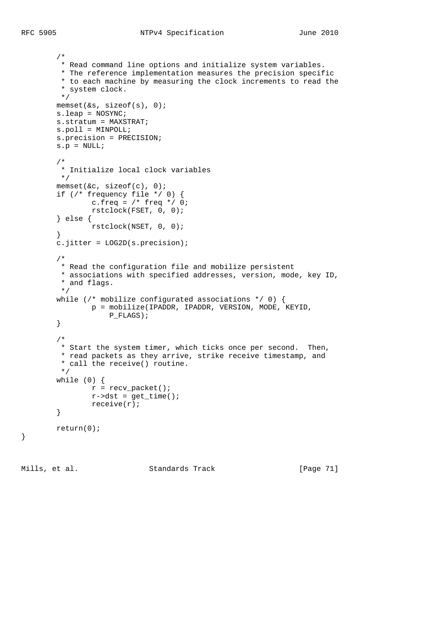```
 /*
         * Read command line options and initialize system variables.
         * The reference implementation measures the precision specific
         * to each machine by measuring the clock increments to read the
          * system clock.
          */
        memset(&s, sizeof(s), 0);
        s.leap = NOSYNC;
        s.stratum = MAXSTRAT;
        s.poll = MINPOLL;
        s.precision = PRECISION;
       s.p = NULL; /*
         * Initialize local clock variables
         */
        memset(&c, sizeof(c), 0);
         if (/* frequency file */ 0) {
               c.freq = /* freq */ 0; rstclock(FSET, 0, 0);
         } else {
                 rstclock(NSET, 0, 0);
         }
        c.jitter = LOG2D(s.precision);
 /*
         * Read the configuration file and mobilize persistent
         * associations with specified addresses, version, mode, key ID,
         * and flags.
          */
       while (/* mobilize configurated associations */ 0) {
                p = mobilize(IPADDR, IPADDR, VERSION, MODE, KEYID,
                    P_FLAGS);
         }
        /*
         * Start the system timer, which ticks once per second. Then,
         * read packets as they arrive, strike receive timestamp, and
         * call the receive() routine.
         */
        while (0) {
                r = recv_packet();
                r->dst = get_time();
                 receive(r);
         }
        return(0);
```
}

Mills, et al. Standards Track [Page 71]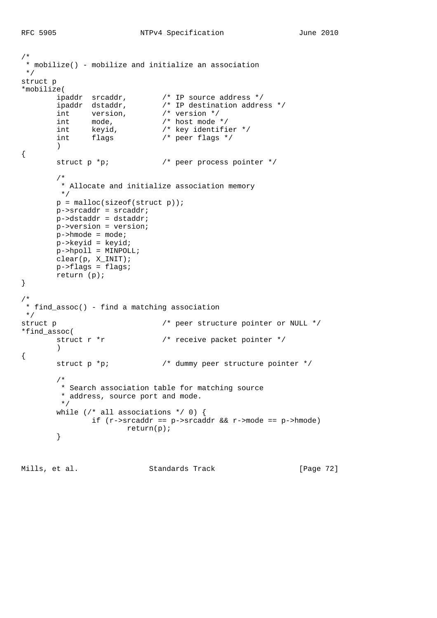```
/*
 * mobilize() - mobilize and initialize an association
 */
struct p
*mobilize(
 ipaddr srcaddr, /* IP source address */
 ipaddr dstaddr, /* IP destination address */
 int version, /* version */
int mode, \frac{1}{100} mode, \frac{1}{100} mode */
 int keyid, /* key identifier */
 int flags /* peer flags */
       \left( \right){
       struct p *p; \frac{1}{2} /* peer process pointer */
        /*
         * Allocate and initialize association memory
         */
       p = \text{malloc}(sizeof(struct p));
        p->srcaddr = srcaddr;
        p->dstaddr = dstaddr;
        p->version = version;
        p->hmode = mode;
        p->keyid = keyid;
        p->hpoll = MINPOLL;
 clear(p, X_INIT);
 p->flags = flags;
        return (p);
}
/*
 * find_assoc() - find a matching association
 */
struct p \prime + peer structure pointer or NULL */
*find_assoc(
       struct r *r \sqrt{2} /* receive packet pointer */
        )
{
       struct p *p; \frac{1}{2} /* dummy peer structure pointer */
        /*
         * Search association table for matching source
         * address, source port and mode.
         */
       while \left(\frac{*}{*} \text{ all associations */ 0}\right) {
              if (r->srcaddr == p->srcaddr && r->mode == p->hmode)
                       return(p);
        }
```
Mills, et al. Standards Track [Page 72]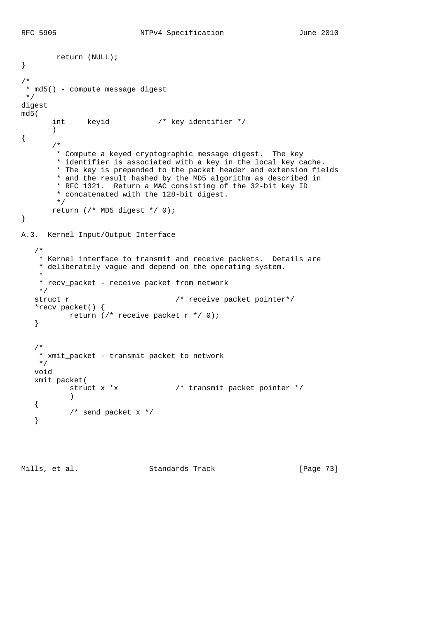```
 return (NULL);
}
/*
 * md5() - compute message digest
 */
digest
md5(
       int keyid /* key identifier */
        )
{
        /*
        * Compute a keyed cryptographic message digest. The key
        * identifier is associated with a key in the local key cache.
        * The key is prepended to the packet header and extension fields
        * and the result hashed by the MD5 algorithm as described in
        * RFC 1321. Return a MAC consisting of the 32-bit key ID
         * concatenated with the 128-bit digest.
         */
       return (/* MD5 digest */ 0);
}
A.3. Kernel Input/Output Interface
    /*
    * Kernel interface to transmit and receive packets. Details are
    * deliberately vague and depend on the operating system.
 *
    * recv_packet - receive packet from network
    */
   struct r \sqrt{2} /* receive packet pointer*/
    *recv_packet() {
           return (/* receive packet r */ 0);
    }
 /*
    * xmit_packet - transmit packet to network
    */
    void
    xmit_packet(
         struct x *x \frac{1}{x} /* transmit packet pointer */
\overline{\phantom{a}} {
          /* send packet x */
    }
```
Mills, et al. Standards Track [Page 73]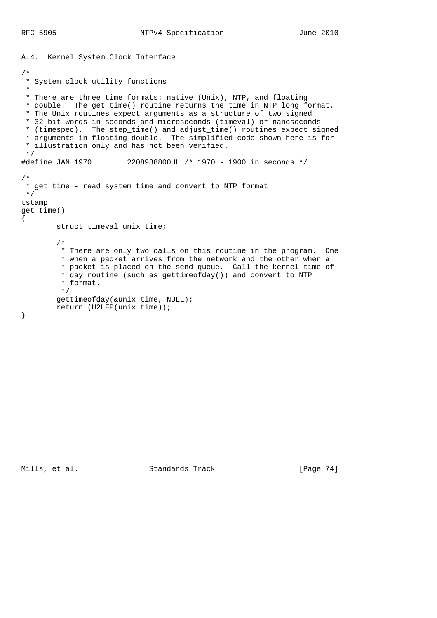```
A.4. Kernel System Clock Interface
/*
 * System clock utility functions
 *
  * There are three time formats: native (Unix), NTP, and floating
  * double. The get_time() routine returns the time in NTP long format.
  * The Unix routines expect arguments as a structure of two signed
  * 32-bit words in seconds and microseconds (timeval) or nanoseconds
  * (timespec). The step_time() and adjust_time() routines expect signed
  * arguments in floating double. The simplified code shown here is for
  * illustration only and has not been verified.
  */
#define JAN_1970 2208988800UL /* 1970 - 1900 in seconds */
/*
  * get_time - read system time and convert to NTP format
 \star /
tstamp
get_time()
{
         struct timeval unix_time;
 /*
         * There are only two calls on this routine in the program. One
          * when a packet arrives from the network and the other when a
          * packet is placed on the send queue. Call the kernel time of
          * day routine (such as gettimeofday()) and convert to NTP
          * format.
          */
         gettimeofday(&unix_time, NULL);
         return (U2LFP(unix_time));
}
```
Mills, et al. Standards Track [Page 74]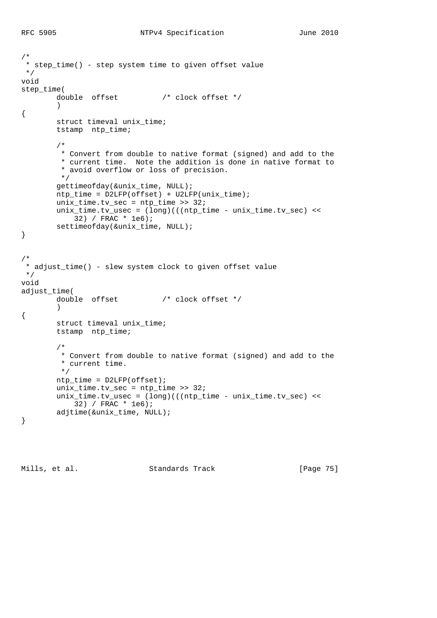```
/*
  * step_time() - step system time to given offset value
  */
void
step_time(
         double offset /* clock offset */
\overline{\phantom{a}}{
        struct timeval unix time;
         tstamp ntp_time;
         /*
          * Convert from double to native format (signed) and add to the
          * current time. Note the addition is done in native format to
          * avoid overflow or loss of precision.
          */
         gettimeofday(&unix_time, NULL);
         ntp_time = D2LFP(offset) + U2LFP(unix_time);
        unix_time.tv\_sec = ntp_time >> 32; unix_time.tv_usec = (long)(((ntp_time - unix_time.tv_sec) <<
             32) / FRAC * 1e6);
         settimeofday(&unix_time, NULL);
}
/*
 * adjust_time() - slew system clock to given offset value
 */
void
adjust_time(
         double offset /* clock offset */
\overline{\phantom{a}}{
         struct timeval unix_time;
         tstamp ntp_time;
         /*
          * Convert from double to native format (signed) and add to the
          * current time.
          */
         ntp_time = D2LFP(offset);
         unix_time.tv_sec = ntp_time >> 32;
         unix_time.tv_usec = (long)(((ntp_time - unix_time.tv_sec) <<
            32) / FRAC * 1e6);
         adjtime(&unix_time, NULL);
}
```
Mills, et al. Standards Track [Page 75]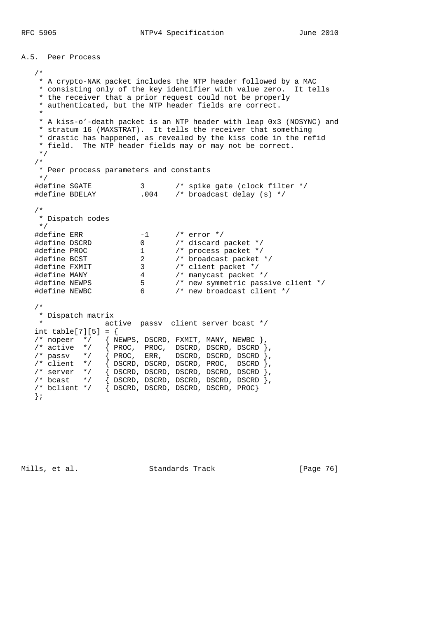A.5. Peer Process /\* \* A crypto-NAK packet includes the NTP header followed by a MAC \* consisting only of the key identifier with value zero. It tells \* the receiver that a prior request could not be properly \* authenticated, but the NTP header fields are correct. \* \* A kiss-o'-death packet is an NTP header with leap 0x3 (NOSYNC) and \* stratum 16 (MAXSTRAT). It tells the receiver that something \* drastic has happened, as revealed by the kiss code in the refid \* field. The NTP header fields may or may not be correct. \*/ /\* \* Peer process parameters and constants \*/ #define SGATE 3 /\* spike gate (clock filter \*/ #define BDELAY .004 /\* broadcast delay (s) \*/ /\* \* Dispatch codes \*/ #define ERR -1 /\* error \*/ #define DSCRD 0 /\* discard packet \*/ #define PROC 1 /\* process packet \*/ #define BCST 2 /\* broadcast packet \*/ #define FXMIT 3 /\* client packet \*/ #define MANY 4 /\* manycast packet \*/ #define NEWPS 5 /\* new symmetric passive client \*/ #define NEWBC 6 /\* new broadcast client \*/ /\* \* Dispatch matrix active passv client server bcast \*/ int table[7][5] = { /\* nopeer \*/  $\{$  NEWPS, DSCRD, FXMIT, MANY, NEWBC  $\}$ , /\* active  $*/$   $\{$  PROC, PROC, DSCRD, DSCRD, DSCRD  $\},$  $\frac{1}{2}$  passv  $\frac{*}{2}$  { PROC, ERR, DSCRD, DSCRD, DSCRD }, /\* client \*/ { DSCRD, DSCRD, DSCRD, PROC, DSCRD }, /\* server \*/ { DSCRD, DSCRD, DSCRD, DSCRD, DSCRD }, /\* bcast \*/ { DSCRD, DSCRD, DSCRD, DSCRD, DSCRD }, /\* bclient \*/ { DSCRD, DSCRD, DSCRD, DSCRD, PROC}

};

Mills, et al. Standards Track [Page 76]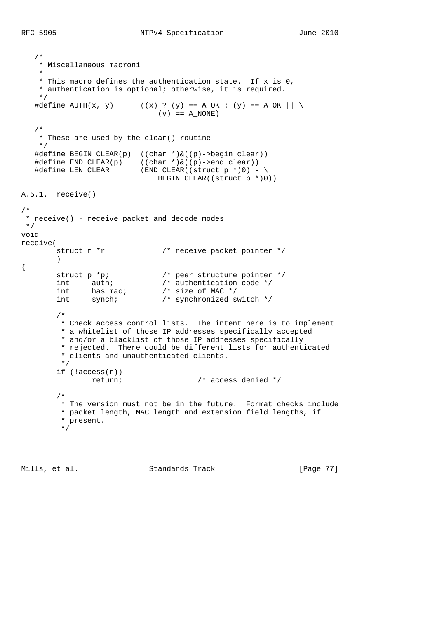```
 /*
    * Miscellaneous macroni
 *
    * This macro defines the authentication state. If x is 0,
    * authentication is optional; otherwise, it is required.
    */
  #define AUTH(x, y) ((x) ? (y) == A_OK : (y) == A_OK || \
                              (y) == A_NONE /*
    * These are used by the clear() routine
    */
   #define BEGIN_CLEAR(p) ((char *)&((p)->begin_clear))
 #define END_CLEAR(p) ((char *)&((p)->end_clear))
 #define LEN_CLEAR (END_CLEAR((struct p *)0) - \
   H\text{define LEN\_CLEAR} (END_CLEAR((struct p *)0) - \<br>BEGIN_CLEAR((struct p *)0))
A.5.1. receive()
/*
 * receive() - receive packet and decode modes
 */
void
receive(
       struct r *r \sqrt{2} /* receive packet pointer */
        )
{
struct p *p; \frac{1}{2} /* peer structure pointer */
int auth; \frac{1}{2} /* authentication code */
int has_mac; \frac{1}{2} /* size of MAC */
int synch; \frac{1}{2} /* synchronized switch */
         /*
         * Check access control lists. The intent here is to implement
         * a whitelist of those IP addresses specifically accepted
         * and/or a blacklist of those IP addresses specifically
         * rejected. There could be different lists for authenticated
         * clients and unauthenticated clients.
         */
        if (laccess(r)) return; /* access denied */
         /*
         * The version must not be in the future. Format checks include
         * packet length, MAC length and extension field lengths, if
         * present.
          */
```
Mills, et al. Standards Track [Page 77]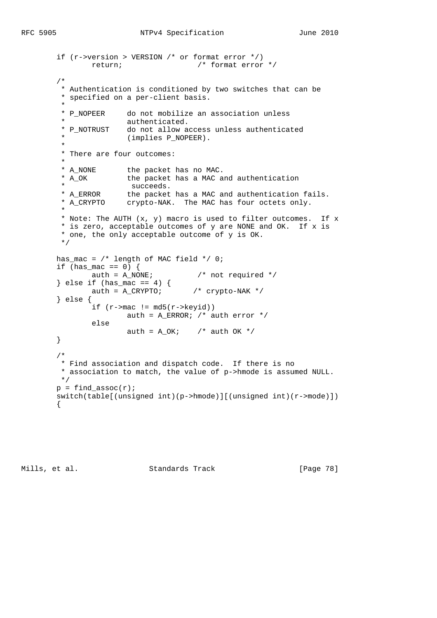```
 if (r->version > VERSION /* or format error */)
               return; /* format error */
        /*
         * Authentication is conditioned by two switches that can be
         * specified on a per-client basis.
 *
         * P_NOPEER do not mobilize an association unless
        * authenticated.<br>* P NOTRUST do not allow a
                      do not allow access unless authenticated
                      (implies P_NOPEER).
 *
         * There are four outcomes:
 *
        * A_NONE the packet has no MAC.<br>* A_OK the packet has a MAC a
                     the packet has a MAC and authentication<br>succeeds.
 * succeeds.
 * A_ERROR the packet has a MAC and authentication fails.
 * A_CRYPTO crypto-NAK. The MAC has four octets only.
 *
         * Note: The AUTH (x, y) macro is used to filter outcomes. If x
         * is zero, acceptable outcomes of y are NONE and OK. If x is
         * one, the only acceptable outcome of y is OK.
         */
        has_mac = /* length of MAC field */ 0;
 if (has_mac == 0) {
auth = A_NONE; \frac{1}{2} /* not required */
 } else if (has_mac == 4) {
auth = A_CRYPTO; /* crypto-NAK */ } else {
               if (r-\text{mac} != \text{md5}(r-\text{keyid}))auth = A_{ERROR}; /* auth error */
                else
                     auth = A_0K; /* auth OK */
        }
        /*
         * Find association and dispatch code. If there is no
         * association to match, the value of p->hmode is assumed NULL.
         */
       p = find\_assoc(r); switch(table[(unsigned int)(p->hmode)][(unsigned int)(r->mode)])
        {
```
Mills, et al. Standards Track [Page 78]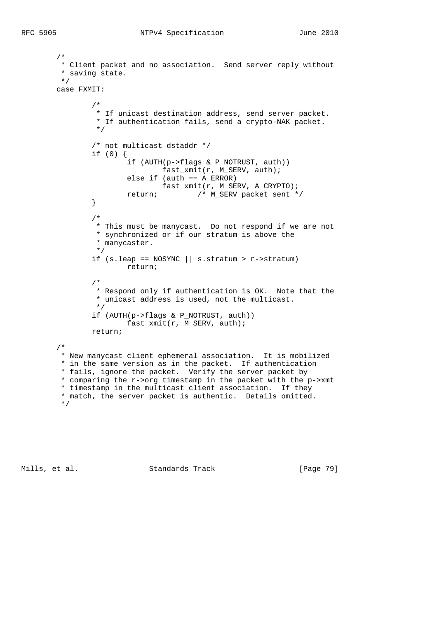```
 /*
         * Client packet and no association. Send server reply without
         * saving state.
         */
        case FXMIT:
 /*
                 * If unicast destination address, send server packet.
                * If authentication fails, send a crypto-NAK packet.<br>*/
\star/ /* not multicast dstaddr */
                if (0) {
                        if (AUTH(p->flags & P_NOTRUST, auth))
                                fast_xmit(r, M_SERV, auth);
                        else if (auth == A_ERROR)
                         fast_xmit(r, M_SERV, A_CRYPTO);
               return; /* M_SERV packet sent */
 }
 /*
                 * This must be manycast. Do not respond if we are not
                 * synchronized or if our stratum is above the
                 * manycaster.
                 */
               if (s.\text{leap} == \text{NOSYNC} \mid \mid s.\text{stratum} > r\rightarrow \text{stratum}) return;
 /*
                 * Respond only if authentication is OK. Note that the
                 * unicast address is used, not the multicast.
                 */
                if (AUTH(p->flags & P_NOTRUST, auth))
                        fast_xmit(r, M_SERV, auth);
                return;
        /*
         * New manycast client ephemeral association. It is mobilized
         * in the same version as in the packet. If authentication
         * fails, ignore the packet. Verify the server packet by
         * comparing the r->org timestamp in the packet with the p->xmt
         * timestamp in the multicast client association. If they
         * match, the server packet is authentic. Details omitted.
         */
```
Mills, et al. Standards Track [Page 79]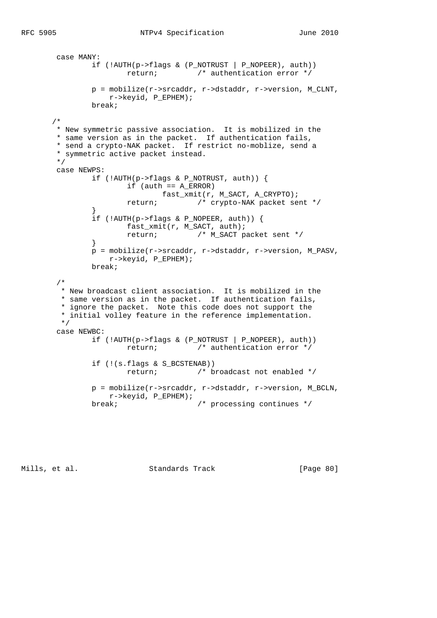```
 case MANY:
                if (!AUTH(p->flags & (P_NOTRUST | P_NOPEER), auth))
                       return; /* authentication error */
                p = mobilize(r->srcaddr, r->dstaddr, r->version, M_CLNT,
                   r->keyid, P_EPHEM);
                break;
       /*
        * New symmetric passive association. It is mobilized in the
        * same version as in the packet. If authentication fails,
        * send a crypto-NAK packet. If restrict no-moblize, send a
        * symmetric active packet instead.
        */
        case NEWPS:
                if (!AUTH(p->flags & P_NOTRUST, auth)) {
                       if (auth == A\_ERROR) fast_xmit(r, M_SACT, A_CRYPTO);
                        return; /* crypto-NAK packet sent */
 }
               if (!AUTH(p->flags & P_NOPEER, auth)) {
                        fast_xmit(r, M_SACT, auth);
                        return; /* M_SACT packet sent */
 }
                p = mobilize(r->srcaddr, r->dstaddr, r->version, M_PASV,
                    r->keyid, P_EPHEM);
                break;
        /*
         * New broadcast client association. It is mobilized in the
         * same version as in the packet. If authentication fails,
         * ignore the packet. Note this code does not support the
         * initial volley feature in the reference implementation.
         */
        case NEWBC:
                if (!AUTH(p->flags & (P_NOTRUST | P_NOPEER), auth))
                        return; /* authentication error */
               if (!(s.flags & S_BCSTENAB))<br>return; /* b
                                      /* broadcast not enabled */
                p = mobilize(r->srcaddr, r->dstaddr, r->version, M_BCLN,
                   r->keyid, P_EPHEM);
               break; \sqrt{2} /* processing continues */
```
Mills, et al. Standards Track [Page 80]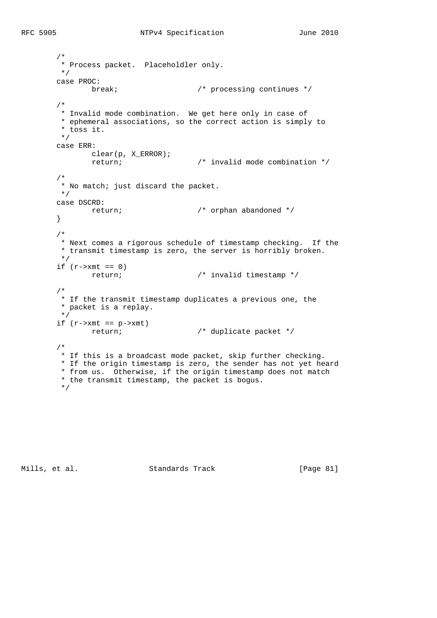```
 /*
         * Process packet. Placeholdler only.
         */
        case PROC:
             break; \overline{a} /* processing continues */
        /*
        * Invalid mode combination. We get here only in case of
         * ephemeral associations, so the correct action is simply to
         * toss it.
         */
        case ERR:
         clear(p, X_ERROR);
              return; /* invalid mode combination */
        /*
         * No match; just discard the packet.
         */
       case DSCRD:<br>return;
                                      \prime* orphan abandoned */
 }
        /*
         * Next comes a rigorous schedule of timestamp checking. If the
         * transmit timestamp is zero, the server is horribly broken.
         */
       if (r->xmt == 0) return; /* invalid timestamp */
        /*
         * If the transmit timestamp duplicates a previous one, the
         * packet is a replay.
         */
       if (r->xmt == p->xmt) return; /* duplicate packet */
        /*
         * If this is a broadcast mode packet, skip further checking.
         * If the origin timestamp is zero, the sender has not yet heard
         * from us. Otherwise, if the origin timestamp does not match
         * the transmit timestamp, the packet is bogus.
         */
```
Mills, et al. Standards Track [Page 81]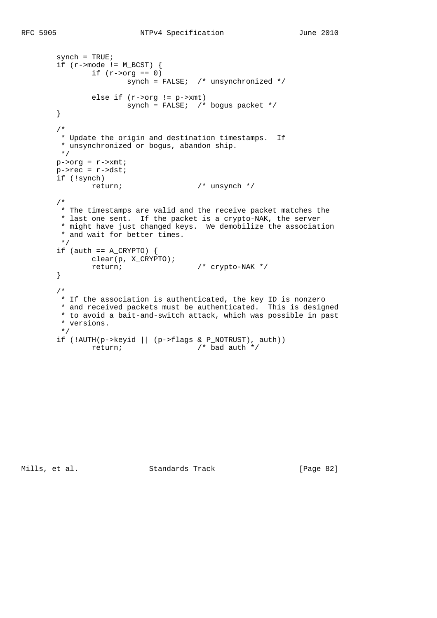```
synch = TRUE;if (r\rightarrow \text{mode} != M_BCST) {
       if (r->\text{org} == 0)synch = FALSE; /* unsynchronized */else if (r->\text{org} != p->\text{xmt})synch = FALSE; /* bogus packet */ }
 /*
  * Update the origin and destination timestamps. If
  * unsynchronized or bogus, abandon ship.
 */
p\rightarroworg = r\rightarrowxmt;
p->rec = r->dst;
 if (!synch)
        return; /* unsynch */
 /*
  * The timestamps are valid and the receive packet matches the
 * last one sent. If the packet is a crypto-NAK, the server
  * might have just changed keys. We demobilize the association
  * and wait for better times.
 */
if (auth == A_CRYPTO) {
         clear(p, X_CRYPTO);
         return; /* crypto-NAK */
 }
 /*
 * If the association is authenticated, the key ID is nonzero
  * and received packets must be authenticated. This is designed
  * to avoid a bait-and-switch attack, which was possible in past
  * versions.
  */
if (!AUTH(p->keyid | | (p->flags & P_NOTRUST), author))
```
Mills, et al. Standards Track [Page 82]

return; /\* bad auth \*/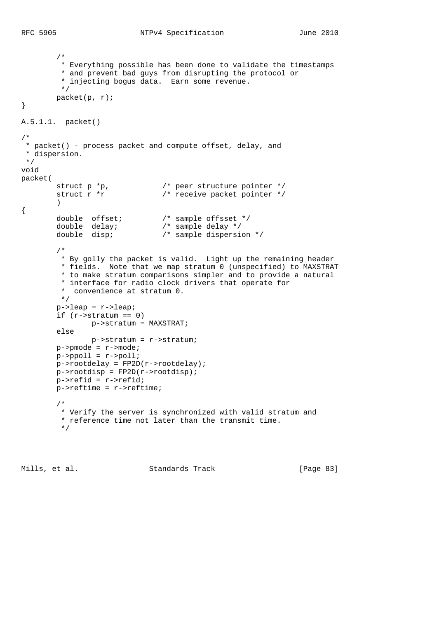```
 /*
         * Everything possible has been done to validate the timestamps
         * and prevent bad guys from disrupting the protocol or
         * injecting bogus data. Earn some revenue.
         */
        packet(p, r);
}
A.5.1.1. packet()
/*
 * packet() - process packet and compute offset, delay, and
 * dispersion.
 */
void
packet(
 struct p *p, /* peer structure pointer */
struct r *r \gamma /* receive packet pointer */
\overline{\phantom{a}}{
 double offset; /* sample offsset */
 double delay; /* sample delay */
 double disp; /* sample dispersion */
         /*
         * By golly the packet is valid. Light up the remaining header
         * fields. Note that we map stratum 0 (unspecified) to MAXSTRAT
         * to make stratum comparisons simpler and to provide a natural
         * interface for radio clock drivers that operate for
         * convenience at stratum 0.
         */
       p->leap = r->leap;
       if (r->stratum == 0)
               p->stratum = MAXSTRAT;
        else
               p->stratum = r->stratum;
       p->pmode = r->mode;
        p->ppoll = r->poll;
        p->rootdelay = FP2D(r->rootdelay);
       p\rightarrowrootdisp = FP2D(r->rootdisp);
        p->refid = r->refid;
        p->reftime = r->reftime;
         /*
         * Verify the server is synchronized with valid stratum and
         * reference time not later than the transmit time.
         */
```
Mills, et al. Standards Track [Page 83]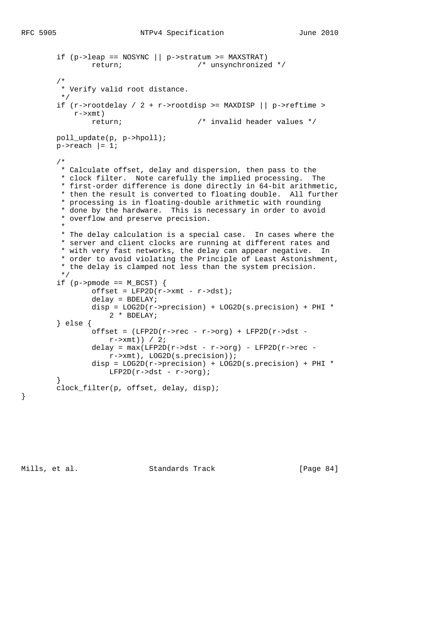```
if (p-)leap == NOSYNC || p->stratum >= MAXSTRAT)
                 return; /* unsynchronized */
         /*
         * Verify valid root distance.
 */
        if (r\rightarrow\text{rootdelay} / 2 + r\rightarrow\text{rootdisp} \rightarrow \text{MAXDISP} || p\rightarrow\text{reftime} \rightarrow r->xmt)
                return; /* invalid header values */
        poll_update(p, p->hpoll);
       p\rightarrowreach |= 1; /*
         * Calculate offset, delay and dispersion, then pass to the
          * clock filter. Note carefully the implied processing. The
          * first-order difference is done directly in 64-bit arithmetic,
          * then the result is converted to floating double. All further
          * processing is in floating-double arithmetic with rounding
          * done by the hardware. This is necessary in order to avoid
          * overflow and preserve precision.
 *
          * The delay calculation is a special case. In cases where the
          * server and client clocks are running at different rates and
          * with very fast networks, the delay can appear negative. In
          * order to avoid violating the Principle of Least Astonishment,
          * the delay is clamped not less than the system precision.
          */
        if (p \rightarrow p \mod p) = M_BCST {
                offset = LFP2D(r->xmt - r->dst));delay = BDELAY; disp = LOG2D(r->precision) + LOG2D(s.precision) + PHI *
                     2 * BDELAY;
         } else {
                offset = (LFP2D(r->rec - r->org) + LFP2D(r->dst -r \rightarrow xmt)) / 2;
                delay = max(LFP2D(r->dst - r->org) - LFP2D(r->rec - r->xmt), LOG2D(s.precision));
                 disp = LOG2D(r->precision) + LOG2D(s.precision) + PHI *
                    LFP2D(r->dst - r->org); }
         clock_filter(p, offset, delay, disp);
```
}

Mills, et al. Standards Track [Page 84]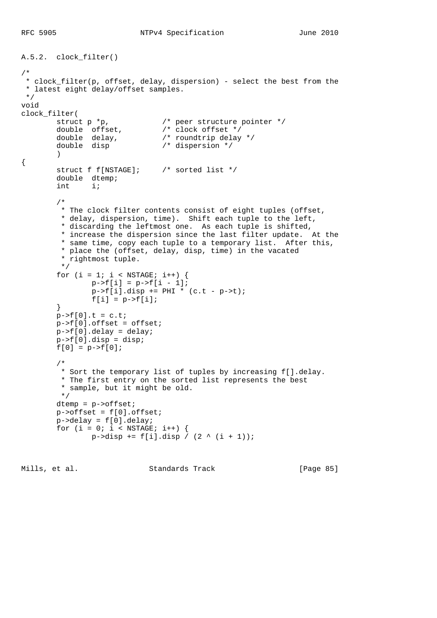```
A.5.2. clock_filter()
/*
 * clock_filter(p, offset, delay, dispersion) - select the best from the
  * latest eight delay/offset samples.
  */
void
clock_filter(<br>struct p *p,
        struct p *p, \begin{array}{ccc} & /* & \text{peer structure pointer */} \\ \text{double} & \text{offset,} & /* & \text{clock offset */} \\ \end{array} double offset, /* clock offset */
 double delay, /* roundtrip delay */
        double delay, \phi /* roundtrip delay<br>double disp \phi /* dispersion */
          )
{
         struct f f[NSTAGE]; /* sorted list */
         double dtemp;
         int i;
          /*
           * The clock filter contents consist of eight tuples (offset,
           * delay, dispersion, time). Shift each tuple to the left,
           * discarding the leftmost one. As each tuple is shifted,
           * increase the dispersion since the last filter update. At the
           * same time, copy each tuple to a temporary list. After this,
           * place the (offset, delay, disp, time) in the vacated
           * rightmost tuple.
           */
         for (i = 1; i < NSTAGE; i++) {
                  p \rightarrow f[i] = p \rightarrow f[i - 1];p->f[i].disp += PHI * (c.t - p->t);f[i] = p->f[i]; }
        p->f[0].t = c.t; p->f[0].offset = offset;
        p->f[0].delay = delay;p \rightarrow f[0].disp = disp;
        f[0] = p->f[0]; /*
          * Sort the temporary list of tuples by increasing f[].delay.
           * The first entry on the sorted list represents the best
           * sample, but it might be old.
           */
          dtemp = p->offset;
         p->offset = f[0].offset;
          p->delay = f[0].delay;
         for (i = 0; i < NSTAGE; i++) {
                 p->disp += f[i].disp / (2 ^ (i + 1));
```
Mills, et al. Standards Track [Page 85]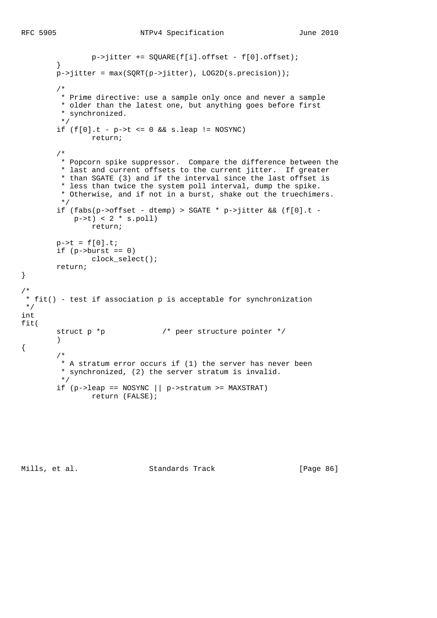```
 p->jitter += SQUARE(f[i].offset - f[0].offset);
         }
        p \rightarrowjitter = max(SQRT(p->jitter), LOG2D(s.precision));
         /*
         * Prime directive: use a sample only once and never a sample
         * older than the latest one, but anything goes before first
          * synchronized.
         */
        if (f[0].t - p \rightarrow t \le 0 & s.leap != NOSYNC)
                 return;
         /*
          * Popcorn spike suppressor. Compare the difference between the
          * last and current offsets to the current jitter. If greater
          * than SGATE (3) and if the interval since the last offset is
          * less than twice the system poll interval, dump the spike.
          * Otherwise, and if not in a burst, shake out the truechimers.
          */
         if (fabs(p->offset - dtemp) > SGATE * p->jitter && (f[0].t -
           p->t) < 2 * s.poll)
                 return;
        p - > t = f[0].t;if (p ->burst == 0)
                clock_select();
         return;
 * fit() - test if association p is acceptable for synchronization
fit(
        struct p *p * /* peer structure pointer */
         )
         /*
         * A stratum error occurs if (1) the server has never been
         * synchronized, (2) the server stratum is invalid.
          */
        if (p-)leap == NOSYNC \mid \mid p->stratum >= MAXSTRAT) return (FALSE);
```
Mills, et al. Standards Track [Page 86]

}

/\*

{

 \*/ int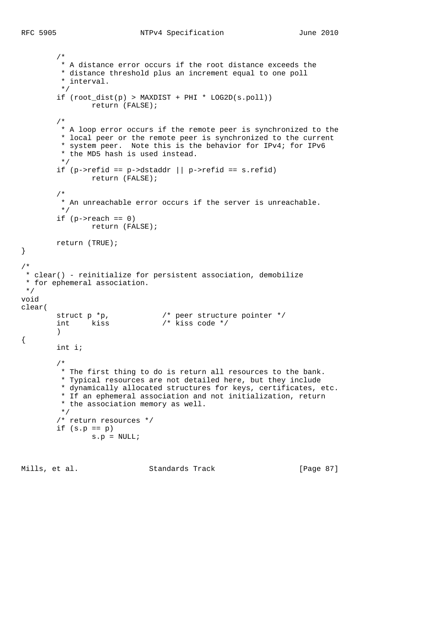```
 /*
         * A distance error occurs if the root distance exceeds the
          * distance threshold plus an increment equal to one poll
          * interval.
         */
         if (root_dist(p) > MAXDIST + PHI * LOG2D(s.poll))
                 return (FALSE);
         /*
          * A loop error occurs if the remote peer is synchronized to the
          * local peer or the remote peer is synchronized to the current
          * system peer. Note this is the behavior for IPv4; for IPv6
          * the MD5 hash is used instead.
          */
        if (p->refid == p->dstaddr || p->refid == s.refid)
                 return (FALSE);
         /*
          * An unreachable error occurs if the server is unreachable.
         */
        if (p\rightarrowreach == 0)
                 return (FALSE);
         return (TRUE);
}
/*
 * clear() - reinitialize for persistent association, demobilize
  * for ephemeral association.
  */
void
clear(
struct p *p, \frac{1}{2} /* peer structure pointer */
 int kiss /* kiss code */
\overline{\phantom{a}}{
         int i;
         /*
          * The first thing to do is return all resources to the bank.
          * Typical resources are not detailed here, but they include
          * dynamically allocated structures for keys, certificates, etc.
          * If an ephemeral association and not initialization, return
          * the association memory as well.
          */
         /* return resources */
        if (s.p == p)s.p = NULL;
```
Mills, et al. Standards Track [Page 87]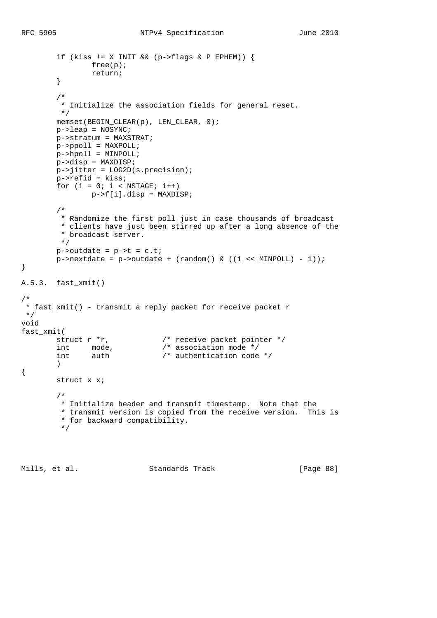```
if (kiss != X_INIT && (p->flags & P_EPHEM)) {
                  free(p);
                  return;
          }
          /*
          * Initialize the association fields for general reset.
           */
        memset(BEGIN_CLEAR(p), LEN_CLEAR, 0);
         p->leap = NOSYNC;
         p->stratum = MAXSTRAT;
         p->ppoll = MAXPOLL;
         p->hpoll = MINPOLL;
         p->disp = MAXDISP;
         p->jitter = LOG2D(s.precision);
         p->refid = kiss;
         for (i = 0; i < NSTAGE; i++)p \rightarrow f[i].disp = MAXDISP; /*
           * Randomize the first poll just in case thousands of broadcast
           * clients have just been stirred up after a long absence of the
           * broadcast server.
           */
        p->outdate = p->t = c.t;
        p->nextdate = p->outdate + (random() & ((1 << MINPOLL) - 1));
}
A.5.3. fast_xmit()
/*
  * fast_xmit() - transmit a reply packet for receive packet r
  */
void
\begin{array}{r}\n\text{fast\_xmit} \\
\text{struct } r * r, \\
\text{int } \mod{e}, \\
\text{with } \mod{e}\n\end{array}/* receive packet pointer */\frac{1}{2} association mode */
         int auth /* authentication code */ )
{
         struct x x;
          /*
          * Initialize header and transmit timestamp. Note that the
           * transmit version is copied from the receive version. This is
           * for backward compatibility.
           */
```
Mills, et al. Standards Track [Page 88]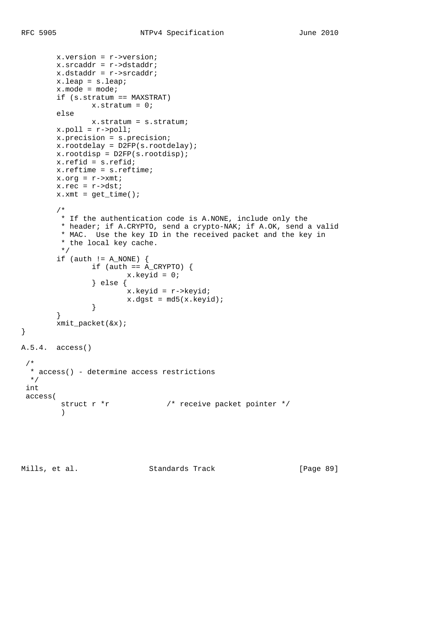```
 x.version = r->version;
 x.srcaddr = r->dstaddr;
 x.dstaddr = r->srcaddr;
```

```
 x.leap = s.leap;
        x. mode = mode;
         if (s.stratum == MAXSTRAT)
               x.stratum = 0;
         else
                x.stratum = s.stratum;
        x.poll = r->poll; x.precision = s.precision;
         x.rootdelay = D2FP(s.rootdelay);
         x.rootdisp = D2FP(s.rootdisp);
         x.refid = s.refid;
         x.reftime = s.reftime;
         x.org = r->xmt;
         x.rec = r->dst;
        x.xml = get_time();
         /*
         * If the authentication code is A.NONE, include only the
         * header; if A.CRYPTO, send a crypto-NAK; if A.OK, send a valid
          * MAC. Use the key ID in the received packet and the key in
          * the local key cache.
          */
        if (auth != A_NONE) {
                if (auth == A_CCRYPTO) {
                        x.keyid = 0;
                 } else {
                         x.keyid = r->keyid;
                x.dgst = md5(x.keyid); }
         }
         xmit_packet(&x);
A.5.4. access()
  * access() - determine access restrictions
  */
  int
  access(
        struct r *r \sqrt{2} /* receive packet pointer */
\overline{\phantom{a}}
```
}

/\*

Mills, et al. Standards Track [Page 89]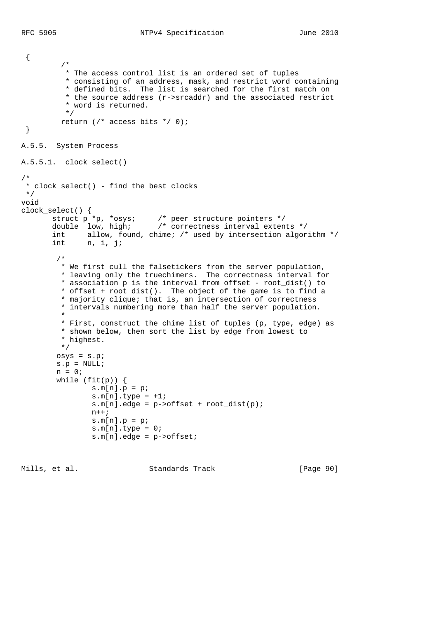```
 {
          /*
          * The access control list is an ordered set of tuples
          * consisting of an address, mask, and restrict word containing
          * defined bits. The list is searched for the first match on
           * the source address (r->srcaddr) and the associated restrict
           * word is returned.
           */
         return (/* access bits */ 0);
  }
A.5.5. System Process
A.5.5.1. clock_select()
/*
 * clock_select() - find the best clocks
 */
void
clock_select() {
 struct p *p, *osys; /* peer structure pointers */
 double low, high; /* correctness interval extents */
 int allow, found, chime; /* used by intersection algorithm */
 int n, i, j;
         /*
         * We first cull the falsetickers from the server population,
         * leaving only the truechimers. The correctness interval for
         * association p is the interval from offset - root_dist() to
          * offset + root_dist(). The object of the game is to find a
          * majority clique; that is, an intersection of correctness
          * intervals numbering more than half the server population.
 *
         * First, construct the chime list of tuples (p, type, edge) as
          * shown below, then sort the list by edge from lowest to
          * highest.
         */
        osys = s.p;
       s.p = NULL;n = 0;while (fit(p)) {
               s.m[n].p = pis.m[n].type = +1;s.m[n].edge = p->offset + root_dist(p);
               n++;s.m[n].p = pi s.m[n].type = 0;
                s.m[n].edge = p->offset;
```
Mills, et al. Standards Track [Page 90]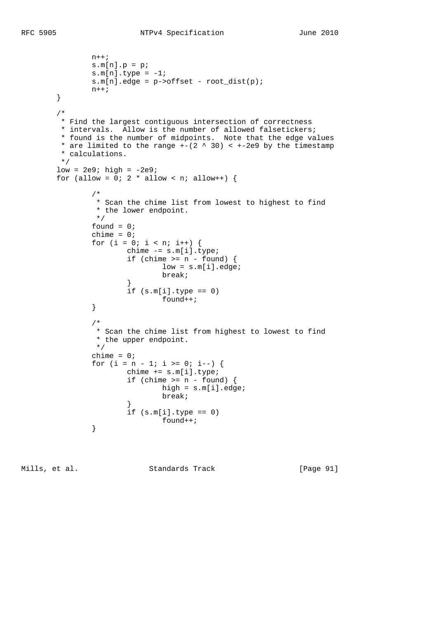```
n++;s.m[n].p = pis.m[n].type = -1;s.m[n].edge = p->offset - root_dist(p);
             n++; }
       /*
        * Find the largest contiguous intersection of correctness
        * intervals. Allow is the number of allowed falsetickers;
        * found is the number of midpoints. Note that the edge values
       * are limited to the range +-(2 \wedge 30) < +-2e9 by the timestamp
        * calculations.
        */
      low = 2e9; high = -2e9;for (allow = 0: 2 * allow < n; allow++) {
 /*
               * Scan the chime list from lowest to highest to find
               * the lower endpoint.
\star/found = 0;
             chime = 0;for (i = 0; i < n; i++) {
                    chime -= s.m[i].type;if (chime >= n - found) {
                            low = s.m[i].edge;
                            break;
 }
                    if (s.m[i].type == 0)found++; }
 /*
               * Scan the chime list from highest to lowest to find
               * the upper endpoint.
               */
             chime = 0;for (i = n - 1; i >= 0; i--) {
                     chime += s.m[i].type;
                    if (chime >= n - found) {
                            high = s.m[i].edge;
                            break;
 }
                    if (s.m[i].type == 0)found++; }
```
Mills, et al. Standards Track [Page 91]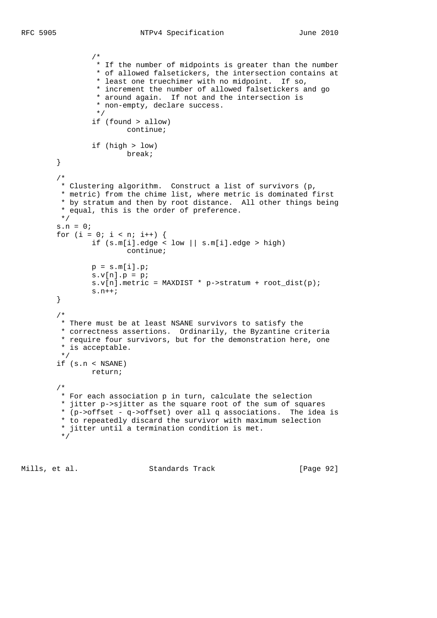```
 /*
                 * If the number of midpoints is greater than the number
                 * of allowed falsetickers, the intersection contains at
                 * least one truechimer with no midpoint. If so,
                 * increment the number of allowed falsetickers and go
                 * around again. If not and the intersection is
                * non-empty, declare success.<br>*/
\star/ if (found > allow)
                        continue;
                if (high > low)
                        break;
        }
        /*
         * Clustering algorithm. Construct a list of survivors (p,
         * metric) from the chime list, where metric is dominated first
         * by stratum and then by root distance. All other things being
         * equal, this is the order of preference.
         */
       s.n = 0;for (i = 0; i < n; i++) {
 if (s.m[i].edge < low || s.m[i].edge > high)
                        continue;
               p = s.m[i].p;
               s.v[n].p = pis.v[n].metric = MAXDIST * p->stratum + root_dist(p);
                s.n++;
        }
 /*
         * There must be at least NSANE survivors to satisfy the
         * correctness assertions. Ordinarily, the Byzantine criteria
         * require four survivors, but for the demonstration here, one
         * is acceptable.
         */
        if (s.n < NSANE)
                return;
        /*
         * For each association p in turn, calculate the selection
         * jitter p->sjitter as the square root of the sum of squares
         * (p->offset - q->offset) over all q associations. The idea is
         * to repeatedly discard the survivor with maximum selection
         * jitter until a termination condition is met.
         */
```
Mills, et al. Standards Track [Page 92]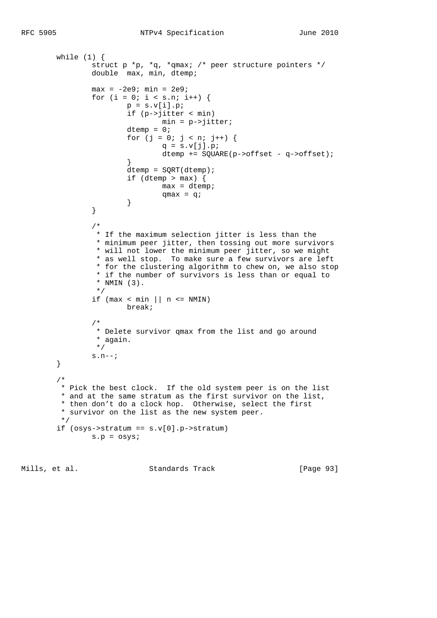```
while (1) {
 struct p *p, *q, *qmax; /* peer structure pointers */
double max, min, dtemp;
               max = -2e9; min = 2e9;
               for (i = 0; i < s.n; i++) {
                      p = s.v[i].p; if (p->jitter < min)
                              min = p->jitter;
                      dtemp = 0;for (j = 0; j < n; j++) {
                              q = s.v[j].p; dtemp += SQUARE(p->offset - q->offset);
 }
                       dtemp = SQRT(dtemp);
                      if (dtemp > max) {
                              max = dtemp;
                      \label{eq:qmax} \begin{array}{c} \text{qmax} \ = \ \text{q}\, ; \end{array} }
 }
 /*
                * If the maximum selection jitter is less than the
                * minimum peer jitter, then tossing out more survivors
                * will not lower the minimum peer jitter, so we might
                 * as well stop. To make sure a few survivors are left
                 * for the clustering algorithm to chew on, we also stop
                 * if the number of survivors is less than or equal to
                * NMIN (3).
\star/if (max < min || n <= NMIN)
                       break;
 /*
                * Delete survivor qmax from the list and go around
                * again.
                */
               s.n--; }
        /*
         * Pick the best clock. If the old system peer is on the list
         * and at the same stratum as the first survivor on the list,
         * then don't do a clock hop. Otherwise, select the first
         * survivor on the list as the new system peer.
         */
       if (osys->stratum == s.v[0].p->stratum) s.p = osys;
```
Mills, et al. Standards Track [Page 93]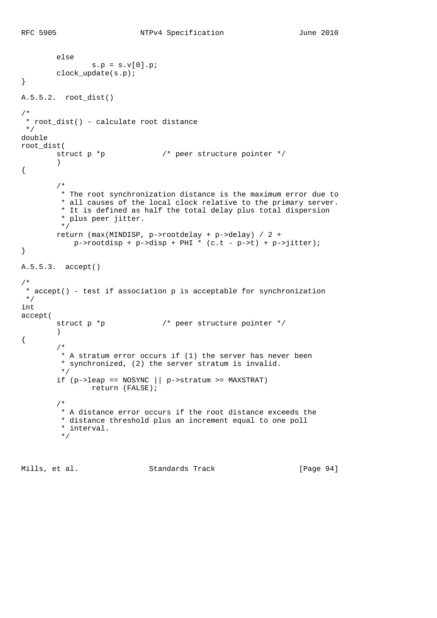```
 else
                s.p = s.v[0].p;
        clock update(s.p);
}
A.5.5.2. root_dist()
/*
  * root_dist() - calculate root distance
 */
double
root_dist(
      struct p *p * /* peer structure pointer */
         )
{
         /*
          * The root synchronization distance is the maximum error due to
          * all causes of the local clock relative to the primary server.
          * It is defined as half the total delay plus total dispersion
          * plus peer jitter.
          */
         return (max(MINDISP, p->rootdelay + p->delay) / 2 +
           p\rightarrowrootdisp + p->disp + PHI * (c.t - p->t) + p->jitter);
}
A.5.5.3. accept()
/*
  * accept() - test if association p is acceptable for synchronization
 */
int
accept(
        struct p *p \frac{1}{2} /* peer structure pointer */
         )
{
         /*
         * A stratum error occurs if (1) the server has never been
         * synchronized, (2) the server stratum is invalid.
         */
        if (p-)leap == NOSYNC || p->stratum >= MAXSTRAT)
                return (FALSE);
         /*
          * A distance error occurs if the root distance exceeds the
          * distance threshold plus an increment equal to one poll
          * interval.
          */
```
Mills, et al. Standards Track [Page 94]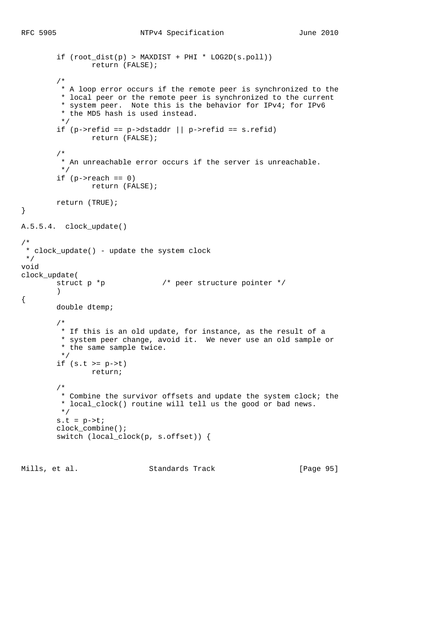```
 if (root_dist(p) > MAXDIST + PHI * LOG2D(s.poll))
                  return (FALSE);
         /*
          * A loop error occurs if the remote peer is synchronized to the
          * local peer or the remote peer is synchronized to the current
          * system peer. Note this is the behavior for IPv4; for IPv6
          * the MD5 hash is used instead.
          */
        if (p\rightarrow refid == p\rightarrow distaddr || p\rightarrow refid == s.refid) return (FALSE);
         /*
          * An unreachable error occurs if the server is unreachable.
          */
        if (p\rightarrowreach == 0)
                return (FALSE);
         return (TRUE);
}
A.5.5.4. clock_update()
/*
  * clock_update() - update the system clock
 */
void
clock_update(
        struct p *p * /* peer structure pointer */
\overline{\phantom{a}}{
         double dtemp;
         /*
         * If this is an old update, for instance, as the result of a
          * system peer change, avoid it. We never use an old sample or
          * the same sample twice.
          */
         if (s.t >= p->t)
                 return;
         /*
          * Combine the survivor offsets and update the system clock; the
          * local_clock() routine will tell us the good or bad news.
          */
        s.t = p \rightarrow t; clock_combine();
         switch (local_clock(p, s.offset)) {
```
Mills, et al. Standards Track [Page 95]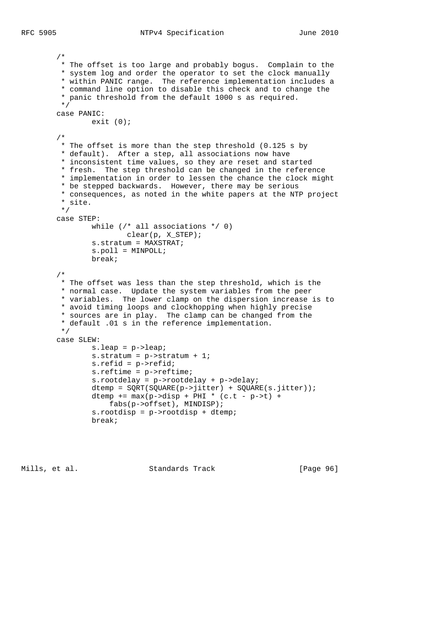```
 /*
  * The offset is too large and probably bogus. Complain to the
 * system log and order the operator to set the clock manually
  * within PANIC range. The reference implementation includes a
  * command line option to disable this check and to change the
  * panic threshold from the default 1000 s as required.
  */
 case PANIC:
       exit (0);
 /*
  * The offset is more than the step threshold (0.125 s by
  * default). After a step, all associations now have
  * inconsistent time values, so they are reset and started
  * fresh. The step threshold can be changed in the reference
  * implementation in order to lessen the chance the clock might
  * be stepped backwards. However, there may be serious
  * consequences, as noted in the white papers at the NTP project
  * site.
  */
 case STEP:
        while \left(\frac{*}{*} \text{ all associations *}\right) clear(p, X_STEP);
         s.stratum = MAXSTRAT;
         s.poll = MINPOLL;
         break;
 /*
 * The offset was less than the step threshold, which is the
  * normal case. Update the system variables from the peer
  * variables. The lower clamp on the dispersion increase is to
  * avoid timing loops and clockhopping when highly precise
  * sources are in play. The clamp can be changed from the
  * default .01 s in the reference implementation.
  */
 case SLEW:
         s.leap = p->leap;
         s.stratum = p->stratum + 1;
         s.refid = p->refid;
         s.reftime = p->reftime;
         s.rootdelay = p->rootdelay + p->delay;
         dtemp = SQRT(SQUARE(p->jitter) + SQUARE(s.jitter));
        dtemp += max(p->disp + PHI * (c.t - p->t) + fabs(p->offset), MINDISP);
         s.rootdisp = p->rootdisp + dtemp;
         break;
```
Mills, et al. Standards Track [Page 96]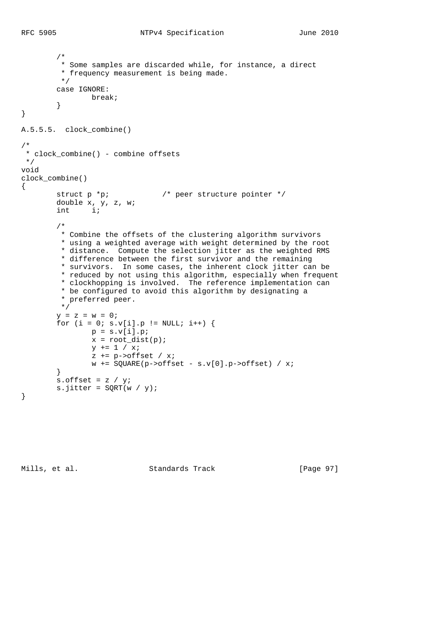```
 /*
         * Some samples are discarded while, for instance, a direct
          * frequency measurement is being made.
         */
         case IGNORE:
               break;
         }
}
A.5.5.5. clock_combine()
/*
  * clock_combine() - combine offsets
  */
void
clock_combine()
{
        struct p *p; \frac{1}{2} /* peer structure pointer */
         double x, y, z, w;
         int i;
         /*
         * Combine the offsets of the clustering algorithm survivors
          * using a weighted average with weight determined by the root
          * distance. Compute the selection jitter as the weighted RMS
          * difference between the first survivor and the remaining
          * survivors. In some cases, the inherent clock jitter can be
          * reduced by not using this algorithm, especially when frequent
          * clockhopping is involved. The reference implementation can
          * be configured to avoid this algorithm by designating a
          * preferred peer.
          */
        y = z = w = 0;for (i = 0; s.v[i], p := NULL; i++) {
                p = s.v[i].p;x = root\_dist(p);
                y == 1 / x;z += p->offset / xi;
                w += SQUARE(p->offset - s.v[0].p->offset) / x;
         }
        s.offset = z / y;
        s.jitter = SQRT(w / y);
}
```
Mills, et al. Standards Track [Page 97]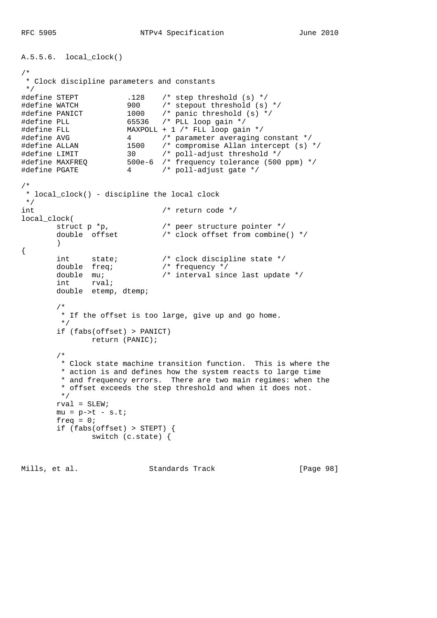```
A.5.5.6. local_clock()
/*
 * Clock discipline parameters and constants
 */
#define STEPT .128 /* step threshold (s) */
#define WATCH 900 /* stepout threshold (s) */
#define PANICT 1000 /* panic threshold (s) */
#define PLL 65536 /* PLL loop gain */
#define FLL MAXPOLL + 1 /* FLL loop gain */
#define AVG 4 /* parameter averaging constant */
#define ALLAN 1500 /* compromise Allan intercept (s) */
#define LIMIT 30 /* poll-adjust threshold */
#define MAXFREQ 500e-6 /* frequency tolerance (500 ppm) */
#define PGATE 4 /* poll-adjust gate */
/*
 * local_clock() - discipline the local clock
 */
int /* return code */
local_clock(
struct p *p, \frac{1}{2} /* peer structure pointer */
 double offset /* clock offset from combine() */
\overline{\phantom{a}}{
 int state; /* clock discipline state */
 double freq; /* frequency */
 double mu; /* interval since last update */
int rval;
double etemp, dtemp;
 /*
        * If the offset is too large, give up and go home.
        */
        if (fabs(offset) > PANICT)
             return (PANIC);
        /*
        * Clock state machine transition function. This is where the
        * action is and defines how the system reacts to large time
        * and frequency errors. There are two main regimes: when the
        * offset exceeds the step threshold and when it does not.
        */
      rval = SLEW;
      mu = p \rightarrow t - s \cdot t;
       freq = 0; if (fabs(offset) > STEPT) {
              switch (c.state) {
```
Mills, et al. Standards Track [Page 98]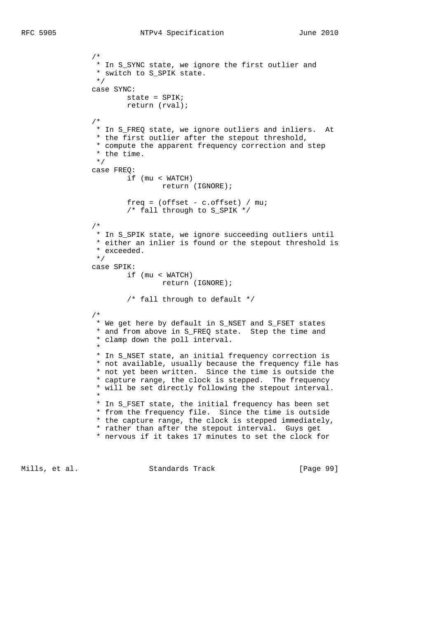```
 /*
                * In S_SYNC state, we ignore the first outlier and
               * switch to S_SPIK state.<br>*/
\star/ case SYNC:
                      state = SPIK;
                       return (rval);
 /*
                * In S_FREQ state, we ignore outliers and inliers. At
                * the first outlier after the stepout threshold,
                * compute the apparent frequency correction and step
                * the time.
                */
               case FREQ:
                      if (mu < WATCH)
                              return (IGNORE);
                       freq = (offset - c.offset) / mu;
                       /* fall through to S_SPIK */
 /*
 * In S_SPIK state, we ignore succeeding outliers until
 * either an inlier is found or the stepout threshold is
                * exceeded.
                */
               case SPIK:
                       if (mu < WATCH)
                              return (IGNORE);
                       /* fall through to default */
 /*
                * We get here by default in S_NSET and S_FSET states
                * and from above in S_FREQ state. Step the time and
                * clamp down the poll interval.
\star * In S_NSET state, an initial frequency correction is
                * not available, usually because the frequency file has
                * not yet been written. Since the time is outside the
                * capture range, the clock is stepped. The frequency
                * will be set directly following the stepout interval.
 *
                * In S_FSET state, the initial frequency has been set
                * from the frequency file. Since the time is outside
                * the capture range, the clock is stepped immediately,
                * rather than after the stepout interval. Guys get
                * nervous if it takes 17 minutes to set the clock for
```
Mills, et al. Standards Track [Page 99]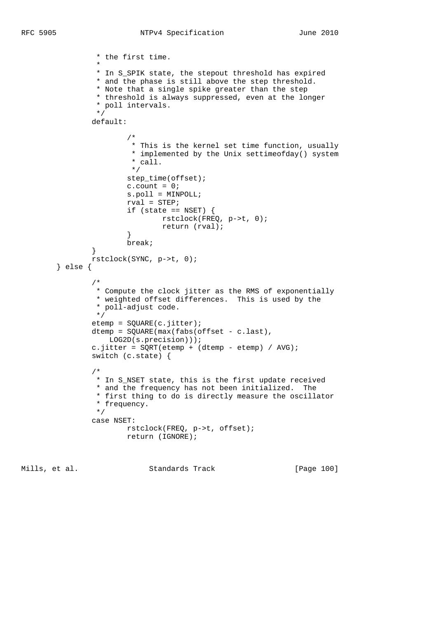```
 * the first time.
 *
                * In S_SPIK state, the stepout threshold has expired
                * and the phase is still above the step threshold.
                * Note that a single spike greater than the step
                * threshold is always suppressed, even at the longer
               * poll intervals.<br>*/
\star/ default:
 /*
                       * This is the kernel set time function, usually
                       * implemented by the Unix settimeofday() system
                      * call.<br>*/
\star/ step_time(offset);
                     c.count = 0; s.poll = MINPOLL;
                      rval = STEP;
                     if (state == NSET) {
                             rstclock(FREQ, p->t, 0);
                             return (rval);
 }
                      break;
 }
               rstclock(SYNC, p->t, 0);
        } else {
 /*
                * Compute the clock jitter as the RMS of exponentially
                * weighted offset differences. This is used by the
                * poll-adjust code.
\star/ etemp = SQUARE(c.jitter);
               dtemp = SQUARE(max(fabs(offset - c.last),
                   LOG2D(s.precision)));
              c.jitter = SQRT(etemp + (dtemp - etemp) / AVG);
               switch (c.state) {
 /*
                * In S_NSET state, this is the first update received
                * and the frequency has not been initialized. The
                * first thing to do is directly measure the oscillator
                * frequency.
                */
               case NSET:
                      rstclock(FREQ, p->t, offset);
                      return (IGNORE);
```
Mills, et al. Standards Track [Page 100]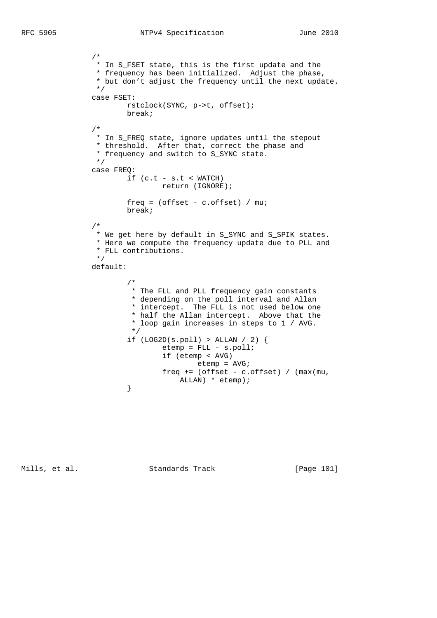```
 /*
               * In S_FSET state, this is the first update and the
                * frequency has been initialized. Adjust the phase,
               * but don't adjust the frequency until the next update.<br>*/
\star/ case FSET:
                      rstclock(SYNC, p->t, offset);
                      break;
 /*
                * In S_FREQ state, ignore updates until the stepout
                * threshold. After that, correct the phase and
                * frequency and switch to S_SYNC state.
                */
               case FREQ:
                     if (c.t - s.t < WATCH) return (IGNORE);
                     freq = (offset - c.offset) / mu; break;
 /*
                * We get here by default in S_SYNC and S_SPIK states.
                * Here we compute the frequency update due to PLL and
                * FLL contributions.
\star/ default:
 /*
                       * The FLL and PLL frequency gain constants
                       * depending on the poll interval and Allan
                       * intercept. The FLL is not used below one
                       * half the Allan intercept. Above that the
                       * loop gain increases in steps to 1 / AVG.
* /
                     if (LOG2D(s.poll) > ALLAN / 2) {
                            etemp = FLL - s.poll; if (etemp < AVG)
                                   etemp = AVG;
                             freq += (offset - c.offset) / (max(mu,
                     \verb|ALLAN| * \verb|etemp|; }
```
Mills, et al. Standards Track [Page 101]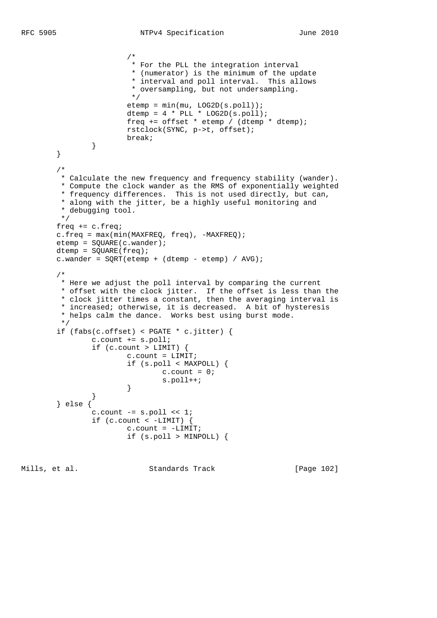```
 /*
                        * For the PLL the integration interval
                        * (numerator) is the minimum of the update
                        * interval and poll interval. This allows
                        * oversampling, but not undersampling.
\star/ etemp = min(mu, LOG2D(s.poll));
                      dtemp = 4 * PLL * LOG2D(s.poll); freq += offset * etemp / (dtemp * dtemp);
                       rstclock(SYNC, p->t, offset);
               break;
 }
        }
        /*
         * Calculate the new frequency and frequency stability (wander).
         * Compute the clock wander as the RMS of exponentially weighted
 * frequency differences. This is not used directly, but can,
 * along with the jitter, be a highly useful monitoring and
         * debugging tool.
         */
        freq += c.freq;
        c.freq = max(min(MAXFREQ, freq), -MAXFREQ);
        etemp = SQUARE(c.wander);
        dtemp = SQUARE(freq);
       c.wander = SQRT(etemp + (dtemp - etemp) / AVG);
        /*
        * Here we adjust the poll interval by comparing the current
         * offset with the clock jitter. If the offset is less than the
         * clock jitter times a constant, then the averaging interval is
         * increased; otherwise, it is decreased. A bit of hysteresis
         * helps calm the dance. Works best using burst mode.
         */
        if (fabs(c.offset) < PGATE * c.jitter) {
               c.count += s.poll;
              if (c.count > LIMIT) {
                       c.count = LIMIT;
                       if (s.poll < MAXPOLL) {
                             c.count = 0; s.poll++;
 }
 }
        } else {
               c.count -= s.poll << 1;
              if (c.count \langle -LIMIT) {
                      c.count = -LIMIT; if (s.poll > MINPOLL) {
```
Mills, et al. Standards Track [Page 102]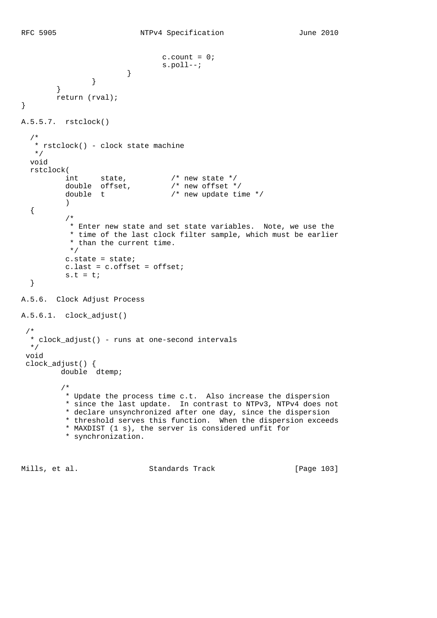```
c.count = 0;s.poll--;<br>}
 }
 }
         }
         return (rval);
}
A.5.5.7. rstclock()
   /*
    * rstclock() - clock state machine
   */
   void
   rstclock(
          int state,<br>double offset,<br>double t
                                 \frac{\pi}{4} new state */<br>/* new offset */
                                  /* new update time */ )
   {
           /*
           * Enter new state and set state variables. Note, we use the
            * time of the last clock filter sample, which must be earlier
            * than the current time.
           */
           c.state = state;
           c.last = c.offset = offset;
          s.t = ti }
A.5.6. Clock Adjust Process
A.5.6.1. clock_adjust()
  /*
  * clock_adjust() - runs at one-second intervals
  */
  void
  clock_adjust() {
          double dtemp;
          /*
           * Update the process time c.t. Also increase the dispersion
           * since the last update. In contrast to NTPv3, NTPv4 does not
           * declare unsynchronized after one day, since the dispersion
           * threshold serves this function. When the dispersion exceeds
           * MAXDIST (1 s), the server is considered unfit for
           * synchronization.
```
Mills, et al. Standards Track [Page 103]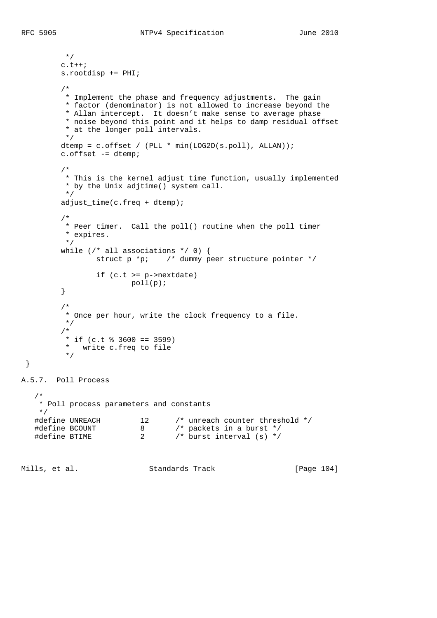```
 */
          c.t++;
          s.rootdisp += PHI;
          /*
           * Implement the phase and frequency adjustments. The gain
           * factor (denominator) is not allowed to increase beyond the
           * Allan intercept. It doesn't make sense to average phase
           * noise beyond this point and it helps to damp residual offset
           * at the longer poll intervals.
           */
         dtemp = c.offset / (PLL * min(LOG2D(s.poll), ALLAN));
          c.offset -= dtemp;
          /*
           * This is the kernel adjust time function, usually implemented
           * by the Unix adjtime() system call.
           */
          adjust_time(c.freq + dtemp);
          /*
           * Peer timer. Call the poll() routine when the poll timer
           * expires.
           */
         while \left(\frac{*}{*} \text{ all associations */ 0}\right) {
                 struct p *p; /* dummy peer structure pointer */
                  if (c.t >= p->nextdate)
                          poll(p);
          }
          /*
           * Once per hour, write the clock frequency to a file.
           */
          /*
          * if (c.t % 3600 == 3599)<br>* write g freq to file
            write c.freq to file
           */
A.5.7. Poll Process
    * Poll process parameters and constants
    */
 #define UNREACH 12 /* unreach counter threshold */
 #define BCOUNT 8 /* packets in a burst */
 #define BTIME 2 /* burst interval (s) */
```
}

/\*

Mills, et al. Standards Track [Page 104]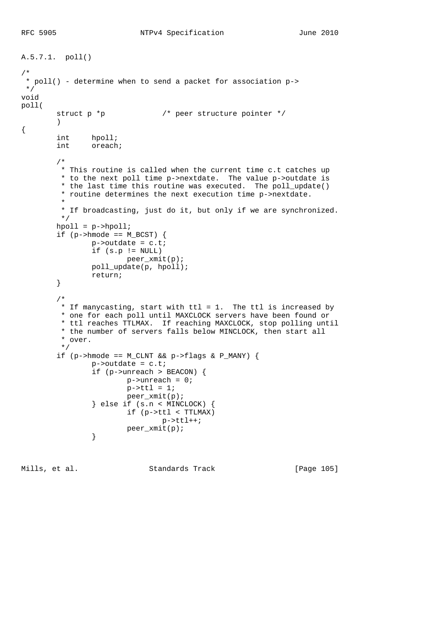```
A.5.7.1. poll()
/*
 * poll() - determine when to send a packet for association p->
 */
void
poll(
       struct p *p \frac{1}{2} /* peer structure pointer */
\overline{\phantom{a}}{
int hpoll;
int oreach;
         /*
         * This routine is called when the current time c.t catches up
         * to the next poll time p->nextdate. The value p->outdate is
          * the last time this routine was executed. The poll_update()
          * routine determines the next execution time p->nextdate.
 *
          * If broadcasting, just do it, but only if we are synchronized.
          */
        hpoll = p->hpoll;
        if (p - \text{hmode} == M_BCST) {
               p->outdate = c.t;
               if (s.p := NULL) peer_xmit(p);
                poll_update(p, hpoll);
                return;
         }
         /*
         * If manycasting, start with ttl = 1. The ttl is increased by
         * one for each poll until MAXCLOCK servers have been found or
         * ttl reaches TTLMAX. If reaching MAXCLOCK, stop polling until
         * the number of servers falls below MINCLOCK, then start all
          * over.
          */
        if (p->hmode == M_CLMT & & p->flags & P_MANY) {
               p->outdate = c.t;
                 if (p->unreach > BEACON) {
                       p->unreach = 0;
                       p->ttl = 1;
                        peer_xmit(p);
                 } else if (s.n < MINCLOCK) {
                        if (p->ttl < TTLMAX)
                              p->ttl++;
                peer_xmit(p);
 }
```
Mills, et al. Standards Track [Page 105]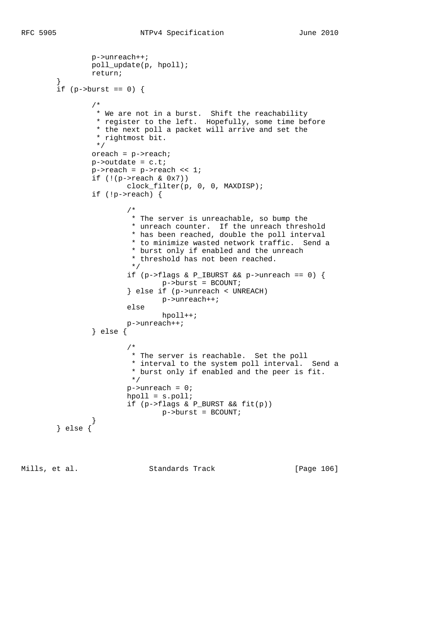```
 p->unreach++;
              poll_update(p, hpoll);
              return;
 }
      if (p ->burst == 0) {
 /*
               * We are not in a burst. Shift the reachability
               * register to the left. Hopefully, some time before
               * the next poll a packet will arrive and set the
               * rightmost bit.
               */
              oreach = p->reach;
             p->outdate = c.t;
              p->reach = p->reach << 1;
             if (|(p->reach & Qx7))| clock_filter(p, 0, 0, MAXDISP);
               if (!p->reach) {
 /*
                      * The server is unreachable, so bump the
 * unreach counter. If the unreach threshold
 * has been reached, double the poll interval
                      * to minimize wasted network traffic. Send a
                      * burst only if enabled and the unreach
                     * threshold has not been reached.<br>*/
\star/ if (p->flags & P_IBURST && p->unreach == 0) {
                             p->burst = BCOUNT;
                      } else if (p->unreach < UNREACH)
                            p->unreach++;
                      else
                            hpoll++;
                      p->unreach++;
               } else {
 /*
                      * The server is reachable. Set the poll
                      * interval to the system poll interval. Send a
                     * burst only if enabled and the peer is fit. * /
\star/p->unreach = 0;
                      hpoll = s.poll;
                      if (p->flags & P_BURST && fit(p))
                            p->burst = BCOUNT;
 }
 } else {
```
Mills, et al. Standards Track [Page 106]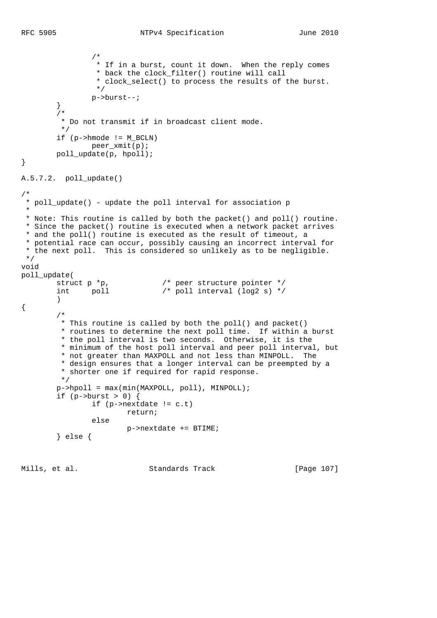```
 /*
                 * If in a burst, count it down. When the reply comes
                 * back the clock_filter() routine will call
                * clock_select() to process the results of the burst.<br>*/
\star/ p->burst--;
         }
         /*
          * Do not transmit if in broadcast client mode.
         */
         if (p->hmode != M_BCLN)
              peer_xmit(p);
        poll_update(p, hpoll);
}
A.5.7.2. poll_update()
/*
 * poll_update() - update the poll interval for association p
 *
 * Note: This routine is called by both the packet() and poll() routine.
 * Since the packet() routine is executed when a network packet arrives
 * and the poll() routine is executed as the result of timeout, a
 * potential race can occur, possibly causing an incorrect interval for
  * the next poll. This is considered so unlikely as to be negligible.
  */
void
poll_update(
 struct p *p, /* peer structure pointer */
 int poll /* poll interval (log2 s) */
\overline{\phantom{a}}{
        /*
         * This routine is called by both the poll() and packet()
         * routines to determine the next poll time. If within a burst
         * the poll interval is two seconds. Otherwise, it is the
         * minimum of the host poll interval and peer poll interval, but
         * not greater than MAXPOLL and not less than MINPOLL. The
          * design ensures that a longer interval can be preempted by a
          * shorter one if required for rapid response.
         */
        p->hpoll = max(min(MAXPOLL, poll), MINPOLL);
        if (p->burst > 0) {
                if (p->nextdate != c.t)
                       return;
                else
                       p->nextdate += BTIME;
         } else {
```
Mills, et al. Standards Track [Page 107]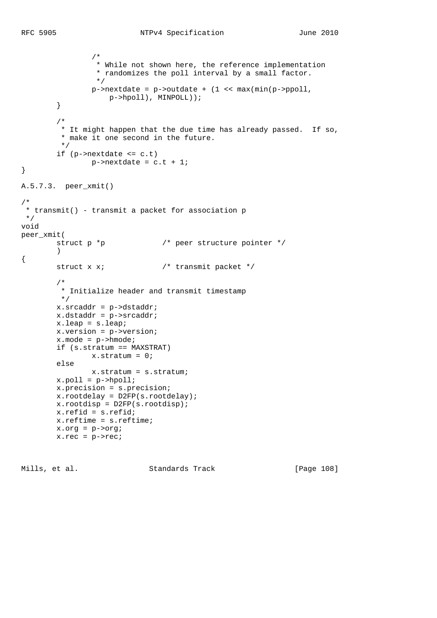```
 /*
                 * While not shown here, the reference implementation
                * randomizes the poll interval by a small factor.<br>*/
\star/ p->nextdate = p->outdate + (1 << max(min(p->ppoll,
                    p->hpoll), MINPOLL));
         }
         /*
         * It might happen that the due time has already passed. If so,
         * make it one second in the future.
         */
         if (p->nextdate <= c.t)
               p->nextdate = c.t + 1;
}
A.5.7.3. peer_xmit()
/*
  * transmit() - transmit a packet for association p
 */
void
peer_xmit(
       struct p *p \frac{1}{2} /* peer structure pointer */
        ){
        struct x x; /* transmit packet */
         /*
         * Initialize header and transmit timestamp
         */
        x.srcaddr = p->dstaddr;
        x.dstaddr = p->srcaddr;
        x.leap = s.leap;
        x.version = p->version;
        x.mode = p->hmode;
        if (s.stratum == MAXSTRAT)
                x.stratum = 0;
        else
               x.stratum = s.stratum;
        x.poll = p->hpoll;
        x.precision = s.precision;
        x.rootdelay = D2FP(s.rootdelay);
        x.rootdisp = D2FP(s.rootdisp);
        x.refid = s.refid;
        x.reftime = s.reftime;
        x.org = p->org;
       x.rec = p->rec;
```
Mills, et al. Standards Track [Page 108]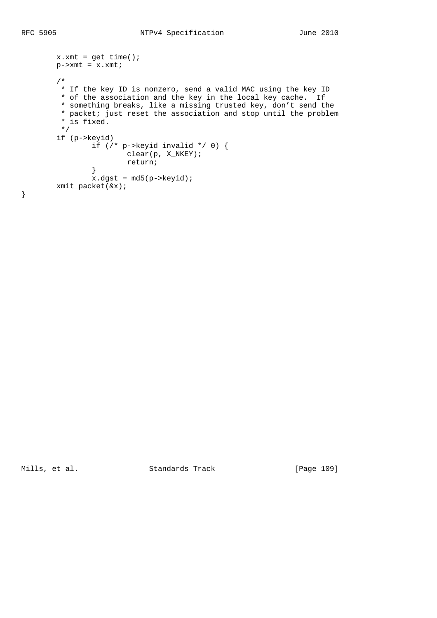```
x.xmt = get_time();
      p->xmt = x.xmt;
       /*
       * If the key ID is nonzero, send a valid MAC using the key ID
       * of the association and the key in the local key cache. If
        * something breaks, like a missing trusted key, don't send the
        * packet; just reset the association and stop until the problem
        * is fixed.
        */
       if (p->keyid)
               if (/* p->keyid invalid */ 0) {
                     clear(p, X_NKEY);
               return;
}
              x.dgst = md5(p->keyid); xmit_packet(&x);
```
}

Mills, et al. Standards Track [Page 109]